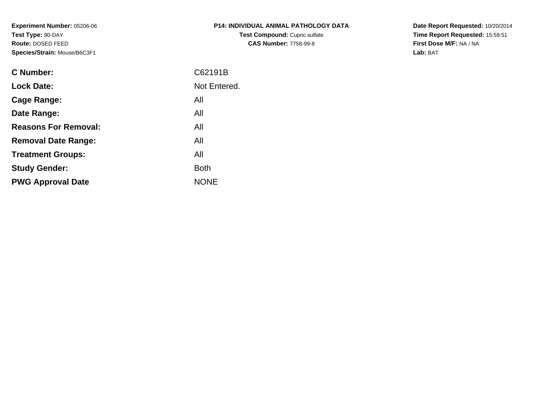**Experiment Number:** 05206-06**Test Type:** 90-DAY **Route:** DOSED FEED**Species/Strain:** Mouse/B6C3F1

| <b>P14: INDIVIDUAL ANIMAL PATHOLOGY DATA</b> |
|----------------------------------------------|
| <b>Test Compound: Cupric sulfate</b>         |
| <b>CAS Number: 7758-99-8</b>                 |

**Date Report Requested:** 10/20/2014 **Time Report Requested:** 15:59:51**First Dose M/F:** NA / NA**Lab:** BAT

| <b>C</b> Number:            | C62191B      |
|-----------------------------|--------------|
| <b>Lock Date:</b>           | Not Entered. |
| Cage Range:                 | All          |
| Date Range:                 | All          |
| <b>Reasons For Removal:</b> | All          |
| <b>Removal Date Range:</b>  | All          |
| <b>Treatment Groups:</b>    | All          |
| <b>Study Gender:</b>        | <b>Both</b>  |
| <b>PWG Approval Date</b>    | <b>NONE</b>  |
|                             |              |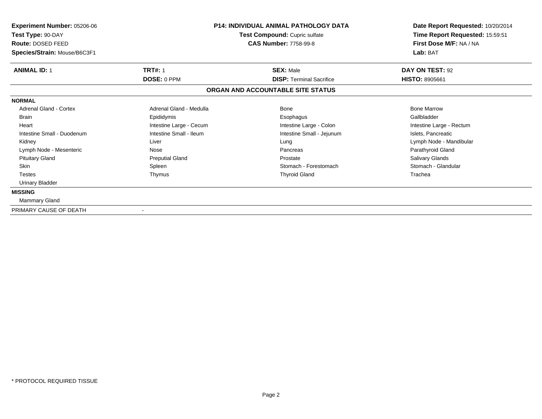| Experiment Number: 05206-06<br>Test Type: 90-DAY<br>Route: DOSED FEED<br>Species/Strain: Mouse/B6C3F1 | P14: INDIVIDUAL ANIMAL PATHOLOGY DATA<br>Test Compound: Cupric sulfate<br><b>CAS Number: 7758-99-8</b> |                                   | Date Report Requested: 10/20/2014<br>Time Report Requested: 15:59:51<br>First Dose M/F: NA / NA<br>Lab: BAT |
|-------------------------------------------------------------------------------------------------------|--------------------------------------------------------------------------------------------------------|-----------------------------------|-------------------------------------------------------------------------------------------------------------|
|                                                                                                       |                                                                                                        |                                   |                                                                                                             |
| <b>ANIMAL ID: 1</b>                                                                                   | <b>TRT#: 1</b>                                                                                         | <b>SEX: Male</b>                  | DAY ON TEST: 92                                                                                             |
|                                                                                                       | DOSE: 0 PPM                                                                                            | <b>DISP: Terminal Sacrifice</b>   | <b>HISTO: 8905661</b>                                                                                       |
|                                                                                                       |                                                                                                        | ORGAN AND ACCOUNTABLE SITE STATUS |                                                                                                             |
| <b>NORMAL</b>                                                                                         |                                                                                                        |                                   |                                                                                                             |
| <b>Adrenal Gland - Cortex</b>                                                                         | Adrenal Gland - Medulla                                                                                | Bone                              | <b>Bone Marrow</b>                                                                                          |
| <b>Brain</b>                                                                                          | Epididymis                                                                                             | Esophagus                         | Gallbladder                                                                                                 |
| Heart                                                                                                 | Intestine Large - Cecum                                                                                | Intestine Large - Colon           | Intestine Large - Rectum                                                                                    |
| Intestine Small - Duodenum                                                                            | Intestine Small - Ileum                                                                                | Intestine Small - Jejunum         | Islets, Pancreatic                                                                                          |
| Kidney                                                                                                | Liver                                                                                                  | Lung                              | Lymph Node - Mandibular                                                                                     |
| Lymph Node - Mesenteric                                                                               | Nose                                                                                                   | Pancreas                          | Parathyroid Gland                                                                                           |
| <b>Pituitary Gland</b>                                                                                | <b>Preputial Gland</b>                                                                                 | Prostate                          | Salivary Glands                                                                                             |
| <b>Skin</b>                                                                                           | Spleen                                                                                                 | Stomach - Forestomach             | Stomach - Glandular                                                                                         |
| <b>Testes</b>                                                                                         | Thymus                                                                                                 | <b>Thyroid Gland</b>              | Trachea                                                                                                     |
| Urinary Bladder                                                                                       |                                                                                                        |                                   |                                                                                                             |
| <b>MISSING</b>                                                                                        |                                                                                                        |                                   |                                                                                                             |
| <b>Mammary Gland</b>                                                                                  |                                                                                                        |                                   |                                                                                                             |
| PRIMARY CAUSE OF DEATH                                                                                |                                                                                                        |                                   |                                                                                                             |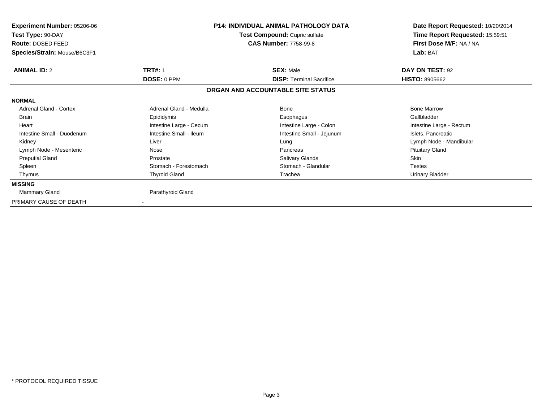| <b>Experiment Number: 05206-06</b><br>Test Type: 90-DAY<br>Route: DOSED FEED<br>Species/Strain: Mouse/B6C3F1 | <b>P14: INDIVIDUAL ANIMAL PATHOLOGY DATA</b><br>Test Compound: Cupric sulfate<br><b>CAS Number: 7758-99-8</b> |                                   | Date Report Requested: 10/20/2014<br>Time Report Requested: 15:59:51<br>First Dose M/F: NA / NA<br>Lab: BAT |
|--------------------------------------------------------------------------------------------------------------|---------------------------------------------------------------------------------------------------------------|-----------------------------------|-------------------------------------------------------------------------------------------------------------|
| <b>ANIMAL ID: 2</b>                                                                                          | <b>TRT#: 1</b>                                                                                                | <b>SEX: Male</b>                  | DAY ON TEST: 92                                                                                             |
|                                                                                                              | DOSE: 0 PPM                                                                                                   | <b>DISP:</b> Terminal Sacrifice   | <b>HISTO: 8905662</b>                                                                                       |
|                                                                                                              |                                                                                                               | ORGAN AND ACCOUNTABLE SITE STATUS |                                                                                                             |
| <b>NORMAL</b>                                                                                                |                                                                                                               |                                   |                                                                                                             |
| Adrenal Gland - Cortex                                                                                       | Adrenal Gland - Medulla                                                                                       | Bone                              | <b>Bone Marrow</b>                                                                                          |
| <b>Brain</b>                                                                                                 | Epididymis                                                                                                    | Esophagus                         | Gallbladder                                                                                                 |
| Heart                                                                                                        | Intestine Large - Cecum                                                                                       | Intestine Large - Colon           | Intestine Large - Rectum                                                                                    |
| Intestine Small - Duodenum                                                                                   | Intestine Small - Ileum                                                                                       | Intestine Small - Jejunum         | Islets, Pancreatic                                                                                          |
| Kidney                                                                                                       | Liver                                                                                                         | Lung                              | Lymph Node - Mandibular                                                                                     |
| Lymph Node - Mesenteric                                                                                      | Nose                                                                                                          | Pancreas                          | <b>Pituitary Gland</b>                                                                                      |
| <b>Preputial Gland</b>                                                                                       | Prostate                                                                                                      | Salivary Glands                   | <b>Skin</b>                                                                                                 |
| Spleen                                                                                                       | Stomach - Forestomach                                                                                         | Stomach - Glandular               | <b>Testes</b>                                                                                               |
| Thymus                                                                                                       | <b>Thyroid Gland</b>                                                                                          | Trachea                           | <b>Urinary Bladder</b>                                                                                      |
| <b>MISSING</b>                                                                                               |                                                                                                               |                                   |                                                                                                             |
| <b>Mammary Gland</b>                                                                                         | Parathyroid Gland                                                                                             |                                   |                                                                                                             |
| PRIMARY CAUSE OF DEATH                                                                                       |                                                                                                               |                                   |                                                                                                             |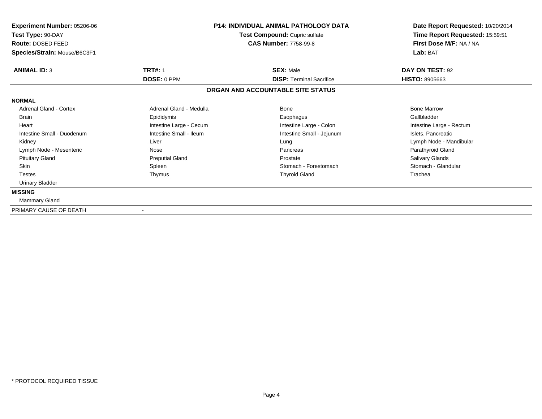| Experiment Number: 05206-06<br>Test Type: 90-DAY<br>Route: DOSED FEED<br>Species/Strain: Mouse/B6C3F1 | P14: INDIVIDUAL ANIMAL PATHOLOGY DATA<br>Test Compound: Cupric sulfate<br><b>CAS Number: 7758-99-8</b> |                                   | Date Report Requested: 10/20/2014<br>Time Report Requested: 15:59:51<br>First Dose M/F: NA / NA<br>Lab: BAT |  |
|-------------------------------------------------------------------------------------------------------|--------------------------------------------------------------------------------------------------------|-----------------------------------|-------------------------------------------------------------------------------------------------------------|--|
| <b>ANIMAL ID: 3</b>                                                                                   | <b>TRT#: 1</b>                                                                                         | <b>SEX: Male</b>                  | DAY ON TEST: 92                                                                                             |  |
|                                                                                                       | DOSE: 0 PPM                                                                                            | <b>DISP: Terminal Sacrifice</b>   | <b>HISTO: 8905663</b>                                                                                       |  |
|                                                                                                       |                                                                                                        | ORGAN AND ACCOUNTABLE SITE STATUS |                                                                                                             |  |
| <b>NORMAL</b>                                                                                         |                                                                                                        |                                   |                                                                                                             |  |
| <b>Adrenal Gland - Cortex</b>                                                                         | Adrenal Gland - Medulla                                                                                | Bone                              | <b>Bone Marrow</b>                                                                                          |  |
| <b>Brain</b>                                                                                          | Epididymis                                                                                             | Esophagus                         | Gallbladder                                                                                                 |  |
| Heart                                                                                                 | Intestine Large - Cecum                                                                                | Intestine Large - Colon           | Intestine Large - Rectum                                                                                    |  |
| Intestine Small - Duodenum                                                                            | Intestine Small - Ileum                                                                                | Intestine Small - Jejunum         | Islets, Pancreatic                                                                                          |  |
| Kidney                                                                                                | Liver                                                                                                  | Lung                              | Lymph Node - Mandibular                                                                                     |  |
| Lymph Node - Mesenteric                                                                               | Nose                                                                                                   | Pancreas                          | Parathyroid Gland                                                                                           |  |
| <b>Pituitary Gland</b>                                                                                | <b>Preputial Gland</b>                                                                                 | Prostate                          | Salivary Glands                                                                                             |  |
| <b>Skin</b>                                                                                           | Spleen                                                                                                 | Stomach - Forestomach             | Stomach - Glandular                                                                                         |  |
| <b>Testes</b>                                                                                         | Thymus                                                                                                 | <b>Thyroid Gland</b>              | Trachea                                                                                                     |  |
| Urinary Bladder                                                                                       |                                                                                                        |                                   |                                                                                                             |  |
| <b>MISSING</b>                                                                                        |                                                                                                        |                                   |                                                                                                             |  |
| <b>Mammary Gland</b>                                                                                  |                                                                                                        |                                   |                                                                                                             |  |
| PRIMARY CAUSE OF DEATH                                                                                |                                                                                                        |                                   |                                                                                                             |  |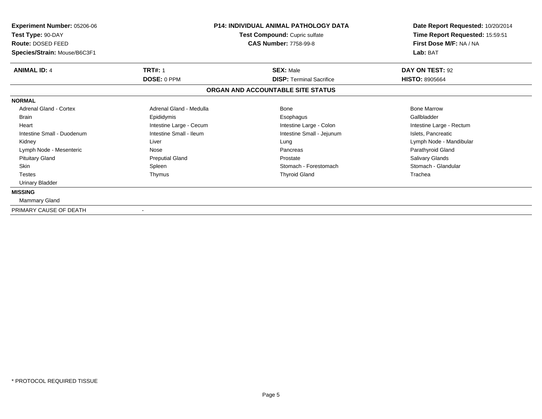| Experiment Number: 05206-06<br>Test Type: 90-DAY<br>Route: DOSED FEED<br>Species/Strain: Mouse/B6C3F1 | P14: INDIVIDUAL ANIMAL PATHOLOGY DATA<br>Test Compound: Cupric sulfate<br><b>CAS Number: 7758-99-8</b> |                                   | Date Report Requested: 10/20/2014<br>Time Report Requested: 15:59:51<br>First Dose M/F: NA / NA<br>Lab: BAT |
|-------------------------------------------------------------------------------------------------------|--------------------------------------------------------------------------------------------------------|-----------------------------------|-------------------------------------------------------------------------------------------------------------|
|                                                                                                       |                                                                                                        |                                   |                                                                                                             |
| <b>ANIMAL ID: 4</b>                                                                                   | <b>TRT#: 1</b>                                                                                         | <b>SEX: Male</b>                  | DAY ON TEST: 92                                                                                             |
|                                                                                                       | DOSE: 0 PPM                                                                                            | <b>DISP: Terminal Sacrifice</b>   | <b>HISTO: 8905664</b>                                                                                       |
|                                                                                                       |                                                                                                        | ORGAN AND ACCOUNTABLE SITE STATUS |                                                                                                             |
| <b>NORMAL</b>                                                                                         |                                                                                                        |                                   |                                                                                                             |
| <b>Adrenal Gland - Cortex</b>                                                                         | Adrenal Gland - Medulla                                                                                | Bone                              | <b>Bone Marrow</b>                                                                                          |
| <b>Brain</b>                                                                                          | Epididymis                                                                                             | Esophagus                         | Gallbladder                                                                                                 |
| Heart                                                                                                 | Intestine Large - Cecum                                                                                | Intestine Large - Colon           | Intestine Large - Rectum                                                                                    |
| Intestine Small - Duodenum                                                                            | Intestine Small - Ileum                                                                                | Intestine Small - Jejunum         | Islets, Pancreatic                                                                                          |
| Kidney                                                                                                | Liver                                                                                                  | Lung                              | Lymph Node - Mandibular                                                                                     |
| Lymph Node - Mesenteric                                                                               | Nose                                                                                                   | Pancreas                          | Parathyroid Gland                                                                                           |
| <b>Pituitary Gland</b>                                                                                | <b>Preputial Gland</b>                                                                                 | Prostate                          | Salivary Glands                                                                                             |
| <b>Skin</b>                                                                                           | Spleen                                                                                                 | Stomach - Forestomach             | Stomach - Glandular                                                                                         |
| <b>Testes</b>                                                                                         | Thymus                                                                                                 | <b>Thyroid Gland</b>              | Trachea                                                                                                     |
| Urinary Bladder                                                                                       |                                                                                                        |                                   |                                                                                                             |
| <b>MISSING</b>                                                                                        |                                                                                                        |                                   |                                                                                                             |
| <b>Mammary Gland</b>                                                                                  |                                                                                                        |                                   |                                                                                                             |
| PRIMARY CAUSE OF DEATH                                                                                |                                                                                                        |                                   |                                                                                                             |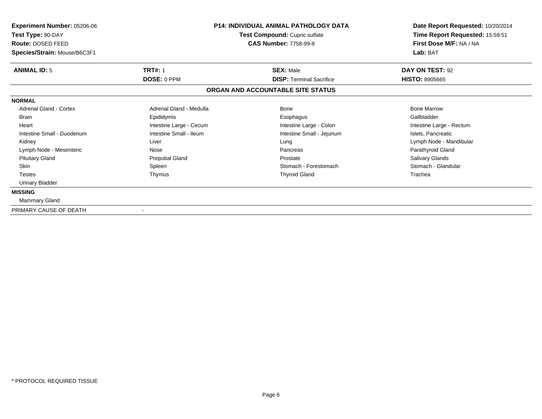| Experiment Number: 05206-06<br>Test Type: 90-DAY<br>Route: DOSED FEED<br>Species/Strain: Mouse/B6C3F1 | P14: INDIVIDUAL ANIMAL PATHOLOGY DATA<br>Test Compound: Cupric sulfate<br><b>CAS Number: 7758-99-8</b> |                                                     | Date Report Requested: 10/20/2014<br>Time Report Requested: 15:59:51<br>First Dose M/F: NA / NA<br>Lab: BAT |  |
|-------------------------------------------------------------------------------------------------------|--------------------------------------------------------------------------------------------------------|-----------------------------------------------------|-------------------------------------------------------------------------------------------------------------|--|
|                                                                                                       |                                                                                                        |                                                     |                                                                                                             |  |
| <b>ANIMAL ID: 5</b>                                                                                   | <b>TRT#: 1</b><br>DOSE: 0 PPM                                                                          | <b>SEX: Male</b><br><b>DISP: Terminal Sacrifice</b> | DAY ON TEST: 92<br><b>HISTO: 8905665</b>                                                                    |  |
|                                                                                                       |                                                                                                        | ORGAN AND ACCOUNTABLE SITE STATUS                   |                                                                                                             |  |
| <b>NORMAL</b>                                                                                         |                                                                                                        |                                                     |                                                                                                             |  |
| <b>Adrenal Gland - Cortex</b>                                                                         | Adrenal Gland - Medulla                                                                                | Bone                                                | <b>Bone Marrow</b>                                                                                          |  |
| <b>Brain</b>                                                                                          | Epididymis                                                                                             | Esophagus                                           | Gallbladder                                                                                                 |  |
| Heart                                                                                                 | Intestine Large - Cecum                                                                                | Intestine Large - Colon                             | Intestine Large - Rectum                                                                                    |  |
| Intestine Small - Duodenum                                                                            | Intestine Small - Ileum                                                                                | Intestine Small - Jejunum                           | Islets, Pancreatic                                                                                          |  |
| Kidney                                                                                                | Liver                                                                                                  | Lung                                                | Lymph Node - Mandibular                                                                                     |  |
| Lymph Node - Mesenteric                                                                               | Nose                                                                                                   | Pancreas                                            | Parathyroid Gland                                                                                           |  |
| <b>Pituitary Gland</b>                                                                                | <b>Preputial Gland</b>                                                                                 | Prostate                                            | Salivary Glands                                                                                             |  |
| <b>Skin</b>                                                                                           | Spleen                                                                                                 | Stomach - Forestomach                               | Stomach - Glandular                                                                                         |  |
| <b>Testes</b>                                                                                         | Thymus                                                                                                 | <b>Thyroid Gland</b>                                | Trachea                                                                                                     |  |
| Urinary Bladder                                                                                       |                                                                                                        |                                                     |                                                                                                             |  |
| <b>MISSING</b>                                                                                        |                                                                                                        |                                                     |                                                                                                             |  |
| <b>Mammary Gland</b>                                                                                  |                                                                                                        |                                                     |                                                                                                             |  |
| PRIMARY CAUSE OF DEATH                                                                                |                                                                                                        |                                                     |                                                                                                             |  |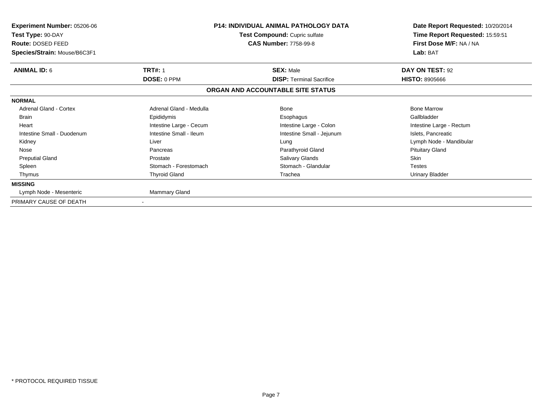| Experiment Number: 05206-06<br>Test Type: 90-DAY<br>Route: DOSED FEED<br>Species/Strain: Mouse/B6C3F1 | <b>P14: INDIVIDUAL ANIMAL PATHOLOGY DATA</b><br>Test Compound: Cupric sulfate<br><b>CAS Number: 7758-99-8</b> |                                   | Date Report Requested: 10/20/2014<br>Time Report Requested: 15:59:51<br>First Dose M/F: NA / NA<br>Lab: BAT |
|-------------------------------------------------------------------------------------------------------|---------------------------------------------------------------------------------------------------------------|-----------------------------------|-------------------------------------------------------------------------------------------------------------|
| <b>ANIMAL ID: 6</b>                                                                                   | <b>TRT#: 1</b>                                                                                                | <b>SEX: Male</b>                  | DAY ON TEST: 92                                                                                             |
|                                                                                                       | DOSE: 0 PPM                                                                                                   | <b>DISP: Terminal Sacrifice</b>   | <b>HISTO: 8905666</b>                                                                                       |
|                                                                                                       |                                                                                                               | ORGAN AND ACCOUNTABLE SITE STATUS |                                                                                                             |
| <b>NORMAL</b>                                                                                         |                                                                                                               |                                   |                                                                                                             |
| Adrenal Gland - Cortex                                                                                | Adrenal Gland - Medulla                                                                                       | Bone                              | <b>Bone Marrow</b>                                                                                          |
| <b>Brain</b>                                                                                          | Epididymis                                                                                                    | Esophagus                         | Gallbladder                                                                                                 |
| Heart                                                                                                 | Intestine Large - Cecum                                                                                       | Intestine Large - Colon           | Intestine Large - Rectum                                                                                    |
| Intestine Small - Duodenum                                                                            | Intestine Small - Ileum                                                                                       | Intestine Small - Jejunum         | Islets, Pancreatic                                                                                          |
| Kidney                                                                                                | Liver                                                                                                         | Lung                              | Lymph Node - Mandibular                                                                                     |
| Nose                                                                                                  | Pancreas                                                                                                      | Parathyroid Gland                 | <b>Pituitary Gland</b>                                                                                      |
| <b>Preputial Gland</b>                                                                                | Prostate                                                                                                      | <b>Salivary Glands</b>            | <b>Skin</b>                                                                                                 |
| Spleen                                                                                                | Stomach - Forestomach                                                                                         | Stomach - Glandular               | <b>Testes</b>                                                                                               |
| Thymus                                                                                                | <b>Thyroid Gland</b>                                                                                          | Trachea                           | Urinary Bladder                                                                                             |
| <b>MISSING</b>                                                                                        |                                                                                                               |                                   |                                                                                                             |
| Lymph Node - Mesenteric                                                                               | Mammary Gland                                                                                                 |                                   |                                                                                                             |
| PRIMARY CAUSE OF DEATH                                                                                |                                                                                                               |                                   |                                                                                                             |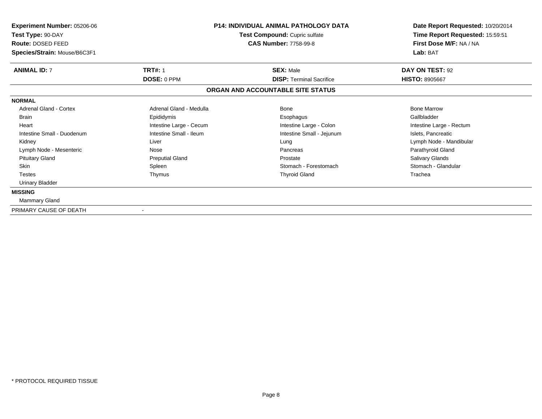| Experiment Number: 05206-06<br>Test Type: 90-DAY<br>Route: DOSED FEED<br>Species/Strain: Mouse/B6C3F1 | P14: INDIVIDUAL ANIMAL PATHOLOGY DATA<br>Test Compound: Cupric sulfate<br><b>CAS Number: 7758-99-8</b> |                                   | Date Report Requested: 10/20/2014<br>Time Report Requested: 15:59:51<br>First Dose M/F: NA / NA<br>Lab: BAT |
|-------------------------------------------------------------------------------------------------------|--------------------------------------------------------------------------------------------------------|-----------------------------------|-------------------------------------------------------------------------------------------------------------|
| <b>ANIMAL ID: 7</b>                                                                                   | <b>TRT#: 1</b>                                                                                         | <b>SEX: Male</b>                  | DAY ON TEST: 92                                                                                             |
|                                                                                                       | DOSE: 0 PPM                                                                                            | <b>DISP: Terminal Sacrifice</b>   | <b>HISTO: 8905667</b>                                                                                       |
|                                                                                                       |                                                                                                        | ORGAN AND ACCOUNTABLE SITE STATUS |                                                                                                             |
| <b>NORMAL</b>                                                                                         |                                                                                                        |                                   |                                                                                                             |
| <b>Adrenal Gland - Cortex</b>                                                                         | Adrenal Gland - Medulla                                                                                | Bone                              | <b>Bone Marrow</b>                                                                                          |
| <b>Brain</b>                                                                                          | Epididymis                                                                                             | Esophagus                         | Gallbladder                                                                                                 |
| Heart                                                                                                 | Intestine Large - Cecum                                                                                | Intestine Large - Colon           | Intestine Large - Rectum                                                                                    |
| Intestine Small - Duodenum                                                                            | Intestine Small - Ileum                                                                                | Intestine Small - Jejunum         | Islets, Pancreatic                                                                                          |
| Kidney                                                                                                | Liver                                                                                                  | Lung                              | Lymph Node - Mandibular                                                                                     |
| Lymph Node - Mesenteric                                                                               | Nose                                                                                                   | Pancreas                          | Parathyroid Gland                                                                                           |
| <b>Pituitary Gland</b>                                                                                | <b>Preputial Gland</b>                                                                                 | Prostate                          | Salivary Glands                                                                                             |
| <b>Skin</b>                                                                                           | Spleen                                                                                                 | Stomach - Forestomach             | Stomach - Glandular                                                                                         |
| <b>Testes</b>                                                                                         | Thymus                                                                                                 | <b>Thyroid Gland</b>              | Trachea                                                                                                     |
| Urinary Bladder                                                                                       |                                                                                                        |                                   |                                                                                                             |
| <b>MISSING</b>                                                                                        |                                                                                                        |                                   |                                                                                                             |
| <b>Mammary Gland</b>                                                                                  |                                                                                                        |                                   |                                                                                                             |
| PRIMARY CAUSE OF DEATH                                                                                |                                                                                                        |                                   |                                                                                                             |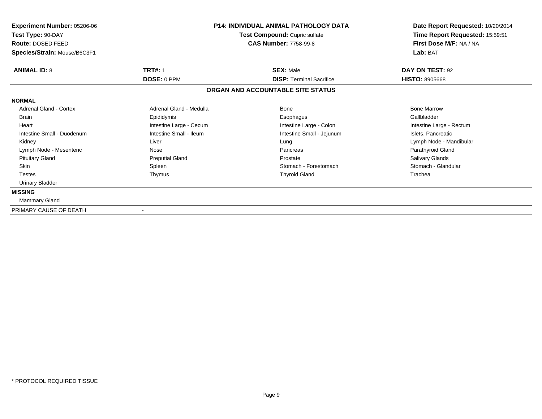| <b>Experiment Number: 05206-06</b> | <b>P14: INDIVIDUAL ANIMAL PATHOLOGY DATA</b><br>Test Compound: Cupric sulfate |                                   | Date Report Requested: 10/20/2014 |
|------------------------------------|-------------------------------------------------------------------------------|-----------------------------------|-----------------------------------|
| Test Type: 90-DAY                  |                                                                               |                                   | Time Report Requested: 15:59:51   |
| Route: DOSED FEED                  |                                                                               | <b>CAS Number: 7758-99-8</b>      | First Dose M/F: NA / NA           |
| Species/Strain: Mouse/B6C3F1       |                                                                               |                                   | Lab: BAT                          |
| <b>ANIMAL ID: 8</b>                | <b>TRT#: 1</b>                                                                | <b>SEX: Male</b>                  | DAY ON TEST: 92                   |
|                                    | DOSE: 0 PPM                                                                   | <b>DISP: Terminal Sacrifice</b>   | <b>HISTO: 8905668</b>             |
|                                    |                                                                               | ORGAN AND ACCOUNTABLE SITE STATUS |                                   |
| <b>NORMAL</b>                      |                                                                               |                                   |                                   |
| <b>Adrenal Gland - Cortex</b>      | Adrenal Gland - Medulla                                                       | Bone                              | <b>Bone Marrow</b>                |
| <b>Brain</b>                       | Epididymis                                                                    | Esophagus                         | Gallbladder                       |
| Heart                              | Intestine Large - Cecum                                                       | Intestine Large - Colon           | Intestine Large - Rectum          |
| Intestine Small - Duodenum         | Intestine Small - Ileum                                                       | Intestine Small - Jejunum         | Islets, Pancreatic                |
| Kidney                             | Liver                                                                         | Lung                              | Lymph Node - Mandibular           |
| Lymph Node - Mesenteric            | Nose                                                                          | Pancreas                          | Parathyroid Gland                 |
| <b>Pituitary Gland</b>             | <b>Preputial Gland</b>                                                        | Prostate                          | Salivary Glands                   |
| <b>Skin</b>                        | Spleen                                                                        | Stomach - Forestomach             | Stomach - Glandular               |
| <b>Testes</b>                      | Thymus                                                                        | <b>Thyroid Gland</b>              | Trachea                           |
| Urinary Bladder                    |                                                                               |                                   |                                   |
| <b>MISSING</b>                     |                                                                               |                                   |                                   |
| Mammary Gland                      |                                                                               |                                   |                                   |
| PRIMARY CAUSE OF DEATH             | $\blacksquare$                                                                |                                   |                                   |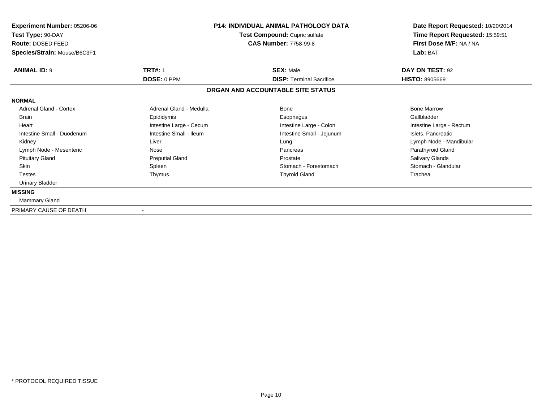| Experiment Number: 05206-06<br>Test Type: 90-DAY<br>Route: DOSED FEED<br>Species/Strain: Mouse/B6C3F1 | P14: INDIVIDUAL ANIMAL PATHOLOGY DATA<br>Test Compound: Cupric sulfate<br><b>CAS Number: 7758-99-8</b> |                                                     | Date Report Requested: 10/20/2014<br>Time Report Requested: 15:59:51<br>First Dose M/F: NA / NA<br>Lab: BAT |  |
|-------------------------------------------------------------------------------------------------------|--------------------------------------------------------------------------------------------------------|-----------------------------------------------------|-------------------------------------------------------------------------------------------------------------|--|
|                                                                                                       |                                                                                                        |                                                     |                                                                                                             |  |
| <b>ANIMAL ID: 9</b>                                                                                   | <b>TRT#: 1</b><br>DOSE: 0 PPM                                                                          | <b>SEX: Male</b><br><b>DISP: Terminal Sacrifice</b> | DAY ON TEST: 92<br><b>HISTO: 8905669</b>                                                                    |  |
|                                                                                                       |                                                                                                        | ORGAN AND ACCOUNTABLE SITE STATUS                   |                                                                                                             |  |
| <b>NORMAL</b>                                                                                         |                                                                                                        |                                                     |                                                                                                             |  |
| <b>Adrenal Gland - Cortex</b>                                                                         | Adrenal Gland - Medulla                                                                                | Bone                                                | <b>Bone Marrow</b>                                                                                          |  |
| <b>Brain</b>                                                                                          | Epididymis                                                                                             | Esophagus                                           | Gallbladder                                                                                                 |  |
| Heart                                                                                                 | Intestine Large - Cecum                                                                                | Intestine Large - Colon                             | Intestine Large - Rectum                                                                                    |  |
| Intestine Small - Duodenum                                                                            | Intestine Small - Ileum                                                                                | Intestine Small - Jejunum                           | Islets, Pancreatic                                                                                          |  |
| Kidney                                                                                                | Liver                                                                                                  | Lung                                                | Lymph Node - Mandibular                                                                                     |  |
| Lymph Node - Mesenteric                                                                               | Nose                                                                                                   | Pancreas                                            | Parathyroid Gland                                                                                           |  |
| <b>Pituitary Gland</b>                                                                                | <b>Preputial Gland</b>                                                                                 | Prostate                                            | Salivary Glands                                                                                             |  |
| <b>Skin</b>                                                                                           | Spleen                                                                                                 | Stomach - Forestomach                               | Stomach - Glandular                                                                                         |  |
| <b>Testes</b>                                                                                         | Thymus                                                                                                 | <b>Thyroid Gland</b>                                | Trachea                                                                                                     |  |
| Urinary Bladder                                                                                       |                                                                                                        |                                                     |                                                                                                             |  |
| <b>MISSING</b>                                                                                        |                                                                                                        |                                                     |                                                                                                             |  |
| <b>Mammary Gland</b>                                                                                  |                                                                                                        |                                                     |                                                                                                             |  |
| PRIMARY CAUSE OF DEATH                                                                                |                                                                                                        |                                                     |                                                                                                             |  |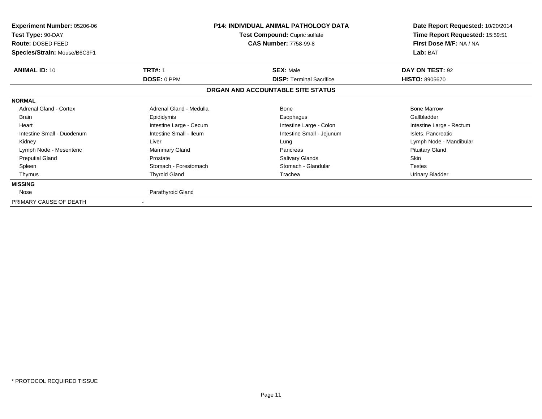| Experiment Number: 05206-06<br>Test Type: 90-DAY<br><b>Route: DOSED FEED</b><br>Species/Strain: Mouse/B6C3F1 | <b>P14: INDIVIDUAL ANIMAL PATHOLOGY DATA</b><br>Test Compound: Cupric sulfate<br><b>CAS Number: 7758-99-8</b> |                                   | Date Report Requested: 10/20/2014<br>Time Report Requested: 15:59:51<br>First Dose M/F: NA / NA<br>Lab: BAT |
|--------------------------------------------------------------------------------------------------------------|---------------------------------------------------------------------------------------------------------------|-----------------------------------|-------------------------------------------------------------------------------------------------------------|
| <b>ANIMAL ID: 10</b>                                                                                         | <b>TRT#: 1</b>                                                                                                | <b>SEX: Male</b>                  | DAY ON TEST: 92                                                                                             |
|                                                                                                              | <b>DOSE: 0 PPM</b>                                                                                            | <b>DISP: Terminal Sacrifice</b>   | <b>HISTO: 8905670</b>                                                                                       |
|                                                                                                              |                                                                                                               | ORGAN AND ACCOUNTABLE SITE STATUS |                                                                                                             |
| <b>NORMAL</b>                                                                                                |                                                                                                               |                                   |                                                                                                             |
| <b>Adrenal Gland - Cortex</b>                                                                                | Adrenal Gland - Medulla                                                                                       | Bone                              | <b>Bone Marrow</b>                                                                                          |
| <b>Brain</b>                                                                                                 | Epididymis                                                                                                    | Esophagus                         | Gallbladder                                                                                                 |
| Heart                                                                                                        | Intestine Large - Cecum                                                                                       | Intestine Large - Colon           | Intestine Large - Rectum                                                                                    |
| Intestine Small - Duodenum                                                                                   | Intestine Small - Ileum                                                                                       | Intestine Small - Jejunum         | Islets, Pancreatic                                                                                          |
| Kidney                                                                                                       | Liver                                                                                                         | Lung                              | Lymph Node - Mandibular                                                                                     |
| Lymph Node - Mesenteric                                                                                      | Mammary Gland                                                                                                 | Pancreas                          | <b>Pituitary Gland</b>                                                                                      |
| <b>Preputial Gland</b>                                                                                       | Prostate                                                                                                      | Salivary Glands                   | Skin                                                                                                        |
| Spleen                                                                                                       | Stomach - Forestomach                                                                                         | Stomach - Glandular               | <b>Testes</b>                                                                                               |
| Thymus                                                                                                       | <b>Thyroid Gland</b>                                                                                          | Trachea                           | <b>Urinary Bladder</b>                                                                                      |
| <b>MISSING</b>                                                                                               |                                                                                                               |                                   |                                                                                                             |
| Nose                                                                                                         | Parathyroid Gland                                                                                             |                                   |                                                                                                             |
| PRIMARY CAUSE OF DEATH                                                                                       |                                                                                                               |                                   |                                                                                                             |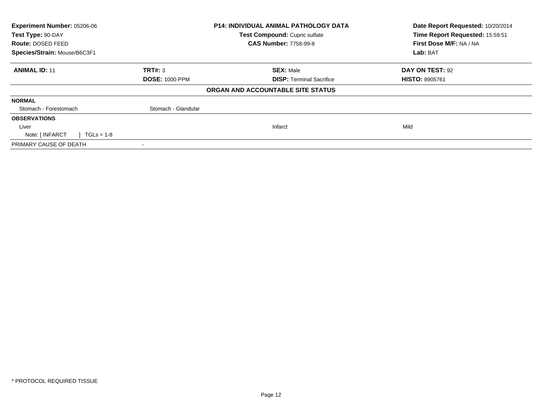| Experiment Number: 05206-06<br>Test Type: 90-DAY |                       | <b>P14: INDIVIDUAL ANIMAL PATHOLOGY DATA</b><br>Test Compound: Cupric sulfate | Date Report Requested: 10/20/2014<br>Time Report Requested: 15:59:51 |
|--------------------------------------------------|-----------------------|-------------------------------------------------------------------------------|----------------------------------------------------------------------|
| Route: DOSED FEED                                |                       | <b>CAS Number: 7758-99-8</b>                                                  | First Dose M/F: NA / NA                                              |
| Species/Strain: Mouse/B6C3F1                     |                       |                                                                               | Lab: BAT                                                             |
| <b>ANIMAL ID: 11</b>                             | TRT#: 3               | <b>SEX: Male</b>                                                              | DAY ON TEST: 92                                                      |
|                                                  | <b>DOSE: 1000 PPM</b> | <b>DISP: Terminal Sacrifice</b>                                               | <b>HISTO: 8905761</b>                                                |
|                                                  |                       | ORGAN AND ACCOUNTABLE SITE STATUS                                             |                                                                      |
| <b>NORMAL</b>                                    |                       |                                                                               |                                                                      |
| Stomach - Forestomach                            | Stomach - Glandular   |                                                                               |                                                                      |
| <b>OBSERVATIONS</b>                              |                       |                                                                               |                                                                      |
| Liver                                            |                       | Infarct                                                                       | Mild                                                                 |
| Note: [ INFARCT<br>$TGLs = 1-8$                  |                       |                                                                               |                                                                      |
| PRIMARY CAUSE OF DEATH                           |                       |                                                                               |                                                                      |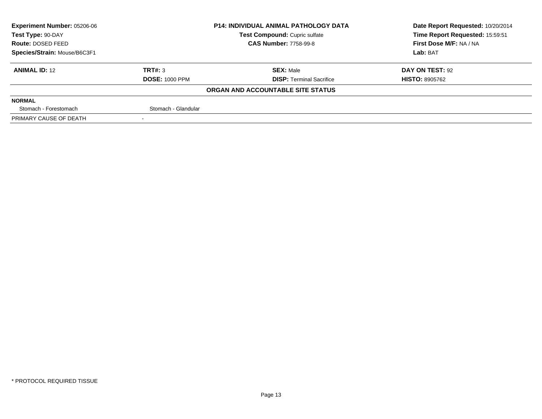| <b>Experiment Number: 05206-06</b> |                       | <b>P14: INDIVIDUAL ANIMAL PATHOLOGY DATA</b> | Date Report Requested: 10/20/2014 |
|------------------------------------|-----------------------|----------------------------------------------|-----------------------------------|
| Test Type: 90-DAY                  |                       | Test Compound: Cupric sulfate                | Time Report Requested: 15:59:51   |
| <b>Route: DOSED FEED</b>           |                       | <b>CAS Number: 7758-99-8</b>                 | First Dose M/F: NA / NA           |
| Species/Strain: Mouse/B6C3F1       |                       |                                              | Lab: BAT                          |
| <b>ANIMAL ID: 12</b>               | TRT#: 3               | <b>SEX: Male</b>                             | DAY ON TEST: 92                   |
|                                    | <b>DOSE: 1000 PPM</b> | <b>DISP:</b> Terminal Sacrifice              | <b>HISTO: 8905762</b>             |
|                                    |                       | ORGAN AND ACCOUNTABLE SITE STATUS            |                                   |
| <b>NORMAL</b>                      |                       |                                              |                                   |
| Stomach - Forestomach              | Stomach - Glandular   |                                              |                                   |
| PRIMARY CAUSE OF DEATH             |                       |                                              |                                   |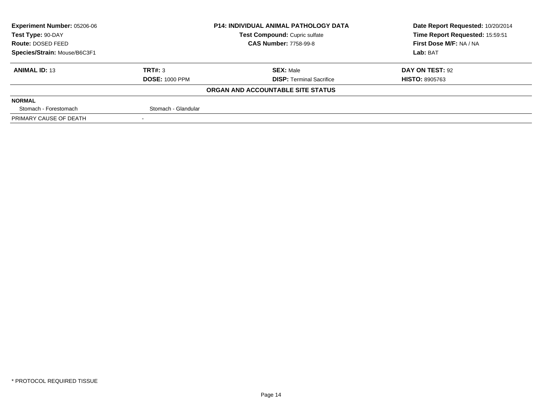| <b>Experiment Number: 05206-06</b> |                       | <b>P14: INDIVIDUAL ANIMAL PATHOLOGY DATA</b> | Date Report Requested: 10/20/2014 |
|------------------------------------|-----------------------|----------------------------------------------|-----------------------------------|
| Test Type: 90-DAY                  |                       | Test Compound: Cupric sulfate                | Time Report Requested: 15:59:51   |
| <b>Route: DOSED FEED</b>           |                       | <b>CAS Number: 7758-99-8</b>                 | First Dose M/F: NA / NA           |
| Species/Strain: Mouse/B6C3F1       |                       |                                              | Lab: BAT                          |
| <b>ANIMAL ID: 13</b>               | TRT#: 3               | <b>SEX: Male</b>                             | DAY ON TEST: 92                   |
|                                    | <b>DOSE: 1000 PPM</b> | <b>DISP:</b> Terminal Sacrifice              | <b>HISTO: 8905763</b>             |
|                                    |                       | ORGAN AND ACCOUNTABLE SITE STATUS            |                                   |
| <b>NORMAL</b>                      |                       |                                              |                                   |
| Stomach - Forestomach              | Stomach - Glandular   |                                              |                                   |
| PRIMARY CAUSE OF DEATH             |                       |                                              |                                   |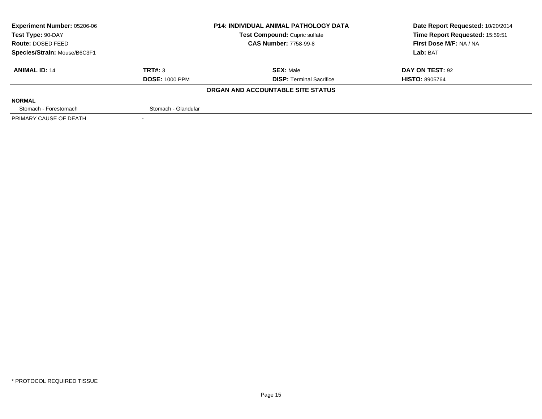| Experiment Number: 05206-06  |                       | <b>P14: INDIVIDUAL ANIMAL PATHOLOGY DATA</b> | Date Report Requested: 10/20/2014 |
|------------------------------|-----------------------|----------------------------------------------|-----------------------------------|
| Test Type: 90-DAY            |                       | <b>Test Compound: Cupric sulfate</b>         | Time Report Requested: 15:59:51   |
| Route: DOSED FEED            |                       | <b>CAS Number: 7758-99-8</b>                 | First Dose M/F: NA / NA           |
| Species/Strain: Mouse/B6C3F1 |                       |                                              | Lab: BAT                          |
| <b>ANIMAL ID: 14</b>         | TRT#: 3               | <b>SEX: Male</b>                             | DAY ON TEST: 92                   |
|                              | <b>DOSE: 1000 PPM</b> | <b>DISP:</b> Terminal Sacrifice              | <b>HISTO: 8905764</b>             |
|                              |                       | ORGAN AND ACCOUNTABLE SITE STATUS            |                                   |
| <b>NORMAL</b>                |                       |                                              |                                   |
| Stomach - Forestomach        | Stomach - Glandular   |                                              |                                   |
| PRIMARY CAUSE OF DEATH       |                       |                                              |                                   |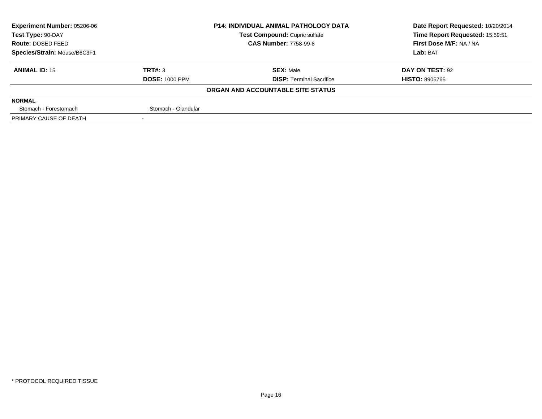| <b>Experiment Number: 05206-06</b> |                       | <b>P14: INDIVIDUAL ANIMAL PATHOLOGY DATA</b> | Date Report Requested: 10/20/2014 |
|------------------------------------|-----------------------|----------------------------------------------|-----------------------------------|
| Test Type: 90-DAY                  |                       | Test Compound: Cupric sulfate                | Time Report Requested: 15:59:51   |
| <b>Route: DOSED FEED</b>           |                       | <b>CAS Number: 7758-99-8</b>                 | First Dose M/F: NA / NA           |
| Species/Strain: Mouse/B6C3F1       |                       |                                              | Lab: BAT                          |
| <b>ANIMAL ID: 15</b>               | TRT#: 3               | <b>SEX: Male</b>                             | DAY ON TEST: 92                   |
|                                    | <b>DOSE: 1000 PPM</b> | <b>DISP: Terminal Sacrifice</b>              | <b>HISTO: 8905765</b>             |
|                                    |                       | ORGAN AND ACCOUNTABLE SITE STATUS            |                                   |
| <b>NORMAL</b>                      |                       |                                              |                                   |
| Stomach - Forestomach              | Stomach - Glandular   |                                              |                                   |
| PRIMARY CAUSE OF DEATH             |                       |                                              |                                   |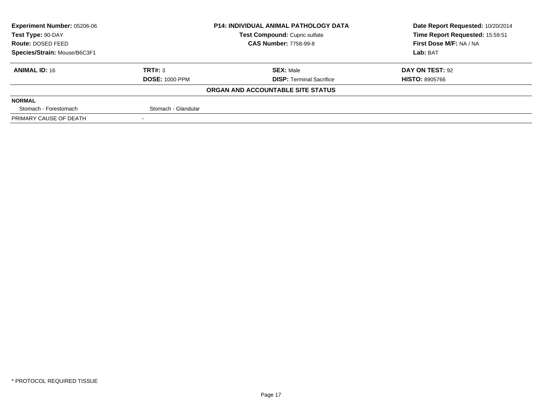| <b>Experiment Number: 05206-06</b> |                       | <b>P14: INDIVIDUAL ANIMAL PATHOLOGY DATA</b> | Date Report Requested: 10/20/2014 |
|------------------------------------|-----------------------|----------------------------------------------|-----------------------------------|
| Test Type: 90-DAY                  |                       | Test Compound: Cupric sulfate                | Time Report Requested: 15:59:51   |
| <b>Route: DOSED FEED</b>           |                       | <b>CAS Number: 7758-99-8</b>                 | First Dose M/F: NA / NA           |
| Species/Strain: Mouse/B6C3F1       |                       |                                              | Lab: BAT                          |
| <b>ANIMAL ID: 16</b>               | TRT#: 3               | <b>SEX: Male</b>                             | DAY ON TEST: 92                   |
|                                    | <b>DOSE: 1000 PPM</b> | <b>DISP: Terminal Sacrifice</b>              | <b>HISTO: 8905766</b>             |
|                                    |                       | ORGAN AND ACCOUNTABLE SITE STATUS            |                                   |
| <b>NORMAL</b>                      |                       |                                              |                                   |
| Stomach - Forestomach              | Stomach - Glandular   |                                              |                                   |
| PRIMARY CAUSE OF DEATH             |                       |                                              |                                   |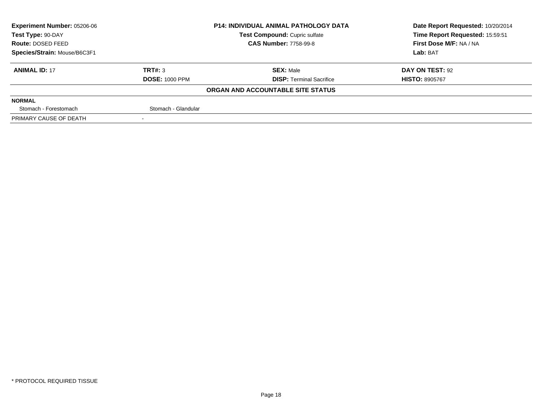| <b>Experiment Number: 05206-06</b> |                       | <b>P14: INDIVIDUAL ANIMAL PATHOLOGY DATA</b> | Date Report Requested: 10/20/2014 |
|------------------------------------|-----------------------|----------------------------------------------|-----------------------------------|
| Test Type: 90-DAY                  |                       | Test Compound: Cupric sulfate                | Time Report Requested: 15:59:51   |
| <b>Route: DOSED FEED</b>           |                       | <b>CAS Number: 7758-99-8</b>                 | First Dose M/F: NA / NA           |
| Species/Strain: Mouse/B6C3F1       |                       |                                              | Lab: BAT                          |
| <b>ANIMAL ID: 17</b>               | TRT#: 3               | <b>SEX: Male</b>                             | DAY ON TEST: 92                   |
|                                    | <b>DOSE: 1000 PPM</b> | <b>DISP:</b> Terminal Sacrifice              | <b>HISTO: 8905767</b>             |
|                                    |                       | ORGAN AND ACCOUNTABLE SITE STATUS            |                                   |
| <b>NORMAL</b>                      |                       |                                              |                                   |
| Stomach - Forestomach              | Stomach - Glandular   |                                              |                                   |
| PRIMARY CAUSE OF DEATH             |                       |                                              |                                   |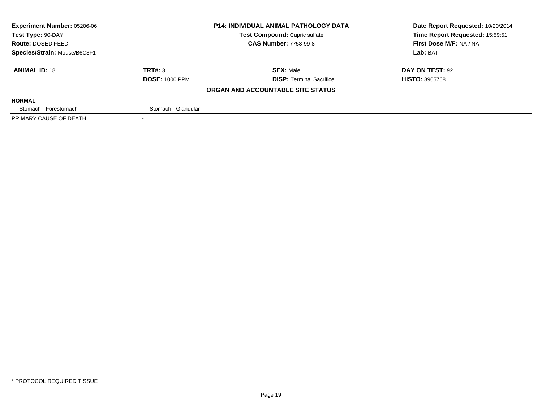| <b>Experiment Number: 05206-06</b> |                       | <b>P14: INDIVIDUAL ANIMAL PATHOLOGY DATA</b> | Date Report Requested: 10/20/2014 |  |
|------------------------------------|-----------------------|----------------------------------------------|-----------------------------------|--|
| Test Type: 90-DAY                  |                       | Test Compound: Cupric sulfate                | Time Report Requested: 15:59:51   |  |
| Route: DOSED FEED                  |                       | <b>CAS Number: 7758-99-8</b>                 | First Dose M/F: NA / NA           |  |
| Species/Strain: Mouse/B6C3F1       |                       |                                              | Lab: BAT                          |  |
| <b>ANIMAL ID: 18</b>               | TRT#: 3               | <b>SEX: Male</b>                             | DAY ON TEST: 92                   |  |
|                                    | <b>DOSE: 1000 PPM</b> | <b>DISP: Terminal Sacrifice</b>              | <b>HISTO: 8905768</b>             |  |
|                                    |                       | ORGAN AND ACCOUNTABLE SITE STATUS            |                                   |  |
| <b>NORMAL</b>                      |                       |                                              |                                   |  |
| Stomach - Forestomach              | Stomach - Glandular   |                                              |                                   |  |
| PRIMARY CAUSE OF DEATH             |                       |                                              |                                   |  |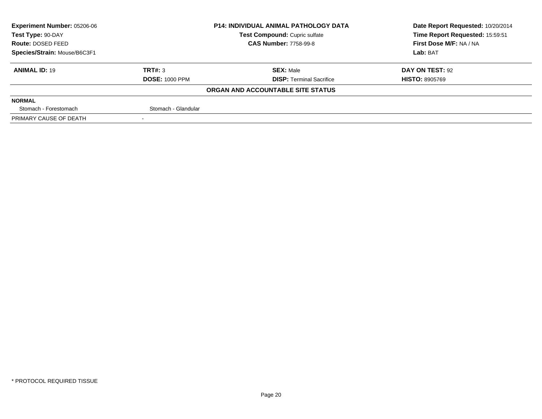| <b>Experiment Number: 05206-06</b> |                       | <b>P14: INDIVIDUAL ANIMAL PATHOLOGY DATA</b> | Date Report Requested: 10/20/2014 |
|------------------------------------|-----------------------|----------------------------------------------|-----------------------------------|
| Test Type: 90-DAY                  |                       | Test Compound: Cupric sulfate                | Time Report Requested: 15:59:51   |
| <b>Route: DOSED FEED</b>           |                       | <b>CAS Number: 7758-99-8</b>                 | First Dose M/F: NA / NA           |
| Species/Strain: Mouse/B6C3F1       |                       |                                              | Lab: BAT                          |
| <b>ANIMAL ID: 19</b>               | TRT#: 3               | <b>SEX: Male</b>                             | DAY ON TEST: 92                   |
|                                    | <b>DOSE: 1000 PPM</b> | <b>DISP:</b> Terminal Sacrifice              | <b>HISTO: 8905769</b>             |
|                                    |                       | ORGAN AND ACCOUNTABLE SITE STATUS            |                                   |
| <b>NORMAL</b>                      |                       |                                              |                                   |
| Stomach - Forestomach              | Stomach - Glandular   |                                              |                                   |
| PRIMARY CAUSE OF DEATH             |                       |                                              |                                   |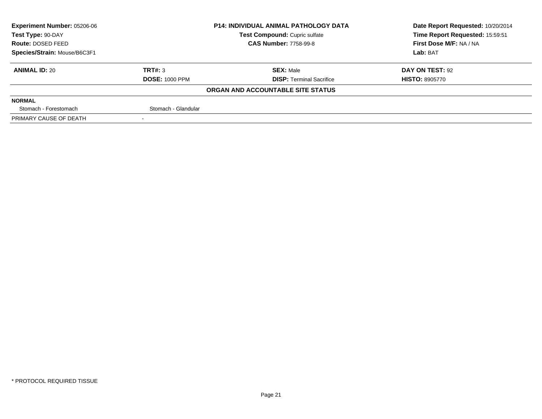| <b>Experiment Number: 05206-06</b> |                       | <b>P14: INDIVIDUAL ANIMAL PATHOLOGY DATA</b> | Date Report Requested: 10/20/2014 |
|------------------------------------|-----------------------|----------------------------------------------|-----------------------------------|
| Test Type: 90-DAY                  |                       | Test Compound: Cupric sulfate                | Time Report Requested: 15:59:51   |
| <b>Route: DOSED FEED</b>           |                       | <b>CAS Number: 7758-99-8</b>                 | First Dose M/F: NA / NA           |
| Species/Strain: Mouse/B6C3F1       |                       |                                              | Lab: BAT                          |
| <b>ANIMAL ID: 20</b>               | TRT#: 3               | <b>SEX: Male</b>                             | DAY ON TEST: 92                   |
|                                    | <b>DOSE: 1000 PPM</b> | <b>DISP:</b> Terminal Sacrifice              | <b>HISTO: 8905770</b>             |
|                                    |                       | ORGAN AND ACCOUNTABLE SITE STATUS            |                                   |
| <b>NORMAL</b>                      |                       |                                              |                                   |
| Stomach - Forestomach              | Stomach - Glandular   |                                              |                                   |
| PRIMARY CAUSE OF DEATH             |                       |                                              |                                   |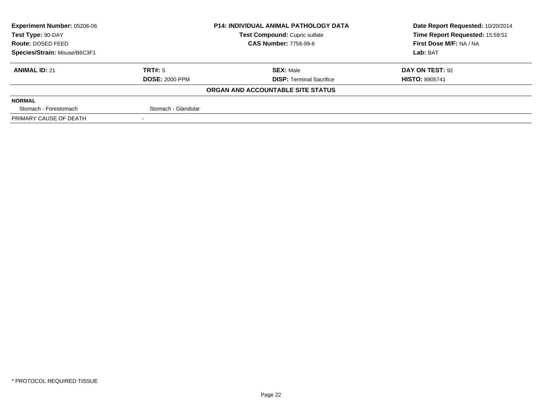| <b>Experiment Number: 05206-06</b> |                       | <b>P14: INDIVIDUAL ANIMAL PATHOLOGY DATA</b> | Date Report Requested: 10/20/2014 |  |
|------------------------------------|-----------------------|----------------------------------------------|-----------------------------------|--|
| Test Type: 90-DAY                  |                       | Test Compound: Cupric sulfate                | Time Report Requested: 15:59:51   |  |
| <b>Route: DOSED FEED</b>           |                       | <b>CAS Number: 7758-99-8</b>                 | First Dose M/F: NA / NA           |  |
| Species/Strain: Mouse/B6C3F1       |                       |                                              | Lab: BAT                          |  |
| <b>ANIMAL ID: 21</b>               | TRT#: 5               | <b>SEX: Male</b>                             | DAY ON TEST: 92                   |  |
|                                    | <b>DOSE: 2000 PPM</b> | <b>DISP:</b> Terminal Sacrifice              | <b>HISTO: 8905741</b>             |  |
|                                    |                       | ORGAN AND ACCOUNTABLE SITE STATUS            |                                   |  |
| <b>NORMAL</b>                      |                       |                                              |                                   |  |
| Stomach - Forestomach              | Stomach - Glandular   |                                              |                                   |  |
| PRIMARY CAUSE OF DEATH             |                       |                                              |                                   |  |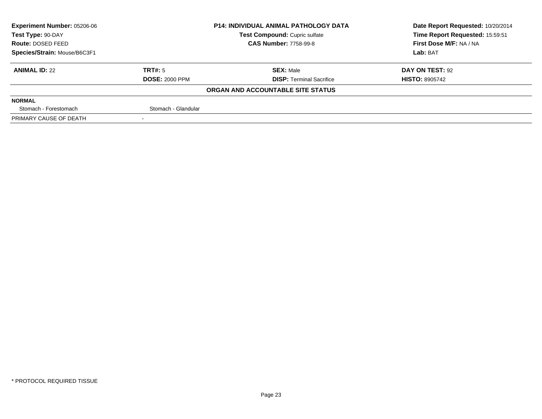| <b>Experiment Number: 05206-06</b> |                       | <b>P14: INDIVIDUAL ANIMAL PATHOLOGY DATA</b> | Date Report Requested: 10/20/2014 |  |
|------------------------------------|-----------------------|----------------------------------------------|-----------------------------------|--|
| Test Type: 90-DAY                  |                       | Test Compound: Cupric sulfate                | Time Report Requested: 15:59:51   |  |
| <b>Route: DOSED FEED</b>           |                       | <b>CAS Number: 7758-99-8</b>                 | First Dose M/F: NA / NA           |  |
| Species/Strain: Mouse/B6C3F1       |                       |                                              | Lab: BAT                          |  |
| <b>ANIMAL ID: 22</b>               | TRT#: 5               | <b>SEX: Male</b>                             | <b>DAY ON TEST: 92</b>            |  |
|                                    | <b>DOSE: 2000 PPM</b> | <b>DISP: Terminal Sacrifice</b>              | <b>HISTO: 8905742</b>             |  |
|                                    |                       | ORGAN AND ACCOUNTABLE SITE STATUS            |                                   |  |
| <b>NORMAL</b>                      |                       |                                              |                                   |  |
| Stomach - Forestomach              | Stomach - Glandular   |                                              |                                   |  |
| PRIMARY CAUSE OF DEATH             |                       |                                              |                                   |  |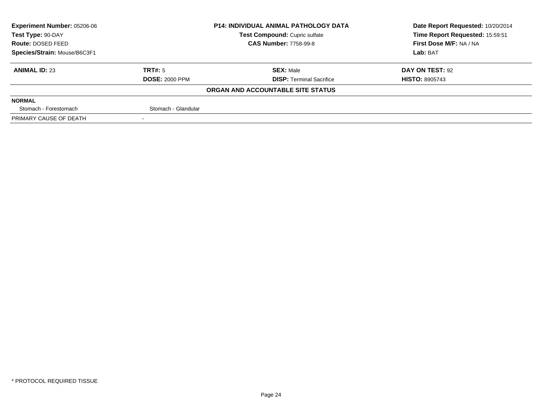| <b>Experiment Number: 05206-06</b> |                       | <b>P14: INDIVIDUAL ANIMAL PATHOLOGY DATA</b> | Date Report Requested: 10/20/2014 |
|------------------------------------|-----------------------|----------------------------------------------|-----------------------------------|
| Test Type: 90-DAY                  |                       | Test Compound: Cupric sulfate                | Time Report Requested: 15:59:51   |
| <b>Route: DOSED FEED</b>           |                       | <b>CAS Number: 7758-99-8</b>                 | First Dose M/F: NA / NA           |
| Species/Strain: Mouse/B6C3F1       |                       |                                              | Lab: BAT                          |
| <b>ANIMAL ID: 23</b>               | <b>TRT#:</b> 5        | <b>SEX: Male</b>                             | <b>DAY ON TEST: 92</b>            |
|                                    | <b>DOSE: 2000 PPM</b> | <b>DISP: Terminal Sacrifice</b>              | <b>HISTO: 8905743</b>             |
|                                    |                       | ORGAN AND ACCOUNTABLE SITE STATUS            |                                   |
| <b>NORMAL</b>                      |                       |                                              |                                   |
| Stomach - Forestomach              | Stomach - Glandular   |                                              |                                   |
| PRIMARY CAUSE OF DEATH             |                       |                                              |                                   |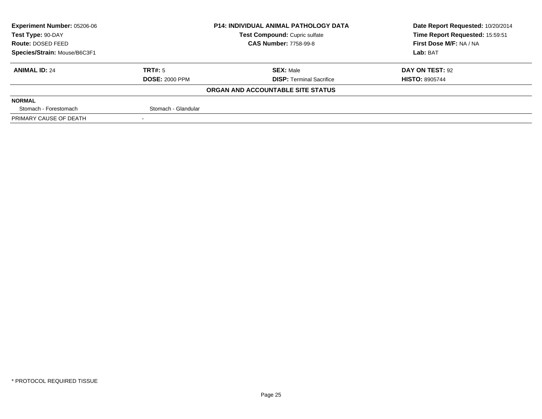| <b>Experiment Number: 05206-06</b> |                       | <b>P14: INDIVIDUAL ANIMAL PATHOLOGY DATA</b> | Date Report Requested: 10/20/2014 |
|------------------------------------|-----------------------|----------------------------------------------|-----------------------------------|
| Test Type: 90-DAY                  |                       | Test Compound: Cupric sulfate                | Time Report Requested: 15:59:51   |
| <b>Route: DOSED FEED</b>           |                       | <b>CAS Number: 7758-99-8</b>                 | First Dose M/F: NA / NA           |
| Species/Strain: Mouse/B6C3F1       |                       |                                              | Lab: BAT                          |
| <b>ANIMAL ID: 24</b>               | <b>TRT#:</b> 5        | <b>SEX: Male</b>                             | <b>DAY ON TEST: 92</b>            |
|                                    | <b>DOSE: 2000 PPM</b> | <b>DISP: Terminal Sacrifice</b>              | <b>HISTO: 8905744</b>             |
|                                    |                       | ORGAN AND ACCOUNTABLE SITE STATUS            |                                   |
| <b>NORMAL</b>                      |                       |                                              |                                   |
| Stomach - Forestomach              | Stomach - Glandular   |                                              |                                   |
| PRIMARY CAUSE OF DEATH             |                       |                                              |                                   |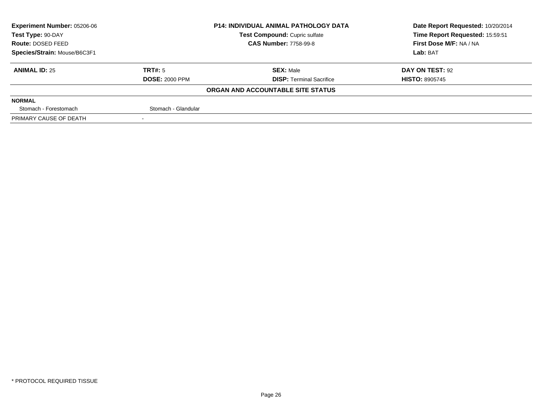| <b>Experiment Number: 05206-06</b> |                       | <b>P14: INDIVIDUAL ANIMAL PATHOLOGY DATA</b> | Date Report Requested: 10/20/2014 |  |
|------------------------------------|-----------------------|----------------------------------------------|-----------------------------------|--|
| Test Type: 90-DAY                  |                       | Test Compound: Cupric sulfate                | Time Report Requested: 15:59:51   |  |
| <b>Route: DOSED FEED</b>           |                       | <b>CAS Number: 7758-99-8</b>                 | First Dose M/F: NA / NA           |  |
| Species/Strain: Mouse/B6C3F1       |                       |                                              | Lab: BAT                          |  |
| <b>ANIMAL ID: 25</b>               | TRT#: 5               | <b>SEX: Male</b>                             | DAY ON TEST: 92                   |  |
|                                    | <b>DOSE: 2000 PPM</b> | <b>DISP:</b> Terminal Sacrifice              | <b>HISTO: 8905745</b>             |  |
|                                    |                       | ORGAN AND ACCOUNTABLE SITE STATUS            |                                   |  |
| <b>NORMAL</b>                      |                       |                                              |                                   |  |
| Stomach - Forestomach              | Stomach - Glandular   |                                              |                                   |  |
| PRIMARY CAUSE OF DEATH             |                       |                                              |                                   |  |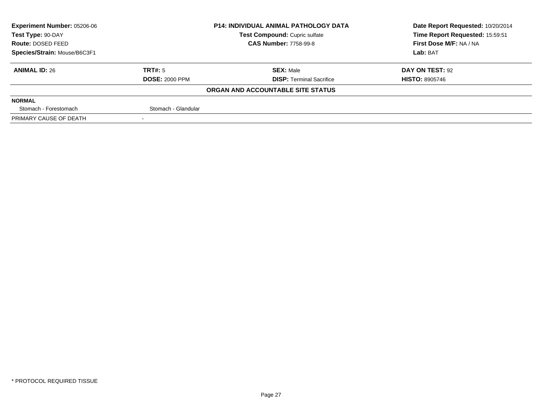| <b>P14: INDIVIDUAL ANIMAL PATHOLOGY DATA</b><br><b>Experiment Number: 05206-06</b> |                       |                                   | Date Report Requested: 10/20/2014 |  |
|------------------------------------------------------------------------------------|-----------------------|-----------------------------------|-----------------------------------|--|
| Test Type: 90-DAY                                                                  |                       | Test Compound: Cupric sulfate     | Time Report Requested: 15:59:51   |  |
| <b>Route: DOSED FEED</b>                                                           |                       | <b>CAS Number: 7758-99-8</b>      | First Dose M/F: NA / NA           |  |
| Species/Strain: Mouse/B6C3F1                                                       |                       |                                   | Lab: BAT                          |  |
| <b>ANIMAL ID: 26</b>                                                               | TRT#: 5               | <b>SEX: Male</b>                  | DAY ON TEST: 92                   |  |
|                                                                                    | <b>DOSE: 2000 PPM</b> | <b>DISP:</b> Terminal Sacrifice   | <b>HISTO: 8905746</b>             |  |
|                                                                                    |                       | ORGAN AND ACCOUNTABLE SITE STATUS |                                   |  |
| <b>NORMAL</b>                                                                      |                       |                                   |                                   |  |
| Stomach - Forestomach                                                              | Stomach - Glandular   |                                   |                                   |  |
| PRIMARY CAUSE OF DEATH                                                             |                       |                                   |                                   |  |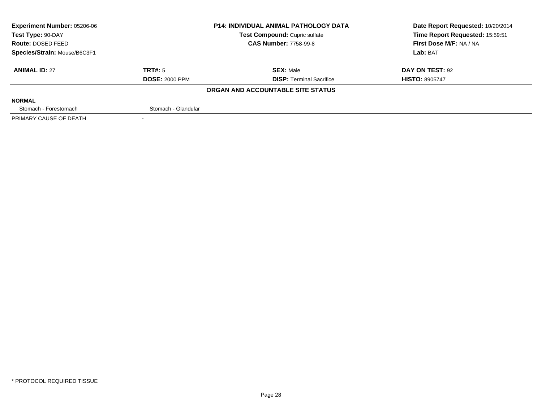| Experiment Number: 05206-06  |                       | <b>P14: INDIVIDUAL ANIMAL PATHOLOGY DATA</b> | Date Report Requested: 10/20/2014 |  |
|------------------------------|-----------------------|----------------------------------------------|-----------------------------------|--|
| Test Type: 90-DAY            |                       | Test Compound: Cupric sulfate                | Time Report Requested: 15:59:51   |  |
| <b>Route: DOSED FEED</b>     |                       | <b>CAS Number: 7758-99-8</b>                 | First Dose M/F: NA / NA           |  |
| Species/Strain: Mouse/B6C3F1 |                       |                                              | Lab: BAT                          |  |
| <b>ANIMAL ID: 27</b>         | TRT#: 5               | <b>SEX: Male</b>                             | DAY ON TEST: 92                   |  |
|                              | <b>DOSE: 2000 PPM</b> | <b>DISP: Terminal Sacrifice</b>              | <b>HISTO: 8905747</b>             |  |
|                              |                       | ORGAN AND ACCOUNTABLE SITE STATUS            |                                   |  |
| <b>NORMAL</b>                |                       |                                              |                                   |  |
| Stomach - Forestomach        | Stomach - Glandular   |                                              |                                   |  |
| PRIMARY CAUSE OF DEATH       |                       |                                              |                                   |  |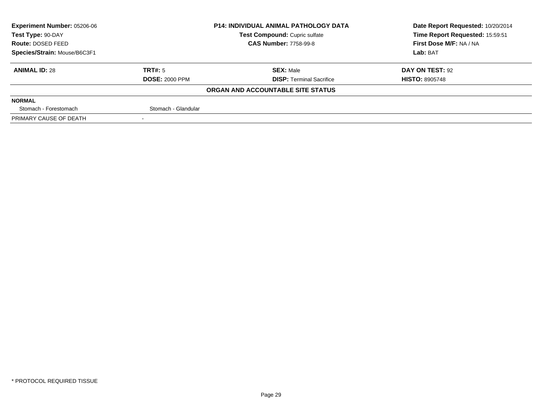| <b>Experiment Number: 05206-06</b> |                       | <b>P14: INDIVIDUAL ANIMAL PATHOLOGY DATA</b> | Date Report Requested: 10/20/2014 |
|------------------------------------|-----------------------|----------------------------------------------|-----------------------------------|
| Test Type: 90-DAY                  |                       | <b>Test Compound: Cupric sulfate</b>         | Time Report Requested: 15:59:51   |
| Route: DOSED FEED                  |                       | <b>CAS Number: 7758-99-8</b>                 | First Dose M/F: NA / NA           |
| Species/Strain: Mouse/B6C3F1       |                       |                                              | Lab: BAT                          |
| <b>ANIMAL ID: 28</b>               | TRT#: 5               | <b>SEX: Male</b>                             | DAY ON TEST: 92                   |
|                                    | <b>DOSE: 2000 PPM</b> | <b>DISP:</b> Terminal Sacrifice              | <b>HISTO: 8905748</b>             |
|                                    |                       | ORGAN AND ACCOUNTABLE SITE STATUS            |                                   |
| <b>NORMAL</b>                      |                       |                                              |                                   |
| Stomach - Forestomach              | Stomach - Glandular   |                                              |                                   |
| PRIMARY CAUSE OF DEATH             |                       |                                              |                                   |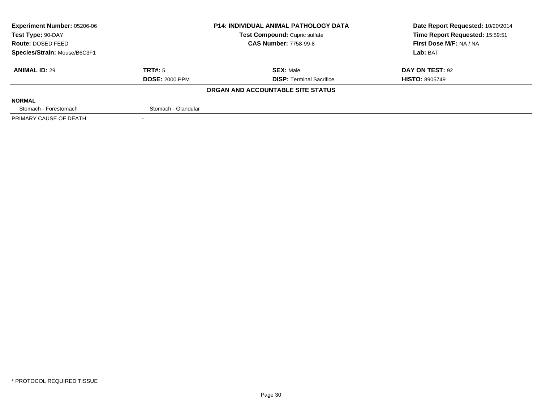| <b>Experiment Number: 05206-06</b> |                       | <b>P14: INDIVIDUAL ANIMAL PATHOLOGY DATA</b> | Date Report Requested: 10/20/2014 |
|------------------------------------|-----------------------|----------------------------------------------|-----------------------------------|
| Test Type: 90-DAY                  |                       | <b>Test Compound: Cupric sulfate</b>         | Time Report Requested: 15:59:51   |
| Route: DOSED FEED                  |                       | <b>CAS Number: 7758-99-8</b>                 | First Dose M/F: NA / NA           |
| Species/Strain: Mouse/B6C3F1       |                       |                                              | Lab: BAT                          |
| <b>ANIMAL ID: 29</b>               | TRT#: 5               | <b>SEX: Male</b>                             | DAY ON TEST: 92                   |
|                                    | <b>DOSE: 2000 PPM</b> | <b>DISP:</b> Terminal Sacrifice              | <b>HISTO: 8905749</b>             |
|                                    |                       | ORGAN AND ACCOUNTABLE SITE STATUS            |                                   |
| <b>NORMAL</b>                      |                       |                                              |                                   |
| Stomach - Forestomach              | Stomach - Glandular   |                                              |                                   |
| PRIMARY CAUSE OF DEATH             |                       |                                              |                                   |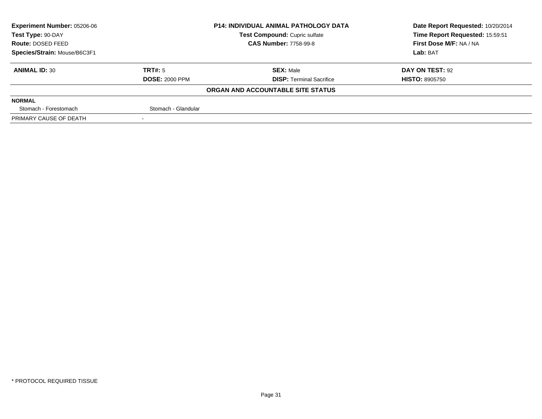| <b>Experiment Number: 05206-06</b> |                       | <b>P14: INDIVIDUAL ANIMAL PATHOLOGY DATA</b> | Date Report Requested: 10/20/2014 |
|------------------------------------|-----------------------|----------------------------------------------|-----------------------------------|
| Test Type: 90-DAY                  |                       | Test Compound: Cupric sulfate                | Time Report Requested: 15:59:51   |
| <b>Route: DOSED FEED</b>           |                       | <b>CAS Number: 7758-99-8</b>                 | First Dose M/F: NA / NA           |
| Species/Strain: Mouse/B6C3F1       |                       |                                              | Lab: BAT                          |
| <b>ANIMAL ID: 30</b>               | TRT#: 5               | <b>SEX: Male</b>                             | DAY ON TEST: 92                   |
|                                    | <b>DOSE: 2000 PPM</b> | <b>DISP:</b> Terminal Sacrifice              | <b>HISTO: 8905750</b>             |
|                                    |                       | ORGAN AND ACCOUNTABLE SITE STATUS            |                                   |
| <b>NORMAL</b>                      |                       |                                              |                                   |
| Stomach - Forestomach              | Stomach - Glandular   |                                              |                                   |
| PRIMARY CAUSE OF DEATH             |                       |                                              |                                   |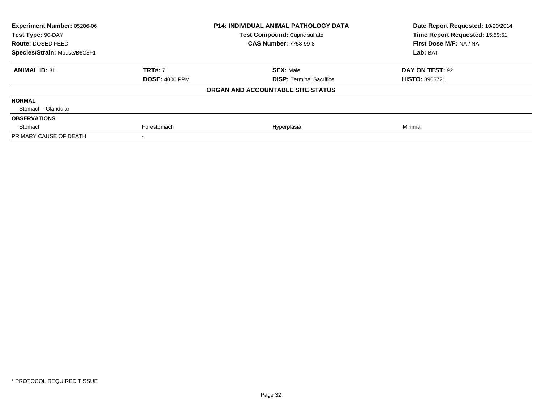| Experiment Number: 05206-06  |                       | <b>P14: INDIVIDUAL ANIMAL PATHOLOGY DATA</b> | Date Report Requested: 10/20/2014 |  |
|------------------------------|-----------------------|----------------------------------------------|-----------------------------------|--|
| Test Type: 90-DAY            |                       | Test Compound: Cupric sulfate                | Time Report Requested: 15:59:51   |  |
| Route: DOSED FEED            |                       | <b>CAS Number: 7758-99-8</b>                 | First Dose M/F: NA / NA           |  |
| Species/Strain: Mouse/B6C3F1 |                       |                                              | Lab: BAT                          |  |
| <b>ANIMAL ID: 31</b>         | <b>TRT#: 7</b>        | <b>SEX: Male</b>                             | DAY ON TEST: 92                   |  |
|                              | <b>DOSE: 4000 PPM</b> | <b>DISP: Terminal Sacrifice</b>              | <b>HISTO: 8905721</b>             |  |
|                              |                       | ORGAN AND ACCOUNTABLE SITE STATUS            |                                   |  |
| <b>NORMAL</b>                |                       |                                              |                                   |  |
| Stomach - Glandular          |                       |                                              |                                   |  |
| <b>OBSERVATIONS</b>          |                       |                                              |                                   |  |
| Stomach                      | Forestomach           | Hyperplasia                                  | Minimal                           |  |
| PRIMARY CAUSE OF DEATH       |                       |                                              |                                   |  |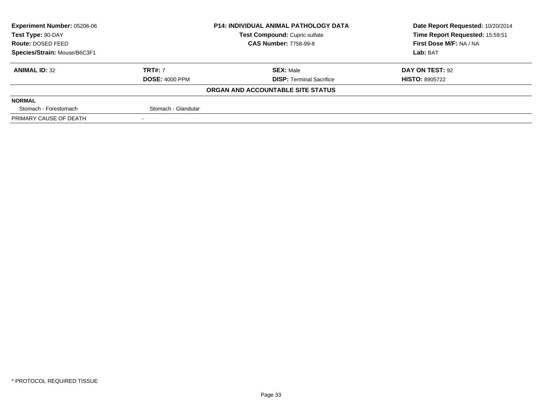| <b>Experiment Number: 05206-06</b> |                       | <b>P14: INDIVIDUAL ANIMAL PATHOLOGY DATA</b> | Date Report Requested: 10/20/2014 |
|------------------------------------|-----------------------|----------------------------------------------|-----------------------------------|
| Test Type: 90-DAY                  |                       | Test Compound: Cupric sulfate                | Time Report Requested: 15:59:51   |
| <b>Route: DOSED FEED</b>           |                       | <b>CAS Number: 7758-99-8</b>                 | First Dose M/F: NA / NA           |
| Species/Strain: Mouse/B6C3F1       |                       |                                              | Lab: BAT                          |
| <b>ANIMAL ID: 32</b>               | <b>TRT#: 7</b>        | <b>SEX: Male</b>                             | DAY ON TEST: 92                   |
|                                    | <b>DOSE: 4000 PPM</b> | <b>DISP:</b> Terminal Sacrifice              | <b>HISTO: 8905722</b>             |
|                                    |                       | ORGAN AND ACCOUNTABLE SITE STATUS            |                                   |
| <b>NORMAL</b>                      |                       |                                              |                                   |
| Stomach - Forestomach              | Stomach - Glandular   |                                              |                                   |
| PRIMARY CAUSE OF DEATH             |                       |                                              |                                   |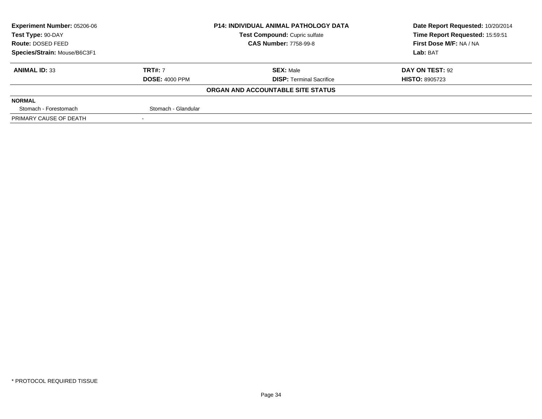| <b>Experiment Number: 05206-06</b> |                       | <b>P14: INDIVIDUAL ANIMAL PATHOLOGY DATA</b> | Date Report Requested: 10/20/2014 |  |
|------------------------------------|-----------------------|----------------------------------------------|-----------------------------------|--|
| Test Type: 90-DAY                  |                       | Test Compound: Cupric sulfate                | Time Report Requested: 15:59:51   |  |
| <b>Route: DOSED FEED</b>           |                       | <b>CAS Number: 7758-99-8</b>                 | First Dose M/F: NA / NA           |  |
| Species/Strain: Mouse/B6C3F1       |                       |                                              | Lab: BAT                          |  |
| <b>ANIMAL ID: 33</b>               | <b>TRT#: 7</b>        | <b>SEX: Male</b>                             | DAY ON TEST: 92                   |  |
|                                    | <b>DOSE: 4000 PPM</b> | <b>DISP:</b> Terminal Sacrifice              | <b>HISTO: 8905723</b>             |  |
|                                    |                       | ORGAN AND ACCOUNTABLE SITE STATUS            |                                   |  |
| <b>NORMAL</b>                      |                       |                                              |                                   |  |
| Stomach - Forestomach              | Stomach - Glandular   |                                              |                                   |  |
| PRIMARY CAUSE OF DEATH             |                       |                                              |                                   |  |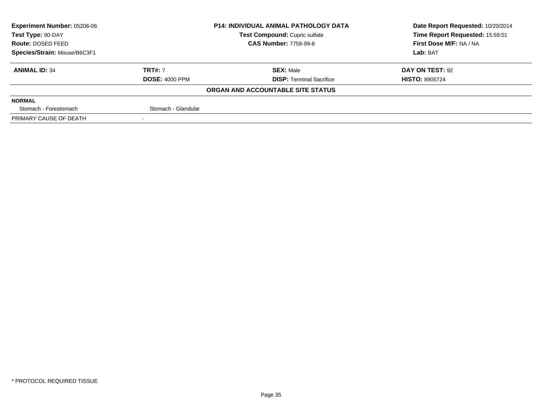| <b>Experiment Number: 05206-06</b> |                       | <b>P14: INDIVIDUAL ANIMAL PATHOLOGY DATA</b> | Date Report Requested: 10/20/2014 |  |
|------------------------------------|-----------------------|----------------------------------------------|-----------------------------------|--|
| Test Type: 90-DAY                  |                       | Test Compound: Cupric sulfate                | Time Report Requested: 15:59:51   |  |
| Route: DOSED FEED                  |                       | <b>CAS Number: 7758-99-8</b>                 | First Dose M/F: NA / NA           |  |
| Species/Strain: Mouse/B6C3F1       |                       |                                              | Lab: BAT                          |  |
| <b>ANIMAL ID: 34</b>               | <b>TRT#: 7</b>        | <b>SEX: Male</b>                             | DAY ON TEST: 92                   |  |
|                                    | <b>DOSE: 4000 PPM</b> | <b>DISP:</b> Terminal Sacrifice              | <b>HISTO: 8905724</b>             |  |
|                                    |                       | ORGAN AND ACCOUNTABLE SITE STATUS            |                                   |  |
| <b>NORMAL</b>                      |                       |                                              |                                   |  |
| Stomach - Forestomach              | Stomach - Glandular   |                                              |                                   |  |
| PRIMARY CAUSE OF DEATH             | $\sim$                |                                              |                                   |  |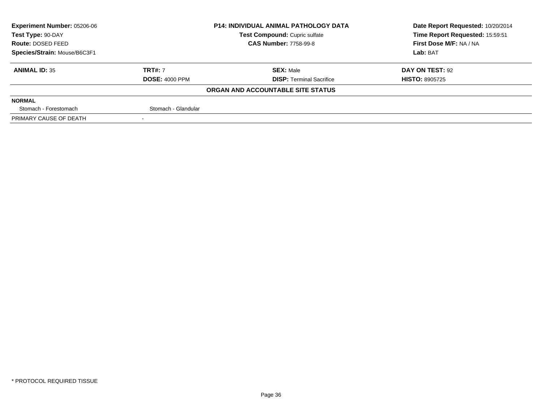| <b>Experiment Number: 05206-06</b> | <b>P14: INDIVIDUAL ANIMAL PATHOLOGY DATA</b><br>Test Compound: Cupric sulfate |                                   | Date Report Requested: 10/20/2014<br>Time Report Requested: 15:59:51 |
|------------------------------------|-------------------------------------------------------------------------------|-----------------------------------|----------------------------------------------------------------------|
| Test Type: 90-DAY                  |                                                                               |                                   |                                                                      |
| <b>Route: DOSED FEED</b>           |                                                                               | <b>CAS Number: 7758-99-8</b>      | First Dose M/F: NA / NA                                              |
| Species/Strain: Mouse/B6C3F1       |                                                                               |                                   | Lab: BAT                                                             |
| <b>ANIMAL ID: 35</b>               | <b>TRT#: 7</b>                                                                | <b>SEX: Male</b>                  | DAY ON TEST: 92                                                      |
|                                    | <b>DOSE: 4000 PPM</b>                                                         | <b>DISP:</b> Terminal Sacrifice   | <b>HISTO: 8905725</b>                                                |
|                                    |                                                                               | ORGAN AND ACCOUNTABLE SITE STATUS |                                                                      |
| <b>NORMAL</b>                      |                                                                               |                                   |                                                                      |
| Stomach - Forestomach              | Stomach - Glandular                                                           |                                   |                                                                      |
| PRIMARY CAUSE OF DEATH             |                                                                               |                                   |                                                                      |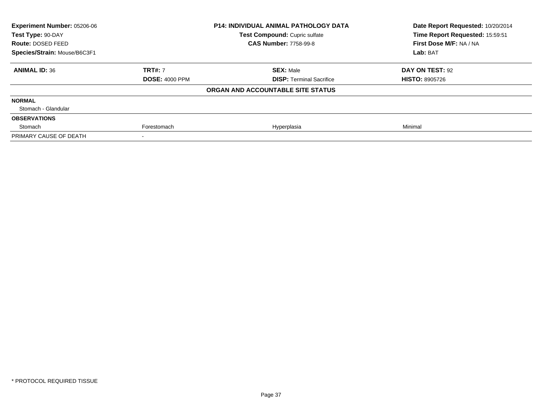| Experiment Number: 05206-06  |                       | <b>P14: INDIVIDUAL ANIMAL PATHOLOGY DATA</b> | Date Report Requested: 10/20/2014 |  |
|------------------------------|-----------------------|----------------------------------------------|-----------------------------------|--|
| Test Type: 90-DAY            |                       | Test Compound: Cupric sulfate                | Time Report Requested: 15:59:51   |  |
| Route: DOSED FEED            |                       | <b>CAS Number: 7758-99-8</b>                 | First Dose M/F: NA / NA           |  |
| Species/Strain: Mouse/B6C3F1 |                       |                                              | Lab: BAT                          |  |
| <b>ANIMAL ID: 36</b>         | <b>TRT#: 7</b>        | <b>SEX: Male</b>                             | DAY ON TEST: 92                   |  |
|                              | <b>DOSE: 4000 PPM</b> | <b>DISP: Terminal Sacrifice</b>              | <b>HISTO: 8905726</b>             |  |
|                              |                       | ORGAN AND ACCOUNTABLE SITE STATUS            |                                   |  |
| <b>NORMAL</b>                |                       |                                              |                                   |  |
| Stomach - Glandular          |                       |                                              |                                   |  |
| <b>OBSERVATIONS</b>          |                       |                                              |                                   |  |
| Stomach                      | Forestomach           | Hyperplasia                                  | Minimal                           |  |
| PRIMARY CAUSE OF DEATH       |                       |                                              |                                   |  |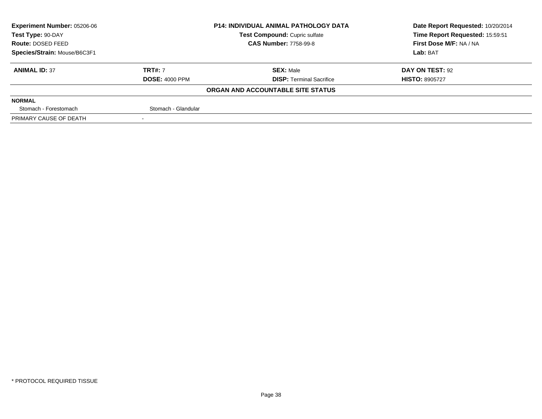| <b>Experiment Number: 05206-06</b> |                       | <b>P14: INDIVIDUAL ANIMAL PATHOLOGY DATA</b> | Date Report Requested: 10/20/2014 |
|------------------------------------|-----------------------|----------------------------------------------|-----------------------------------|
| Test Type: 90-DAY                  |                       | <b>Test Compound: Cupric sulfate</b>         | Time Report Requested: 15:59:51   |
| Route: DOSED FEED                  |                       | <b>CAS Number: 7758-99-8</b>                 | First Dose M/F: NA / NA           |
| Species/Strain: Mouse/B6C3F1       |                       |                                              | Lab: BAT                          |
| <b>ANIMAL ID: 37</b>               | <b>TRT#: 7</b>        | <b>SEX: Male</b>                             | DAY ON TEST: 92                   |
|                                    | <b>DOSE: 4000 PPM</b> | <b>DISP:</b> Terminal Sacrifice              | <b>HISTO: 8905727</b>             |
|                                    |                       | ORGAN AND ACCOUNTABLE SITE STATUS            |                                   |
| <b>NORMAL</b>                      |                       |                                              |                                   |
| Stomach - Forestomach              | Stomach - Glandular   |                                              |                                   |
| PRIMARY CAUSE OF DEATH             | $\sim$                |                                              |                                   |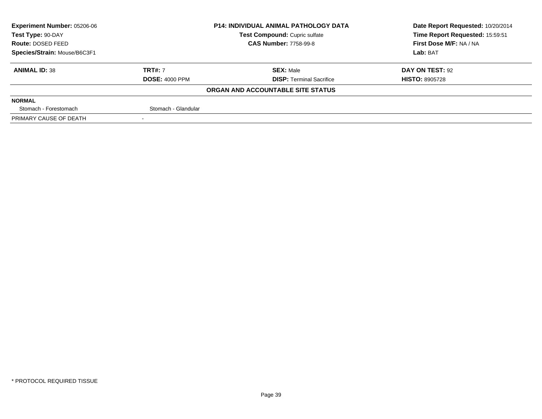| <b>Experiment Number: 05206-06</b> |                       | <b>P14: INDIVIDUAL ANIMAL PATHOLOGY DATA</b> | Date Report Requested: 10/20/2014 |  |
|------------------------------------|-----------------------|----------------------------------------------|-----------------------------------|--|
| Test Type: 90-DAY                  |                       | Test Compound: Cupric sulfate                | Time Report Requested: 15:59:51   |  |
| Route: DOSED FEED                  |                       | <b>CAS Number: 7758-99-8</b>                 | First Dose M/F: NA / NA           |  |
| Species/Strain: Mouse/B6C3F1       |                       |                                              | Lab: BAT                          |  |
| <b>ANIMAL ID: 38</b>               | <b>TRT#: 7</b>        | <b>SEX: Male</b>                             | DAY ON TEST: 92                   |  |
|                                    | <b>DOSE: 4000 PPM</b> | <b>DISP:</b> Terminal Sacrifice              | <b>HISTO: 8905728</b>             |  |
|                                    |                       | ORGAN AND ACCOUNTABLE SITE STATUS            |                                   |  |
| <b>NORMAL</b>                      |                       |                                              |                                   |  |
| Stomach - Forestomach              | Stomach - Glandular   |                                              |                                   |  |
| PRIMARY CAUSE OF DEATH             |                       |                                              |                                   |  |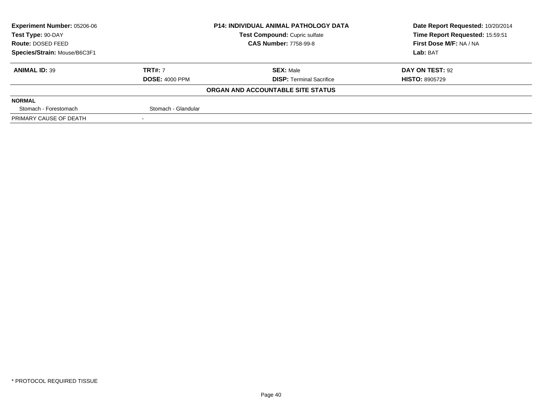| <b>Experiment Number: 05206-06</b> |                       | <b>P14: INDIVIDUAL ANIMAL PATHOLOGY DATA</b> | Date Report Requested: 10/20/2014 |
|------------------------------------|-----------------------|----------------------------------------------|-----------------------------------|
| Test Type: 90-DAY                  |                       | Test Compound: Cupric sulfate                | Time Report Requested: 15:59:51   |
| <b>Route: DOSED FEED</b>           |                       | <b>CAS Number: 7758-99-8</b>                 | First Dose M/F: NA / NA           |
| Species/Strain: Mouse/B6C3F1       |                       |                                              | Lab: BAT                          |
| <b>ANIMAL ID: 39</b>               | <b>TRT#: 7</b>        | <b>SEX: Male</b>                             | DAY ON TEST: 92                   |
|                                    | <b>DOSE: 4000 PPM</b> | <b>DISP:</b> Terminal Sacrifice              | <b>HISTO: 8905729</b>             |
|                                    |                       | ORGAN AND ACCOUNTABLE SITE STATUS            |                                   |
| <b>NORMAL</b>                      |                       |                                              |                                   |
| Stomach - Forestomach              | Stomach - Glandular   |                                              |                                   |
| PRIMARY CAUSE OF DEATH             |                       |                                              |                                   |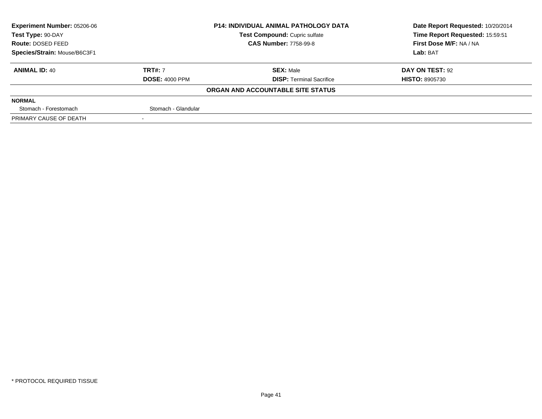| <b>Experiment Number: 05206-06</b> |                       | <b>P14: INDIVIDUAL ANIMAL PATHOLOGY DATA</b> | Date Report Requested: 10/20/2014 |
|------------------------------------|-----------------------|----------------------------------------------|-----------------------------------|
| Test Type: 90-DAY                  |                       | Test Compound: Cupric sulfate                | Time Report Requested: 15:59:51   |
| <b>Route: DOSED FEED</b>           |                       | <b>CAS Number: 7758-99-8</b>                 | First Dose M/F: NA / NA           |
| Species/Strain: Mouse/B6C3F1       |                       |                                              | Lab: BAT                          |
| <b>ANIMAL ID: 40</b>               | <b>TRT#: 7</b>        | <b>SEX: Male</b>                             | DAY ON TEST: 92                   |
|                                    | <b>DOSE: 4000 PPM</b> | <b>DISP:</b> Terminal Sacrifice              | <b>HISTO: 8905730</b>             |
|                                    |                       | ORGAN AND ACCOUNTABLE SITE STATUS            |                                   |
| <b>NORMAL</b>                      |                       |                                              |                                   |
| Stomach - Forestomach              | Stomach - Glandular   |                                              |                                   |
| PRIMARY CAUSE OF DEATH             |                       |                                              |                                   |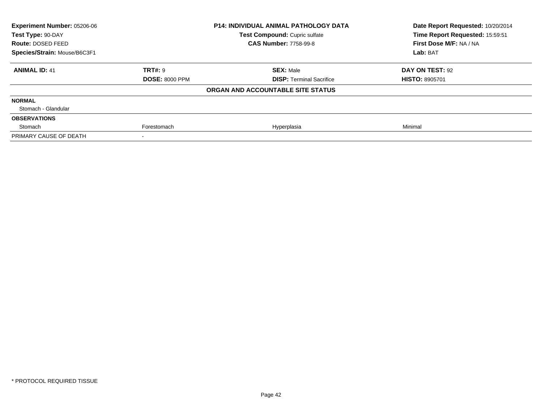| Experiment Number: 05206-06  |                       | <b>P14: INDIVIDUAL ANIMAL PATHOLOGY DATA</b> | Date Report Requested: 10/20/2014 |  |
|------------------------------|-----------------------|----------------------------------------------|-----------------------------------|--|
| Test Type: 90-DAY            |                       | Test Compound: Cupric sulfate                | Time Report Requested: 15:59:51   |  |
| Route: DOSED FEED            |                       | <b>CAS Number: 7758-99-8</b>                 | First Dose M/F: NA / NA           |  |
| Species/Strain: Mouse/B6C3F1 |                       |                                              | Lab: BAT                          |  |
| <b>ANIMAL ID: 41</b>         | <b>TRT#: 9</b>        | <b>SEX: Male</b>                             | DAY ON TEST: 92                   |  |
|                              | <b>DOSE: 8000 PPM</b> | <b>DISP: Terminal Sacrifice</b>              | <b>HISTO: 8905701</b>             |  |
|                              |                       | ORGAN AND ACCOUNTABLE SITE STATUS            |                                   |  |
| <b>NORMAL</b>                |                       |                                              |                                   |  |
| Stomach - Glandular          |                       |                                              |                                   |  |
| <b>OBSERVATIONS</b>          |                       |                                              |                                   |  |
| Stomach                      | Forestomach           | Hyperplasia                                  | Minimal                           |  |
| PRIMARY CAUSE OF DEATH       |                       |                                              |                                   |  |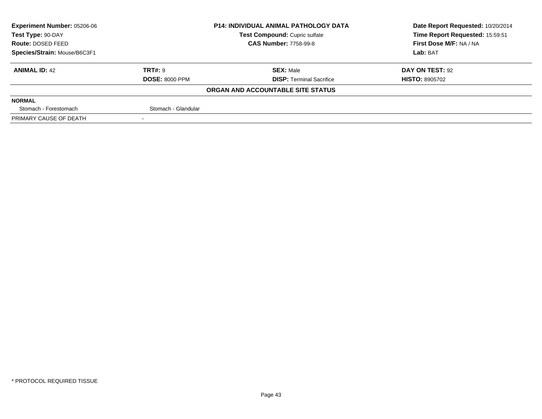| Experiment Number: 05206-06  |                       | <b>P14: INDIVIDUAL ANIMAL PATHOLOGY DATA</b> | Date Report Requested: 10/20/2014 |  |
|------------------------------|-----------------------|----------------------------------------------|-----------------------------------|--|
| Test Type: 90-DAY            |                       | <b>Test Compound: Cupric sulfate</b>         | Time Report Requested: 15:59:51   |  |
| Route: DOSED FEED            |                       | <b>CAS Number: 7758-99-8</b>                 | First Dose M/F: NA / NA           |  |
| Species/Strain: Mouse/B6C3F1 |                       |                                              | Lab: BAT                          |  |
| <b>ANIMAL ID: 42</b>         | TRT#: 9               | <b>SEX: Male</b>                             | DAY ON TEST: 92                   |  |
|                              | <b>DOSE: 8000 PPM</b> | <b>DISP:</b> Terminal Sacrifice              | <b>HISTO: 8905702</b>             |  |
|                              |                       | ORGAN AND ACCOUNTABLE SITE STATUS            |                                   |  |
| <b>NORMAL</b>                |                       |                                              |                                   |  |
| Stomach - Forestomach        | Stomach - Glandular   |                                              |                                   |  |
| PRIMARY CAUSE OF DEATH       |                       |                                              |                                   |  |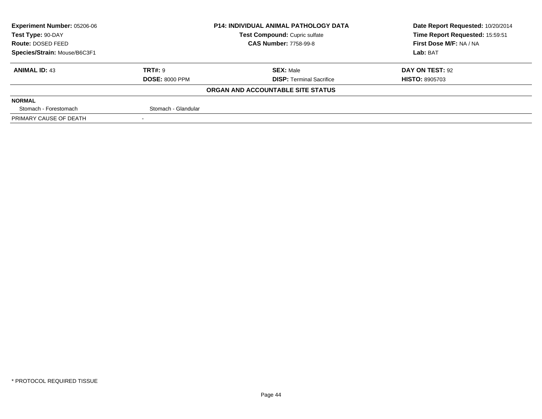| <b>Experiment Number: 05206-06</b> |                              | <b>P14: INDIVIDUAL ANIMAL PATHOLOGY DATA</b> | Date Report Requested: 10/20/2014 |  |
|------------------------------------|------------------------------|----------------------------------------------|-----------------------------------|--|
| Test Type: 90-DAY                  |                              | Test Compound: Cupric sulfate                | Time Report Requested: 15:59:51   |  |
| <b>Route: DOSED FEED</b>           | <b>CAS Number: 7758-99-8</b> |                                              | First Dose M/F: NA / NA           |  |
| Species/Strain: Mouse/B6C3F1       |                              |                                              | Lab: BAT                          |  |
| <b>ANIMAL ID: 43</b>               | TRT#: 9                      | <b>SEX: Male</b>                             | DAY ON TEST: 92                   |  |
|                                    | <b>DOSE: 8000 PPM</b>        | <b>DISP: Terminal Sacrifice</b>              | <b>HISTO: 8905703</b>             |  |
|                                    |                              | ORGAN AND ACCOUNTABLE SITE STATUS            |                                   |  |
| <b>NORMAL</b>                      |                              |                                              |                                   |  |
| Stomach - Forestomach              | Stomach - Glandular          |                                              |                                   |  |
| PRIMARY CAUSE OF DEATH             |                              |                                              |                                   |  |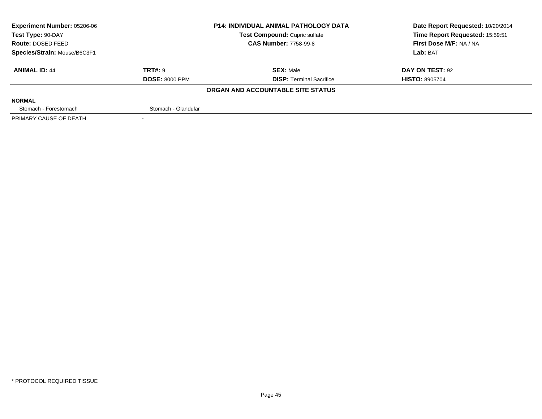| Experiment Number: 05206-06  |                       | <b>P14: INDIVIDUAL ANIMAL PATHOLOGY DATA</b> | Date Report Requested: 10/20/2014 |  |
|------------------------------|-----------------------|----------------------------------------------|-----------------------------------|--|
| Test Type: 90-DAY            |                       | Test Compound: Cupric sulfate                | Time Report Requested: 15:59:51   |  |
| Route: DOSED FEED            |                       | <b>CAS Number: 7758-99-8</b>                 | First Dose M/F: NA / NA           |  |
| Species/Strain: Mouse/B6C3F1 |                       |                                              | Lab: BAT                          |  |
| <b>ANIMAL ID: 44</b>         | <b>TRT#: 9</b>        | <b>SEX: Male</b>                             | DAY ON TEST: 92                   |  |
|                              | <b>DOSE: 8000 PPM</b> | <b>DISP: Terminal Sacrifice</b>              | <b>HISTO: 8905704</b>             |  |
|                              |                       | ORGAN AND ACCOUNTABLE SITE STATUS            |                                   |  |
| <b>NORMAL</b>                |                       |                                              |                                   |  |
| Stomach - Forestomach        | Stomach - Glandular   |                                              |                                   |  |
| PRIMARY CAUSE OF DEATH       |                       |                                              |                                   |  |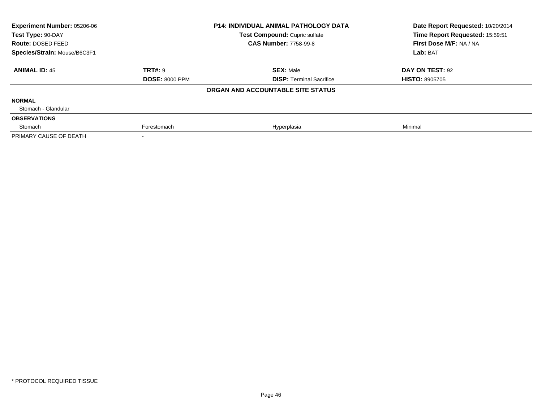| Experiment Number: 05206-06<br>Test Type: 90-DAY |                       | <b>P14: INDIVIDUAL ANIMAL PATHOLOGY DATA</b><br>Test Compound: Cupric sulfate | Date Report Requested: 10/20/2014<br>Time Report Requested: 15:59:51 |
|--------------------------------------------------|-----------------------|-------------------------------------------------------------------------------|----------------------------------------------------------------------|
| Route: DOSED FEED                                |                       | <b>CAS Number: 7758-99-8</b>                                                  | First Dose M/F: NA / NA                                              |
| Species/Strain: Mouse/B6C3F1                     |                       |                                                                               | Lab: BAT                                                             |
| <b>ANIMAL ID: 45</b>                             | <b>TRT#: 9</b>        | <b>SEX: Male</b>                                                              | DAY ON TEST: 92                                                      |
|                                                  | <b>DOSE: 8000 PPM</b> | <b>DISP:</b> Terminal Sacrifice                                               | <b>HISTO: 8905705</b>                                                |
|                                                  |                       | ORGAN AND ACCOUNTABLE SITE STATUS                                             |                                                                      |
| <b>NORMAL</b>                                    |                       |                                                                               |                                                                      |
| Stomach - Glandular                              |                       |                                                                               |                                                                      |
| <b>OBSERVATIONS</b>                              |                       |                                                                               |                                                                      |
| Stomach                                          | Forestomach           | Hyperplasia                                                                   | Minimal                                                              |
| PRIMARY CAUSE OF DEATH                           |                       |                                                                               |                                                                      |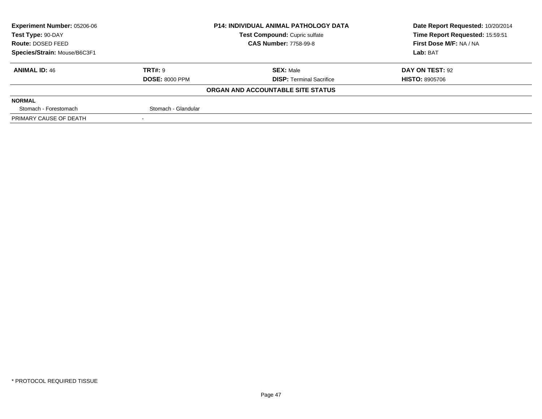| <b>Experiment Number: 05206-06</b> |                       | <b>P14: INDIVIDUAL ANIMAL PATHOLOGY DATA</b> | Date Report Requested: 10/20/2014 |
|------------------------------------|-----------------------|----------------------------------------------|-----------------------------------|
| Test Type: 90-DAY                  |                       | <b>Test Compound: Cupric sulfate</b>         | Time Report Requested: 15:59:51   |
| Route: DOSED FEED                  |                       | <b>CAS Number: 7758-99-8</b>                 | First Dose M/F: NA / NA           |
| Species/Strain: Mouse/B6C3F1       |                       |                                              | Lab: BAT                          |
| <b>ANIMAL ID: 46</b>               | TRT#: 9               | <b>SEX: Male</b>                             | DAY ON TEST: 92                   |
|                                    | <b>DOSE: 8000 PPM</b> | <b>DISP:</b> Terminal Sacrifice              | <b>HISTO: 8905706</b>             |
|                                    |                       | ORGAN AND ACCOUNTABLE SITE STATUS            |                                   |
| <b>NORMAL</b>                      |                       |                                              |                                   |
| Stomach - Forestomach              | Stomach - Glandular   |                                              |                                   |
| PRIMARY CAUSE OF DEATH             |                       |                                              |                                   |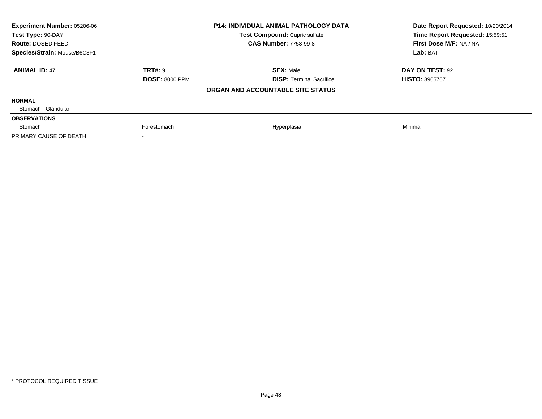| Experiment Number: 05206-06  |                       | <b>P14: INDIVIDUAL ANIMAL PATHOLOGY DATA</b> | Date Report Requested: 10/20/2014 |  |
|------------------------------|-----------------------|----------------------------------------------|-----------------------------------|--|
| Test Type: 90-DAY            |                       | Test Compound: Cupric sulfate                | Time Report Requested: 15:59:51   |  |
| Route: DOSED FEED            |                       | <b>CAS Number: 7758-99-8</b>                 | First Dose M/F: NA / NA           |  |
| Species/Strain: Mouse/B6C3F1 |                       |                                              | Lab: BAT                          |  |
| <b>ANIMAL ID: 47</b>         | <b>TRT#: 9</b>        | <b>SEX: Male</b>                             | DAY ON TEST: 92                   |  |
|                              | <b>DOSE: 8000 PPM</b> | <b>DISP: Terminal Sacrifice</b>              | <b>HISTO: 8905707</b>             |  |
|                              |                       | ORGAN AND ACCOUNTABLE SITE STATUS            |                                   |  |
| <b>NORMAL</b>                |                       |                                              |                                   |  |
| Stomach - Glandular          |                       |                                              |                                   |  |
| <b>OBSERVATIONS</b>          |                       |                                              |                                   |  |
| Stomach                      | Forestomach           | Hyperplasia                                  | Minimal                           |  |
| PRIMARY CAUSE OF DEATH       |                       |                                              |                                   |  |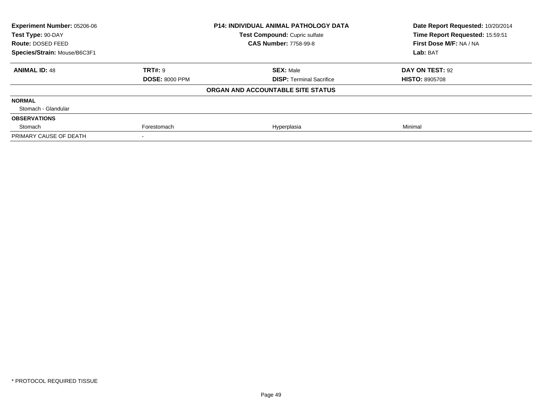| Experiment Number: 05206-06<br>Test Type: 90-DAY |                       | <b>P14: INDIVIDUAL ANIMAL PATHOLOGY DATA</b><br>Test Compound: Cupric sulfate | Date Report Requested: 10/20/2014<br>Time Report Requested: 15:59:51 |  |
|--------------------------------------------------|-----------------------|-------------------------------------------------------------------------------|----------------------------------------------------------------------|--|
| Route: DOSED FEED                                |                       | <b>CAS Number: 7758-99-8</b>                                                  | First Dose M/F: NA / NA                                              |  |
| Species/Strain: Mouse/B6C3F1                     |                       |                                                                               | Lab: BAT                                                             |  |
| <b>ANIMAL ID: 48</b>                             | <b>TRT#: 9</b>        | <b>SEX: Male</b>                                                              | DAY ON TEST: 92                                                      |  |
|                                                  | <b>DOSE: 8000 PPM</b> | <b>DISP:</b> Terminal Sacrifice                                               | <b>HISTO: 8905708</b>                                                |  |
|                                                  |                       | ORGAN AND ACCOUNTABLE SITE STATUS                                             |                                                                      |  |
| <b>NORMAL</b>                                    |                       |                                                                               |                                                                      |  |
| Stomach - Glandular                              |                       |                                                                               |                                                                      |  |
| <b>OBSERVATIONS</b>                              |                       |                                                                               |                                                                      |  |
| Stomach                                          | Forestomach           | Hyperplasia                                                                   | Minimal                                                              |  |
| PRIMARY CAUSE OF DEATH                           |                       |                                                                               |                                                                      |  |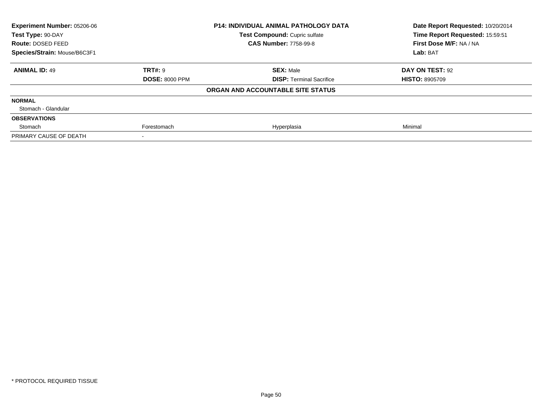| Experiment Number: 05206-06<br>Test Type: 90-DAY |                       | <b>P14: INDIVIDUAL ANIMAL PATHOLOGY DATA</b><br>Test Compound: Cupric sulfate | Date Report Requested: 10/20/2014<br>Time Report Requested: 15:59:51 |  |
|--------------------------------------------------|-----------------------|-------------------------------------------------------------------------------|----------------------------------------------------------------------|--|
| Route: DOSED FEED                                |                       | <b>CAS Number: 7758-99-8</b>                                                  | First Dose M/F: NA / NA                                              |  |
| Species/Strain: Mouse/B6C3F1                     |                       |                                                                               | Lab: BAT                                                             |  |
| <b>ANIMAL ID: 49</b>                             | <b>TRT#: 9</b>        | <b>SEX: Male</b>                                                              | DAY ON TEST: 92                                                      |  |
|                                                  | <b>DOSE: 8000 PPM</b> | <b>DISP: Terminal Sacrifice</b>                                               | <b>HISTO: 8905709</b>                                                |  |
|                                                  |                       | ORGAN AND ACCOUNTABLE SITE STATUS                                             |                                                                      |  |
| <b>NORMAL</b>                                    |                       |                                                                               |                                                                      |  |
| Stomach - Glandular                              |                       |                                                                               |                                                                      |  |
| <b>OBSERVATIONS</b>                              |                       |                                                                               |                                                                      |  |
| Stomach                                          | Forestomach           | Hyperplasia                                                                   | Minimal                                                              |  |
| PRIMARY CAUSE OF DEATH                           |                       |                                                                               |                                                                      |  |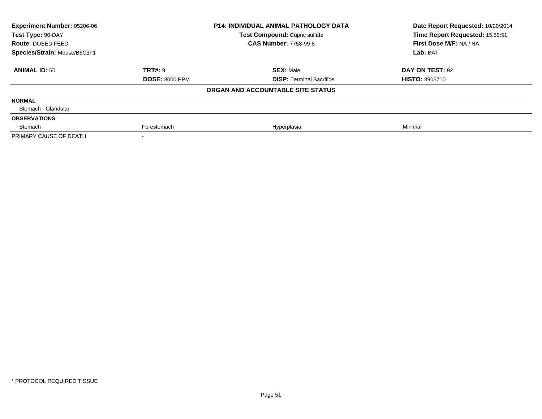| Experiment Number: 05206-06<br>Test Type: 90-DAY |                       | <b>P14: INDIVIDUAL ANIMAL PATHOLOGY DATA</b> | Date Report Requested: 10/20/2014<br>Time Report Requested: 15:59:51 |  |
|--------------------------------------------------|-----------------------|----------------------------------------------|----------------------------------------------------------------------|--|
|                                                  |                       | Test Compound: Cupric sulfate                |                                                                      |  |
| Route: DOSED FEED                                |                       | <b>CAS Number: 7758-99-8</b>                 | First Dose M/F: NA / NA                                              |  |
| Species/Strain: Mouse/B6C3F1                     |                       |                                              | Lab: BAT                                                             |  |
| <b>ANIMAL ID: 50</b>                             | <b>TRT#: 9</b>        | <b>SEX: Male</b>                             | DAY ON TEST: 92                                                      |  |
|                                                  | <b>DOSE: 8000 PPM</b> | <b>DISP: Terminal Sacrifice</b>              | <b>HISTO: 8905710</b>                                                |  |
|                                                  |                       | ORGAN AND ACCOUNTABLE SITE STATUS            |                                                                      |  |
| <b>NORMAL</b>                                    |                       |                                              |                                                                      |  |
| Stomach - Glandular                              |                       |                                              |                                                                      |  |
| <b>OBSERVATIONS</b>                              |                       |                                              |                                                                      |  |
| Stomach                                          | Forestomach           | Hyperplasia                                  | Minimal                                                              |  |
| PRIMARY CAUSE OF DEATH                           |                       |                                              |                                                                      |  |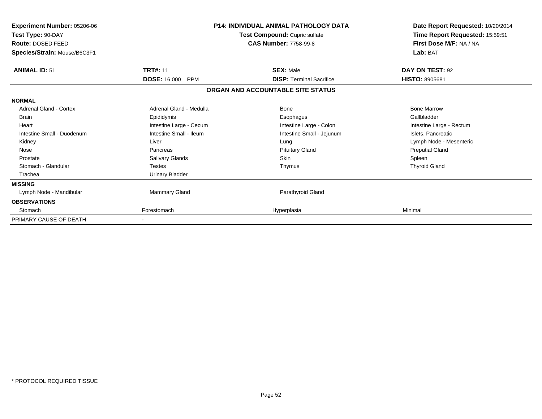| Experiment Number: 05206-06<br>Test Type: 90-DAY<br>Route: DOSED FEED<br>Species/Strain: Mouse/B6C3F1 |                                   | P14: INDIVIDUAL ANIMAL PATHOLOGY DATA<br>Test Compound: Cupric sulfate<br><b>CAS Number: 7758-99-8</b> | Date Report Requested: 10/20/2014<br>Time Report Requested: 15:59:51<br>First Dose M/F: NA / NA<br>Lab: BAT |
|-------------------------------------------------------------------------------------------------------|-----------------------------------|--------------------------------------------------------------------------------------------------------|-------------------------------------------------------------------------------------------------------------|
| <b>ANIMAL ID: 51</b>                                                                                  | <b>TRT#: 11</b>                   | <b>SEX: Male</b>                                                                                       | DAY ON TEST: 92                                                                                             |
|                                                                                                       | <b>DOSE: 16,000</b><br><b>PPM</b> | <b>DISP: Terminal Sacrifice</b>                                                                        | <b>HISTO: 8905681</b>                                                                                       |
|                                                                                                       |                                   | ORGAN AND ACCOUNTABLE SITE STATUS                                                                      |                                                                                                             |
| <b>NORMAL</b>                                                                                         |                                   |                                                                                                        |                                                                                                             |
| Adrenal Gland - Cortex                                                                                | Adrenal Gland - Medulla           | <b>Bone</b>                                                                                            | <b>Bone Marrow</b>                                                                                          |
| Brain                                                                                                 | Epididymis                        | Esophagus                                                                                              | Gallbladder                                                                                                 |
| Heart                                                                                                 | Intestine Large - Cecum           | Intestine Large - Colon                                                                                | Intestine Large - Rectum                                                                                    |
| Intestine Small - Duodenum                                                                            | Intestine Small - Ileum           | Intestine Small - Jejunum                                                                              | Islets, Pancreatic                                                                                          |
| Kidney                                                                                                | Liver                             | Lung                                                                                                   | Lymph Node - Mesenteric                                                                                     |
| Nose                                                                                                  | Pancreas                          | <b>Pituitary Gland</b>                                                                                 | <b>Preputial Gland</b>                                                                                      |
| Prostate                                                                                              | Salivary Glands                   | <b>Skin</b>                                                                                            | Spleen                                                                                                      |
| Stomach - Glandular                                                                                   | <b>Testes</b>                     | Thymus                                                                                                 | <b>Thyroid Gland</b>                                                                                        |
| Trachea                                                                                               | Urinary Bladder                   |                                                                                                        |                                                                                                             |
| <b>MISSING</b>                                                                                        |                                   |                                                                                                        |                                                                                                             |
| Lymph Node - Mandibular                                                                               | Mammary Gland                     | Parathyroid Gland                                                                                      |                                                                                                             |
| <b>OBSERVATIONS</b>                                                                                   |                                   |                                                                                                        |                                                                                                             |
| Stomach                                                                                               | Forestomach                       | Hyperplasia                                                                                            | Minimal                                                                                                     |
| PRIMARY CAUSE OF DEATH                                                                                |                                   |                                                                                                        |                                                                                                             |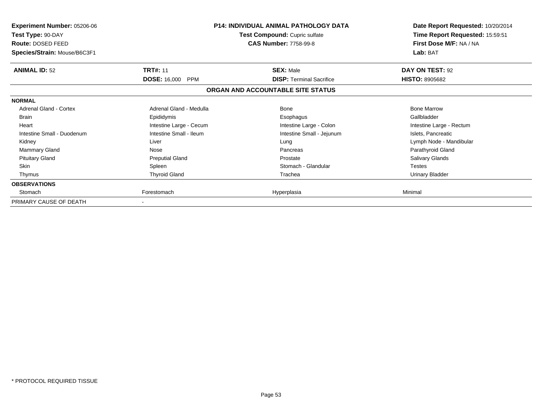| <b>Experiment Number: 05206-06</b><br>Test Type: 90-DAY<br>Route: DOSED FEED<br>Species/Strain: Mouse/B6C3F1 | P14: INDIVIDUAL ANIMAL PATHOLOGY DATA<br><b>Test Compound: Cupric sulfate</b><br><b>CAS Number: 7758-99-8</b> |                                   | Date Report Requested: 10/20/2014<br>Time Report Requested: 15:59:51<br>First Dose M/F: NA / NA<br>Lab: BAT |
|--------------------------------------------------------------------------------------------------------------|---------------------------------------------------------------------------------------------------------------|-----------------------------------|-------------------------------------------------------------------------------------------------------------|
| <b>ANIMAL ID: 52</b>                                                                                         | <b>TRT#: 11</b>                                                                                               | <b>SEX: Male</b>                  | DAY ON TEST: 92                                                                                             |
|                                                                                                              | <b>DOSE: 16,000</b><br>PPM                                                                                    | <b>DISP: Terminal Sacrifice</b>   | <b>HISTO: 8905682</b>                                                                                       |
|                                                                                                              |                                                                                                               | ORGAN AND ACCOUNTABLE SITE STATUS |                                                                                                             |
| <b>NORMAL</b>                                                                                                |                                                                                                               |                                   |                                                                                                             |
| <b>Adrenal Gland - Cortex</b>                                                                                | Adrenal Gland - Medulla                                                                                       | <b>Bone</b>                       | <b>Bone Marrow</b>                                                                                          |
| <b>Brain</b>                                                                                                 | Epididymis                                                                                                    | Esophagus                         | Gallbladder                                                                                                 |
| Heart                                                                                                        | Intestine Large - Cecum                                                                                       | Intestine Large - Colon           | Intestine Large - Rectum                                                                                    |
| Intestine Small - Duodenum                                                                                   | Intestine Small - Ileum                                                                                       | Intestine Small - Jejunum         | Islets, Pancreatic                                                                                          |
| Kidney                                                                                                       | Liver                                                                                                         | Lung                              | Lymph Node - Mandibular                                                                                     |
| Mammary Gland                                                                                                | Nose                                                                                                          | Pancreas                          | Parathyroid Gland                                                                                           |
| <b>Pituitary Gland</b>                                                                                       | <b>Preputial Gland</b>                                                                                        | Prostate                          | <b>Salivary Glands</b>                                                                                      |
| <b>Skin</b>                                                                                                  | Spleen                                                                                                        | Stomach - Glandular               | <b>Testes</b>                                                                                               |
| Thymus                                                                                                       | <b>Thyroid Gland</b>                                                                                          | Trachea                           | <b>Urinary Bladder</b>                                                                                      |
| <b>OBSERVATIONS</b>                                                                                          |                                                                                                               |                                   |                                                                                                             |
| Stomach                                                                                                      | Forestomach                                                                                                   | Hyperplasia                       | Minimal                                                                                                     |
| PRIMARY CAUSE OF DEATH                                                                                       |                                                                                                               |                                   |                                                                                                             |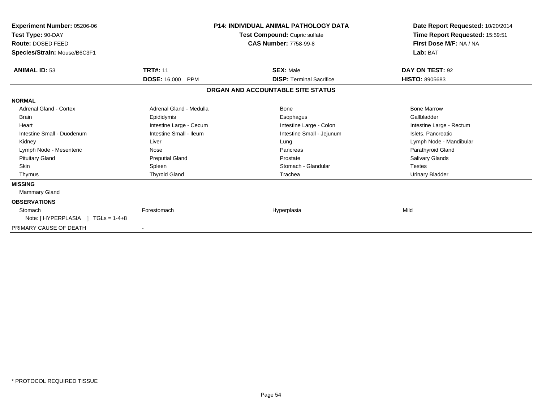| <b>Experiment Number: 05206-06</b><br>Test Type: 90-DAY<br>Route: DOSED FEED<br>Species/Strain: Mouse/B6C3F1 | <b>P14: INDIVIDUAL ANIMAL PATHOLOGY DATA</b><br>Test Compound: Cupric sulfate<br><b>CAS Number: 7758-99-8</b> |                                   | Lab: BAT                 | Date Report Requested: 10/20/2014<br>Time Report Requested: 15:59:51<br>First Dose M/F: NA / NA |
|--------------------------------------------------------------------------------------------------------------|---------------------------------------------------------------------------------------------------------------|-----------------------------------|--------------------------|-------------------------------------------------------------------------------------------------|
| <b>ANIMAL ID: 53</b>                                                                                         | <b>TRT#: 11</b>                                                                                               | <b>SEX: Male</b>                  | DAY ON TEST: 92          |                                                                                                 |
|                                                                                                              | <b>DOSE: 16,000</b><br><b>PPM</b>                                                                             | <b>DISP: Terminal Sacrifice</b>   | <b>HISTO: 8905683</b>    |                                                                                                 |
|                                                                                                              |                                                                                                               | ORGAN AND ACCOUNTABLE SITE STATUS |                          |                                                                                                 |
| <b>NORMAL</b>                                                                                                |                                                                                                               |                                   |                          |                                                                                                 |
| <b>Adrenal Gland - Cortex</b>                                                                                | Adrenal Gland - Medulla                                                                                       | <b>Bone</b>                       | <b>Bone Marrow</b>       |                                                                                                 |
| <b>Brain</b>                                                                                                 | Epididymis                                                                                                    | Esophagus                         | Gallbladder              |                                                                                                 |
| Heart                                                                                                        | Intestine Large - Cecum                                                                                       | Intestine Large - Colon           | Intestine Large - Rectum |                                                                                                 |
| Intestine Small - Duodenum                                                                                   | Intestine Small - Ileum                                                                                       | Intestine Small - Jejunum         | Islets, Pancreatic       |                                                                                                 |
| Kidney                                                                                                       | Liver                                                                                                         | Lung                              | Lymph Node - Mandibular  |                                                                                                 |
| Lymph Node - Mesenteric                                                                                      | Nose                                                                                                          | Pancreas                          | Parathyroid Gland        |                                                                                                 |
| <b>Pituitary Gland</b>                                                                                       | <b>Preputial Gland</b>                                                                                        | Prostate                          | <b>Salivary Glands</b>   |                                                                                                 |
| <b>Skin</b>                                                                                                  | Spleen                                                                                                        | Stomach - Glandular               | <b>Testes</b>            |                                                                                                 |
| Thymus                                                                                                       | <b>Thyroid Gland</b>                                                                                          | Trachea                           | Urinary Bladder          |                                                                                                 |
| <b>MISSING</b>                                                                                               |                                                                                                               |                                   |                          |                                                                                                 |
| Mammary Gland                                                                                                |                                                                                                               |                                   |                          |                                                                                                 |
| <b>OBSERVATIONS</b>                                                                                          |                                                                                                               |                                   |                          |                                                                                                 |
| Stomach                                                                                                      | Forestomach                                                                                                   | Hyperplasia                       | Mild                     |                                                                                                 |
| Note: [HYPERPLASIA ] TGLs = 1-4+8                                                                            |                                                                                                               |                                   |                          |                                                                                                 |
| PRIMARY CAUSE OF DEATH                                                                                       |                                                                                                               |                                   |                          |                                                                                                 |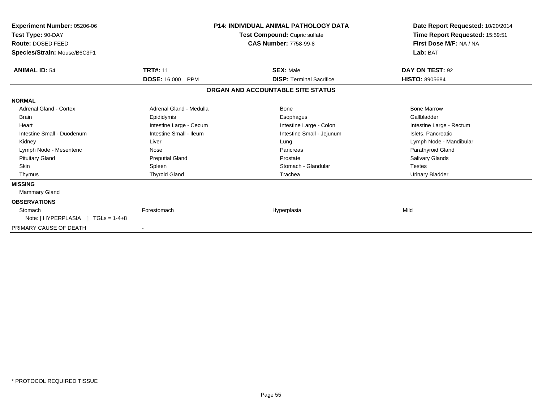| <b>Experiment Number: 05206-06</b><br>Test Type: 90-DAY<br>Route: DOSED FEED<br>Species/Strain: Mouse/B6C3F1 | <b>P14: INDIVIDUAL ANIMAL PATHOLOGY DATA</b><br>Test Compound: Cupric sulfate<br><b>CAS Number: 7758-99-8</b> |                                   | Date Report Requested: 10/20/2014<br>Time Report Requested: 15:59:51<br>First Dose M/F: NA / NA<br>Lab: BAT |
|--------------------------------------------------------------------------------------------------------------|---------------------------------------------------------------------------------------------------------------|-----------------------------------|-------------------------------------------------------------------------------------------------------------|
| <b>ANIMAL ID: 54</b>                                                                                         | <b>TRT#: 11</b>                                                                                               | <b>SEX: Male</b>                  | DAY ON TEST: 92                                                                                             |
|                                                                                                              | <b>DOSE: 16,000</b><br><b>PPM</b>                                                                             | <b>DISP: Terminal Sacrifice</b>   | <b>HISTO: 8905684</b>                                                                                       |
|                                                                                                              |                                                                                                               | ORGAN AND ACCOUNTABLE SITE STATUS |                                                                                                             |
| <b>NORMAL</b>                                                                                                |                                                                                                               |                                   |                                                                                                             |
| <b>Adrenal Gland - Cortex</b>                                                                                | Adrenal Gland - Medulla                                                                                       | Bone                              | <b>Bone Marrow</b>                                                                                          |
| <b>Brain</b>                                                                                                 | Epididymis                                                                                                    | Esophagus                         | Gallbladder                                                                                                 |
| Heart                                                                                                        | Intestine Large - Cecum                                                                                       | Intestine Large - Colon           | Intestine Large - Rectum                                                                                    |
| Intestine Small - Duodenum                                                                                   | Intestine Small - Ileum                                                                                       | Intestine Small - Jejunum         | Islets, Pancreatic                                                                                          |
| Kidney                                                                                                       | Liver                                                                                                         | Lung                              | Lymph Node - Mandibular                                                                                     |
| Lymph Node - Mesenteric                                                                                      | Nose                                                                                                          | Pancreas                          | Parathyroid Gland                                                                                           |
| <b>Pituitary Gland</b>                                                                                       | <b>Preputial Gland</b>                                                                                        | Prostate                          | <b>Salivary Glands</b>                                                                                      |
| <b>Skin</b>                                                                                                  | Spleen                                                                                                        | Stomach - Glandular               | <b>Testes</b>                                                                                               |
| Thymus                                                                                                       | <b>Thyroid Gland</b>                                                                                          | Trachea                           | Urinary Bladder                                                                                             |
| <b>MISSING</b>                                                                                               |                                                                                                               |                                   |                                                                                                             |
| <b>Mammary Gland</b>                                                                                         |                                                                                                               |                                   |                                                                                                             |
| <b>OBSERVATIONS</b>                                                                                          |                                                                                                               |                                   |                                                                                                             |
| Stomach                                                                                                      | Forestomach                                                                                                   | Hyperplasia                       | Mild                                                                                                        |
| Note: [HYPERPLASIA ]<br>$TGLs = 1-4+8$                                                                       |                                                                                                               |                                   |                                                                                                             |
| PRIMARY CAUSE OF DEATH                                                                                       |                                                                                                               |                                   |                                                                                                             |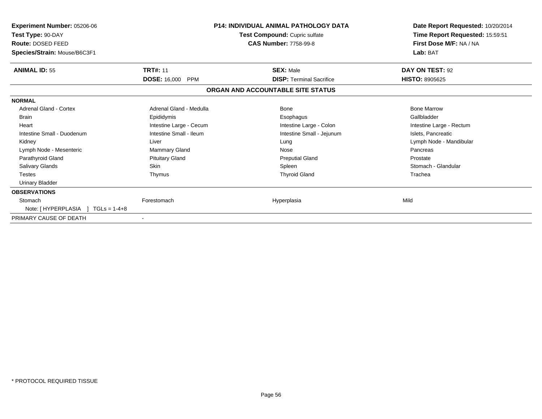| <b>Experiment Number: 05206-06</b><br>Test Type: 90-DAY<br>Route: DOSED FEED<br>Species/Strain: Mouse/B6C3F1 | <b>P14: INDIVIDUAL ANIMAL PATHOLOGY DATA</b><br>Test Compound: Cupric sulfate<br><b>CAS Number: 7758-99-8</b> |                                   | Date Report Requested: 10/20/2014<br>Time Report Requested: 15:59:51<br>First Dose M/F: NA / NA<br>Lab: BAT |
|--------------------------------------------------------------------------------------------------------------|---------------------------------------------------------------------------------------------------------------|-----------------------------------|-------------------------------------------------------------------------------------------------------------|
| <b>ANIMAL ID: 55</b>                                                                                         | <b>TRT#: 11</b>                                                                                               | <b>SEX: Male</b>                  | DAY ON TEST: 92                                                                                             |
|                                                                                                              | <b>DOSE: 16,000 PPM</b>                                                                                       | <b>DISP: Terminal Sacrifice</b>   | <b>HISTO: 8905625</b>                                                                                       |
|                                                                                                              |                                                                                                               | ORGAN AND ACCOUNTABLE SITE STATUS |                                                                                                             |
| <b>NORMAL</b>                                                                                                |                                                                                                               |                                   |                                                                                                             |
| Adrenal Gland - Cortex                                                                                       | Adrenal Gland - Medulla                                                                                       | Bone                              | <b>Bone Marrow</b>                                                                                          |
| <b>Brain</b>                                                                                                 | Epididymis                                                                                                    | Esophagus                         | Gallbladder                                                                                                 |
| Heart                                                                                                        | Intestine Large - Cecum                                                                                       | Intestine Large - Colon           | Intestine Large - Rectum                                                                                    |
| Intestine Small - Duodenum                                                                                   | Intestine Small - Ileum                                                                                       | Intestine Small - Jejunum         | Islets, Pancreatic                                                                                          |
| Kidney                                                                                                       | Liver                                                                                                         | Lung                              | Lymph Node - Mandibular                                                                                     |
| Lymph Node - Mesenteric                                                                                      | Mammary Gland                                                                                                 | Nose                              | Pancreas                                                                                                    |
| Parathyroid Gland                                                                                            | <b>Pituitary Gland</b>                                                                                        | <b>Preputial Gland</b>            | Prostate                                                                                                    |
| Salivary Glands                                                                                              | Skin                                                                                                          | Spleen                            | Stomach - Glandular                                                                                         |
| <b>Testes</b>                                                                                                | Thymus                                                                                                        | <b>Thyroid Gland</b>              | Trachea                                                                                                     |
| <b>Urinary Bladder</b>                                                                                       |                                                                                                               |                                   |                                                                                                             |
| <b>OBSERVATIONS</b>                                                                                          |                                                                                                               |                                   |                                                                                                             |
| Stomach                                                                                                      | Forestomach                                                                                                   | Hyperplasia                       | Mild                                                                                                        |
| Note: $[HYPERPLASIA] TGLs = 1-4+8$                                                                           |                                                                                                               |                                   |                                                                                                             |
| PRIMARY CAUSE OF DEATH                                                                                       | $\blacksquare$                                                                                                |                                   |                                                                                                             |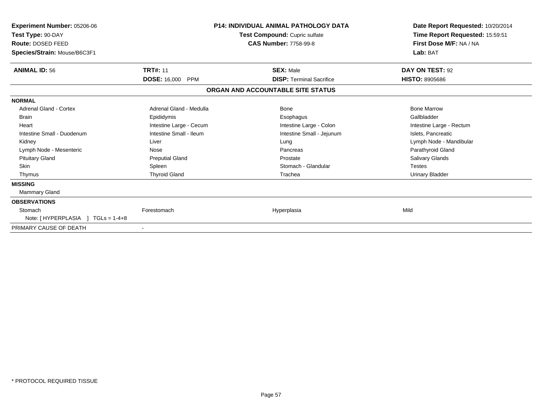| <b>Experiment Number: 05206-06</b><br>Test Type: 90-DAY<br>Route: DOSED FEED<br>Species/Strain: Mouse/B6C3F1 | <b>P14: INDIVIDUAL ANIMAL PATHOLOGY DATA</b><br>Test Compound: Cupric sulfate<br><b>CAS Number: 7758-99-8</b> |                                   | Date Report Requested: 10/20/2014<br>Time Report Requested: 15:59:51<br>First Dose M/F: NA / NA<br>Lab: BAT |
|--------------------------------------------------------------------------------------------------------------|---------------------------------------------------------------------------------------------------------------|-----------------------------------|-------------------------------------------------------------------------------------------------------------|
| <b>ANIMAL ID: 56</b>                                                                                         | <b>TRT#: 11</b>                                                                                               | <b>SEX: Male</b>                  | DAY ON TEST: 92                                                                                             |
|                                                                                                              | <b>DOSE: 16,000</b><br><b>PPM</b>                                                                             | <b>DISP: Terminal Sacrifice</b>   | <b>HISTO: 8905686</b>                                                                                       |
|                                                                                                              |                                                                                                               | ORGAN AND ACCOUNTABLE SITE STATUS |                                                                                                             |
| <b>NORMAL</b>                                                                                                |                                                                                                               |                                   |                                                                                                             |
| <b>Adrenal Gland - Cortex</b>                                                                                | Adrenal Gland - Medulla                                                                                       | Bone                              | <b>Bone Marrow</b>                                                                                          |
| <b>Brain</b>                                                                                                 | Epididymis                                                                                                    | Esophagus                         | Gallbladder                                                                                                 |
| Heart                                                                                                        | Intestine Large - Cecum                                                                                       | Intestine Large - Colon           | Intestine Large - Rectum                                                                                    |
| Intestine Small - Duodenum                                                                                   | Intestine Small - Ileum                                                                                       | Intestine Small - Jejunum         | Islets, Pancreatic                                                                                          |
| Kidney                                                                                                       | Liver                                                                                                         | Lung                              | Lymph Node - Mandibular                                                                                     |
| Lymph Node - Mesenteric                                                                                      | Nose                                                                                                          | Pancreas                          | Parathyroid Gland                                                                                           |
| <b>Pituitary Gland</b>                                                                                       | <b>Preputial Gland</b>                                                                                        | Prostate                          | <b>Salivary Glands</b>                                                                                      |
| <b>Skin</b>                                                                                                  | Spleen                                                                                                        | Stomach - Glandular               | <b>Testes</b>                                                                                               |
| Thymus                                                                                                       | <b>Thyroid Gland</b>                                                                                          | Trachea                           | Urinary Bladder                                                                                             |
| <b>MISSING</b>                                                                                               |                                                                                                               |                                   |                                                                                                             |
| Mammary Gland                                                                                                |                                                                                                               |                                   |                                                                                                             |
| <b>OBSERVATIONS</b>                                                                                          |                                                                                                               |                                   |                                                                                                             |
| Stomach                                                                                                      | Forestomach                                                                                                   | Hyperplasia                       | Mild                                                                                                        |
| Note: [HYPERPLASIA ] TGLs = 1-4+8                                                                            |                                                                                                               |                                   |                                                                                                             |
| PRIMARY CAUSE OF DEATH                                                                                       |                                                                                                               |                                   |                                                                                                             |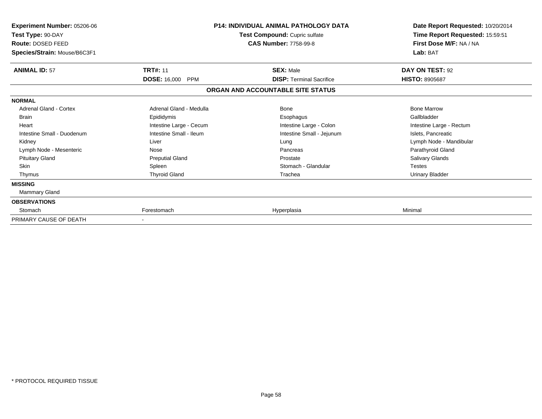| Experiment Number: 05206-06<br>Test Type: 90-DAY<br>Route: DOSED FEED<br>Species/Strain: Mouse/B6C3F1 |                                   | <b>P14: INDIVIDUAL ANIMAL PATHOLOGY DATA</b><br>Test Compound: Cupric sulfate<br><b>CAS Number: 7758-99-8</b> | Date Report Requested: 10/20/2014<br>Time Report Requested: 15:59:51<br>First Dose M/F: NA / NA<br>Lab: BAT |
|-------------------------------------------------------------------------------------------------------|-----------------------------------|---------------------------------------------------------------------------------------------------------------|-------------------------------------------------------------------------------------------------------------|
| <b>ANIMAL ID: 57</b>                                                                                  | <b>TRT#: 11</b>                   | <b>SEX: Male</b>                                                                                              | DAY ON TEST: 92                                                                                             |
|                                                                                                       | <b>DOSE: 16,000</b><br><b>PPM</b> | <b>DISP: Terminal Sacrifice</b>                                                                               | <b>HISTO: 8905687</b>                                                                                       |
|                                                                                                       |                                   | ORGAN AND ACCOUNTABLE SITE STATUS                                                                             |                                                                                                             |
| <b>NORMAL</b>                                                                                         |                                   |                                                                                                               |                                                                                                             |
| Adrenal Gland - Cortex                                                                                | Adrenal Gland - Medulla           | <b>Bone</b>                                                                                                   | <b>Bone Marrow</b>                                                                                          |
| <b>Brain</b>                                                                                          | Epididymis                        | Esophagus                                                                                                     | Gallbladder                                                                                                 |
| Heart                                                                                                 | Intestine Large - Cecum           | Intestine Large - Colon                                                                                       | Intestine Large - Rectum                                                                                    |
| Intestine Small - Duodenum                                                                            | Intestine Small - Ileum           | Intestine Small - Jejunum                                                                                     | Islets, Pancreatic                                                                                          |
| Kidney                                                                                                | Liver                             | Lung                                                                                                          | Lymph Node - Mandibular                                                                                     |
| Lymph Node - Mesenteric                                                                               | Nose                              | Pancreas                                                                                                      | Parathyroid Gland                                                                                           |
| <b>Pituitary Gland</b>                                                                                | <b>Preputial Gland</b>            | Prostate                                                                                                      | Salivary Glands                                                                                             |
| Skin                                                                                                  | Spleen                            | Stomach - Glandular                                                                                           | <b>Testes</b>                                                                                               |
| Thymus                                                                                                | <b>Thyroid Gland</b>              | Trachea                                                                                                       | <b>Urinary Bladder</b>                                                                                      |
| <b>MISSING</b>                                                                                        |                                   |                                                                                                               |                                                                                                             |
| Mammary Gland                                                                                         |                                   |                                                                                                               |                                                                                                             |
| <b>OBSERVATIONS</b>                                                                                   |                                   |                                                                                                               |                                                                                                             |
| Stomach                                                                                               | Forestomach                       | Hyperplasia                                                                                                   | Minimal                                                                                                     |
| PRIMARY CAUSE OF DEATH                                                                                |                                   |                                                                                                               |                                                                                                             |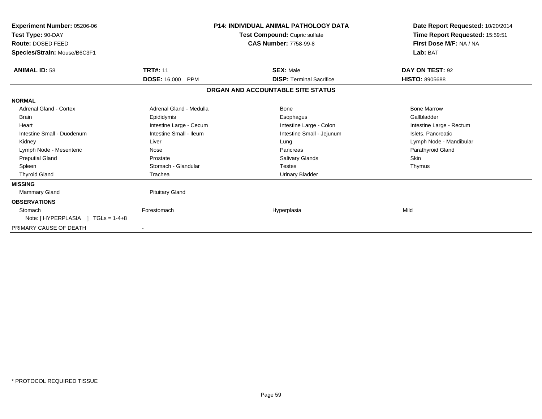| <b>Experiment Number: 05206-06</b><br>Test Type: 90-DAY<br>Route: DOSED FEED<br>Species/Strain: Mouse/B6C3F1 | <b>P14: INDIVIDUAL ANIMAL PATHOLOGY DATA</b><br>Test Compound: Cupric sulfate<br><b>CAS Number: 7758-99-8</b> |                                   | Date Report Requested: 10/20/2014<br>Time Report Requested: 15:59:51<br>First Dose M/F: NA / NA<br>Lab: BAT |
|--------------------------------------------------------------------------------------------------------------|---------------------------------------------------------------------------------------------------------------|-----------------------------------|-------------------------------------------------------------------------------------------------------------|
| <b>ANIMAL ID: 58</b>                                                                                         | <b>TRT#: 11</b>                                                                                               | <b>SEX: Male</b>                  | DAY ON TEST: 92                                                                                             |
|                                                                                                              | <b>DOSE: 16,000</b><br><b>PPM</b>                                                                             | <b>DISP: Terminal Sacrifice</b>   | <b>HISTO: 8905688</b>                                                                                       |
|                                                                                                              |                                                                                                               | ORGAN AND ACCOUNTABLE SITE STATUS |                                                                                                             |
| <b>NORMAL</b>                                                                                                |                                                                                                               |                                   |                                                                                                             |
| <b>Adrenal Gland - Cortex</b>                                                                                | Adrenal Gland - Medulla                                                                                       | Bone                              | <b>Bone Marrow</b>                                                                                          |
| <b>Brain</b>                                                                                                 | Epididymis                                                                                                    | Esophagus                         | Gallbladder                                                                                                 |
| Heart                                                                                                        | Intestine Large - Cecum                                                                                       | Intestine Large - Colon           | Intestine Large - Rectum                                                                                    |
| Intestine Small - Duodenum                                                                                   | Intestine Small - Ileum                                                                                       | Intestine Small - Jejunum         | Islets, Pancreatic                                                                                          |
| Kidney                                                                                                       | Liver                                                                                                         | Lung                              | Lymph Node - Mandibular                                                                                     |
| Lymph Node - Mesenteric                                                                                      | Nose                                                                                                          | Pancreas                          | Parathyroid Gland                                                                                           |
| <b>Preputial Gland</b>                                                                                       | Prostate                                                                                                      | Salivary Glands                   | Skin                                                                                                        |
| Spleen                                                                                                       | Stomach - Glandular                                                                                           | <b>Testes</b>                     | Thymus                                                                                                      |
| <b>Thyroid Gland</b>                                                                                         | Trachea                                                                                                       | Urinary Bladder                   |                                                                                                             |
| <b>MISSING</b>                                                                                               |                                                                                                               |                                   |                                                                                                             |
| <b>Mammary Gland</b>                                                                                         | <b>Pituitary Gland</b>                                                                                        |                                   |                                                                                                             |
| <b>OBSERVATIONS</b>                                                                                          |                                                                                                               |                                   |                                                                                                             |
| Stomach                                                                                                      | Forestomach                                                                                                   | Hyperplasia                       | Mild                                                                                                        |
| Note: [HYPERPLASIA ]<br>$TGLs = 1-4+8$                                                                       |                                                                                                               |                                   |                                                                                                             |
| PRIMARY CAUSE OF DEATH                                                                                       |                                                                                                               |                                   |                                                                                                             |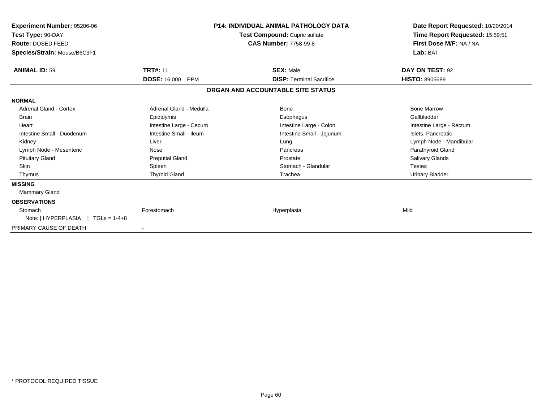| <b>Experiment Number: 05206-06</b><br>Test Type: 90-DAY<br>Route: DOSED FEED<br>Species/Strain: Mouse/B6C3F1 | <b>P14: INDIVIDUAL ANIMAL PATHOLOGY DATA</b><br>Test Compound: Cupric sulfate<br><b>CAS Number: 7758-99-8</b> |                                   | Date Report Requested: 10/20/2014<br>Time Report Requested: 15:59:51<br>First Dose M/F: NA / NA<br>Lab: BAT |
|--------------------------------------------------------------------------------------------------------------|---------------------------------------------------------------------------------------------------------------|-----------------------------------|-------------------------------------------------------------------------------------------------------------|
| <b>ANIMAL ID: 59</b>                                                                                         | <b>TRT#: 11</b>                                                                                               | <b>SEX: Male</b>                  | DAY ON TEST: 92                                                                                             |
|                                                                                                              | <b>DOSE: 16,000</b><br><b>PPM</b>                                                                             | <b>DISP: Terminal Sacrifice</b>   | <b>HISTO: 8905689</b>                                                                                       |
|                                                                                                              |                                                                                                               | ORGAN AND ACCOUNTABLE SITE STATUS |                                                                                                             |
| <b>NORMAL</b>                                                                                                |                                                                                                               |                                   |                                                                                                             |
| <b>Adrenal Gland - Cortex</b>                                                                                | Adrenal Gland - Medulla                                                                                       | Bone                              | <b>Bone Marrow</b>                                                                                          |
| <b>Brain</b>                                                                                                 | Epididymis                                                                                                    | Esophagus                         | Gallbladder                                                                                                 |
| Heart                                                                                                        | Intestine Large - Cecum                                                                                       | Intestine Large - Colon           | Intestine Large - Rectum                                                                                    |
| Intestine Small - Duodenum                                                                                   | Intestine Small - Ileum                                                                                       | Intestine Small - Jejunum         | Islets, Pancreatic                                                                                          |
| Kidney                                                                                                       | Liver                                                                                                         | Lung                              | Lymph Node - Mandibular                                                                                     |
| Lymph Node - Mesenteric                                                                                      | Nose                                                                                                          | Pancreas                          | Parathyroid Gland                                                                                           |
| <b>Pituitary Gland</b>                                                                                       | <b>Preputial Gland</b>                                                                                        | Prostate                          | <b>Salivary Glands</b>                                                                                      |
| <b>Skin</b>                                                                                                  | Spleen                                                                                                        | Stomach - Glandular               | <b>Testes</b>                                                                                               |
| Thymus                                                                                                       | <b>Thyroid Gland</b>                                                                                          | Trachea                           | Urinary Bladder                                                                                             |
| <b>MISSING</b>                                                                                               |                                                                                                               |                                   |                                                                                                             |
| Mammary Gland                                                                                                |                                                                                                               |                                   |                                                                                                             |
| <b>OBSERVATIONS</b>                                                                                          |                                                                                                               |                                   |                                                                                                             |
| Stomach                                                                                                      | Forestomach                                                                                                   | Hyperplasia                       | Mild                                                                                                        |
| Note: [HYPERPLASIA ] TGLs = 1-4+8                                                                            |                                                                                                               |                                   |                                                                                                             |
| PRIMARY CAUSE OF DEATH                                                                                       |                                                                                                               |                                   |                                                                                                             |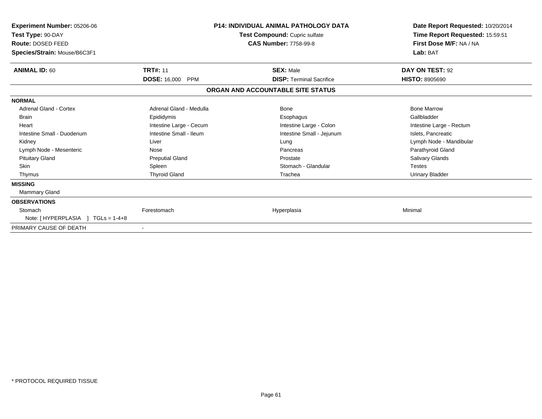| <b>Experiment Number: 05206-06</b><br>Test Type: 90-DAY<br>Route: DOSED FEED<br>Species/Strain: Mouse/B6C3F1 |                                   | <b>P14: INDIVIDUAL ANIMAL PATHOLOGY DATA</b><br>Test Compound: Cupric sulfate<br><b>CAS Number: 7758-99-8</b> | Date Report Requested: 10/20/2014<br>Time Report Requested: 15:59:51<br>First Dose M/F: NA / NA<br>Lab: BAT |
|--------------------------------------------------------------------------------------------------------------|-----------------------------------|---------------------------------------------------------------------------------------------------------------|-------------------------------------------------------------------------------------------------------------|
| <b>ANIMAL ID: 60</b>                                                                                         | <b>TRT#: 11</b>                   | <b>SEX: Male</b>                                                                                              | DAY ON TEST: 92                                                                                             |
|                                                                                                              | <b>DOSE: 16,000</b><br><b>PPM</b> | <b>DISP: Terminal Sacrifice</b>                                                                               | <b>HISTO: 8905690</b>                                                                                       |
|                                                                                                              |                                   | ORGAN AND ACCOUNTABLE SITE STATUS                                                                             |                                                                                                             |
| <b>NORMAL</b>                                                                                                |                                   |                                                                                                               |                                                                                                             |
| <b>Adrenal Gland - Cortex</b>                                                                                | Adrenal Gland - Medulla           | <b>Bone</b>                                                                                                   | <b>Bone Marrow</b>                                                                                          |
| <b>Brain</b>                                                                                                 | Epididymis                        | Esophagus                                                                                                     | Gallbladder                                                                                                 |
| Heart                                                                                                        | Intestine Large - Cecum           | Intestine Large - Colon                                                                                       | Intestine Large - Rectum                                                                                    |
| Intestine Small - Duodenum                                                                                   | Intestine Small - Ileum           | Intestine Small - Jejunum                                                                                     | Islets, Pancreatic                                                                                          |
| Kidney                                                                                                       | Liver                             | Lung                                                                                                          | Lymph Node - Mandibular                                                                                     |
| Lymph Node - Mesenteric                                                                                      | Nose                              | Pancreas                                                                                                      | Parathyroid Gland                                                                                           |
| <b>Pituitary Gland</b>                                                                                       | <b>Preputial Gland</b>            | Prostate                                                                                                      | <b>Salivary Glands</b>                                                                                      |
| <b>Skin</b>                                                                                                  | Spleen                            | Stomach - Glandular                                                                                           | <b>Testes</b>                                                                                               |
| Thymus                                                                                                       | <b>Thyroid Gland</b>              | Trachea                                                                                                       | <b>Urinary Bladder</b>                                                                                      |
| <b>MISSING</b>                                                                                               |                                   |                                                                                                               |                                                                                                             |
| <b>Mammary Gland</b>                                                                                         |                                   |                                                                                                               |                                                                                                             |
| <b>OBSERVATIONS</b>                                                                                          |                                   |                                                                                                               |                                                                                                             |
| Stomach                                                                                                      | Forestomach                       | Hyperplasia                                                                                                   | Minimal                                                                                                     |
| Note: [HYPERPLASIA ]<br>$TGLs = 1-4+8$                                                                       |                                   |                                                                                                               |                                                                                                             |
| PRIMARY CAUSE OF DEATH                                                                                       |                                   |                                                                                                               |                                                                                                             |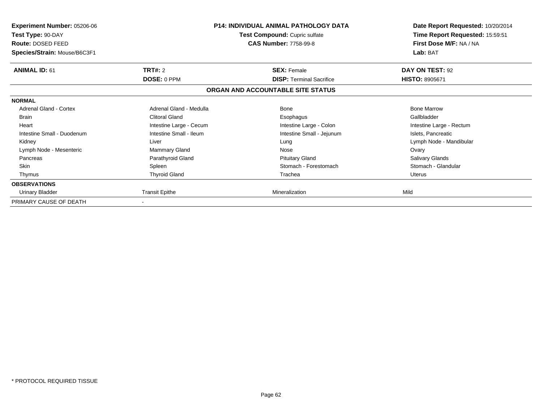| <b>Experiment Number: 05206-06</b><br>Test Type: 90-DAY<br>Route: DOSED FEED<br>Species/Strain: Mouse/B6C3F1 | <b>P14: INDIVIDUAL ANIMAL PATHOLOGY DATA</b><br>Test Compound: Cupric sulfate<br><b>CAS Number: 7758-99-8</b> |                                                       | Date Report Requested: 10/20/2014<br>Time Report Requested: 15:59:51<br>First Dose M/F: NA / NA<br>Lab: BAT |
|--------------------------------------------------------------------------------------------------------------|---------------------------------------------------------------------------------------------------------------|-------------------------------------------------------|-------------------------------------------------------------------------------------------------------------|
| <b>ANIMAL ID: 61</b>                                                                                         | <b>TRT#: 2</b><br>DOSE: 0 PPM                                                                                 | <b>SEX: Female</b><br><b>DISP:</b> Terminal Sacrifice | DAY ON TEST: 92<br><b>HISTO: 8905671</b>                                                                    |
|                                                                                                              |                                                                                                               | ORGAN AND ACCOUNTABLE SITE STATUS                     |                                                                                                             |
| <b>NORMAL</b>                                                                                                |                                                                                                               |                                                       |                                                                                                             |
| <b>Adrenal Gland - Cortex</b>                                                                                | Adrenal Gland - Medulla                                                                                       | <b>Bone</b>                                           | <b>Bone Marrow</b>                                                                                          |
| <b>Brain</b>                                                                                                 | Clitoral Gland                                                                                                | Esophagus                                             | Gallbladder                                                                                                 |
| Heart                                                                                                        | Intestine Large - Cecum                                                                                       | Intestine Large - Colon                               | Intestine Large - Rectum                                                                                    |
| Intestine Small - Duodenum                                                                                   | Intestine Small - Ileum                                                                                       | Intestine Small - Jejunum                             | Islets, Pancreatic                                                                                          |
| Kidney                                                                                                       | Liver                                                                                                         | Lung                                                  | Lymph Node - Mandibular                                                                                     |
| Lymph Node - Mesenteric                                                                                      | Mammary Gland                                                                                                 | Nose                                                  | Ovary                                                                                                       |
| Pancreas                                                                                                     | Parathyroid Gland                                                                                             | <b>Pituitary Gland</b>                                | Salivary Glands                                                                                             |
| <b>Skin</b>                                                                                                  | Spleen                                                                                                        | Stomach - Forestomach                                 | Stomach - Glandular                                                                                         |
| Thymus                                                                                                       | <b>Thyroid Gland</b>                                                                                          | Trachea                                               | <b>Uterus</b>                                                                                               |
| <b>OBSERVATIONS</b>                                                                                          |                                                                                                               |                                                       |                                                                                                             |
| Urinary Bladder                                                                                              | <b>Transit Epithe</b>                                                                                         | Mineralization                                        | Mild                                                                                                        |
| PRIMARY CAUSE OF DEATH                                                                                       |                                                                                                               |                                                       |                                                                                                             |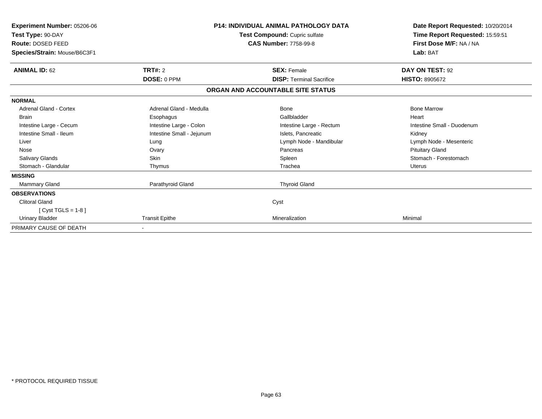| Experiment Number: 05206-06<br>Test Type: 90-DAY<br>Route: DOSED FEED<br>Species/Strain: Mouse/B6C3F1 |                           | <b>P14: INDIVIDUAL ANIMAL PATHOLOGY DATA</b><br>Test Compound: Cupric sulfate<br><b>CAS Number: 7758-99-8</b> | Date Report Requested: 10/20/2014<br>Time Report Requested: 15:59:51<br>First Dose M/F: NA / NA<br>Lab: BAT |
|-------------------------------------------------------------------------------------------------------|---------------------------|---------------------------------------------------------------------------------------------------------------|-------------------------------------------------------------------------------------------------------------|
| <b>ANIMAL ID: 62</b>                                                                                  | <b>TRT#: 2</b>            | <b>SEX: Female</b>                                                                                            | DAY ON TEST: 92                                                                                             |
|                                                                                                       | <b>DOSE: 0 PPM</b>        | <b>DISP: Terminal Sacrifice</b>                                                                               | <b>HISTO: 8905672</b>                                                                                       |
|                                                                                                       |                           | ORGAN AND ACCOUNTABLE SITE STATUS                                                                             |                                                                                                             |
| <b>NORMAL</b>                                                                                         |                           |                                                                                                               |                                                                                                             |
| <b>Adrenal Gland - Cortex</b>                                                                         | Adrenal Gland - Medulla   | Bone                                                                                                          | <b>Bone Marrow</b>                                                                                          |
| <b>Brain</b>                                                                                          | Esophagus                 | Gallbladder                                                                                                   | Heart                                                                                                       |
| Intestine Large - Cecum                                                                               | Intestine Large - Colon   | Intestine Large - Rectum                                                                                      | Intestine Small - Duodenum                                                                                  |
| Intestine Small - Ileum                                                                               | Intestine Small - Jejunum | Islets, Pancreatic                                                                                            | Kidney                                                                                                      |
| Liver                                                                                                 | Lung                      | Lymph Node - Mandibular                                                                                       | Lymph Node - Mesenteric                                                                                     |
| Nose                                                                                                  | Ovary                     | Pancreas                                                                                                      | <b>Pituitary Gland</b>                                                                                      |
| <b>Salivary Glands</b>                                                                                | Skin                      | Spleen                                                                                                        | Stomach - Forestomach                                                                                       |
| Stomach - Glandular                                                                                   | Thymus                    | Trachea                                                                                                       | <b>Uterus</b>                                                                                               |
| <b>MISSING</b>                                                                                        |                           |                                                                                                               |                                                                                                             |
| Mammary Gland                                                                                         | Parathyroid Gland         | <b>Thyroid Gland</b>                                                                                          |                                                                                                             |
| <b>OBSERVATIONS</b>                                                                                   |                           |                                                                                                               |                                                                                                             |
| <b>Clitoral Gland</b>                                                                                 |                           | Cyst                                                                                                          |                                                                                                             |
| [ Cyst TGLS = $1-8$ ]                                                                                 |                           |                                                                                                               |                                                                                                             |
| <b>Urinary Bladder</b>                                                                                | <b>Transit Epithe</b>     | Mineralization                                                                                                | Minimal                                                                                                     |
| PRIMARY CAUSE OF DEATH                                                                                |                           |                                                                                                               |                                                                                                             |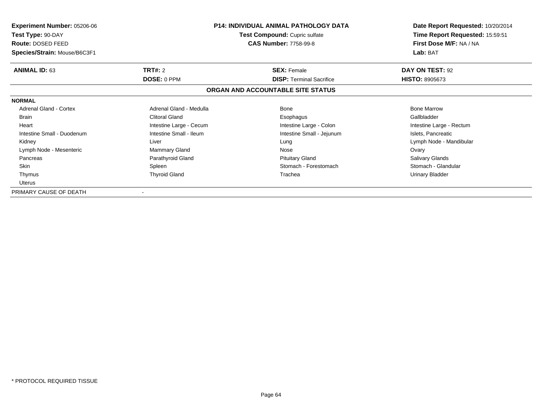| <b>Experiment Number: 05206-06</b> | <b>P14: INDIVIDUAL ANIMAL PATHOLOGY DATA</b><br><b>Test Compound: Cupric sulfate</b> |                                   | Date Report Requested: 10/20/2014 |
|------------------------------------|--------------------------------------------------------------------------------------|-----------------------------------|-----------------------------------|
| Test Type: 90-DAY                  |                                                                                      |                                   | Time Report Requested: 15:59:51   |
| Route: DOSED FEED                  |                                                                                      | <b>CAS Number: 7758-99-8</b>      | First Dose M/F: NA / NA           |
| Species/Strain: Mouse/B6C3F1       |                                                                                      |                                   | Lab: BAT                          |
| <b>ANIMAL ID: 63</b>               | <b>TRT#:</b> 2                                                                       | <b>SEX: Female</b>                | DAY ON TEST: 92                   |
|                                    | <b>DOSE: 0 PPM</b>                                                                   | <b>DISP: Terminal Sacrifice</b>   | <b>HISTO: 8905673</b>             |
|                                    |                                                                                      | ORGAN AND ACCOUNTABLE SITE STATUS |                                   |
| <b>NORMAL</b>                      |                                                                                      |                                   |                                   |
| <b>Adrenal Gland - Cortex</b>      | Adrenal Gland - Medulla                                                              | Bone                              | <b>Bone Marrow</b>                |
| <b>Brain</b>                       | <b>Clitoral Gland</b>                                                                | Esophagus                         | Gallbladder                       |
| Heart                              | Intestine Large - Cecum                                                              | Intestine Large - Colon           | Intestine Large - Rectum          |
| Intestine Small - Duodenum         | Intestine Small - Ileum                                                              | Intestine Small - Jejunum         | Islets, Pancreatic                |
| Kidney                             | Liver                                                                                | Lung                              | Lymph Node - Mandibular           |
| Lymph Node - Mesenteric            | <b>Mammary Gland</b>                                                                 | Nose                              | Ovary                             |
| Pancreas                           | Parathyroid Gland                                                                    | <b>Pituitary Gland</b>            | Salivary Glands                   |
| Skin                               | Spleen                                                                               | Stomach - Forestomach             | Stomach - Glandular               |
| Thymus                             | <b>Thyroid Gland</b>                                                                 | Trachea                           | Urinary Bladder                   |
| <b>Uterus</b>                      |                                                                                      |                                   |                                   |
| PRIMARY CAUSE OF DEATH             |                                                                                      |                                   |                                   |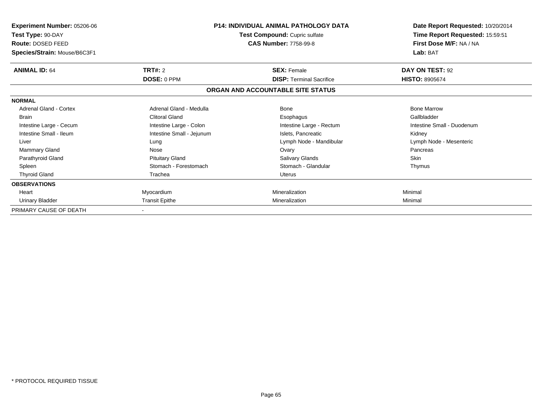| Experiment Number: 05206-06<br>Test Type: 90-DAY<br>Route: DOSED FEED |                           | <b>P14: INDIVIDUAL ANIMAL PATHOLOGY DATA</b><br>Test Compound: Cupric sulfate<br><b>CAS Number: 7758-99-8</b> | Date Report Requested: 10/20/2014<br>Time Report Requested: 15:59:51<br>First Dose M/F: NA / NA |
|-----------------------------------------------------------------------|---------------------------|---------------------------------------------------------------------------------------------------------------|-------------------------------------------------------------------------------------------------|
| Species/Strain: Mouse/B6C3F1                                          |                           |                                                                                                               | Lab: BAT                                                                                        |
| <b>ANIMAL ID: 64</b>                                                  | TRT#: 2                   | <b>SEX: Female</b>                                                                                            | DAY ON TEST: 92                                                                                 |
|                                                                       | DOSE: 0 PPM               | <b>DISP: Terminal Sacrifice</b>                                                                               | <b>HISTO: 8905674</b>                                                                           |
|                                                                       |                           | ORGAN AND ACCOUNTABLE SITE STATUS                                                                             |                                                                                                 |
| <b>NORMAL</b>                                                         |                           |                                                                                                               |                                                                                                 |
| Adrenal Gland - Cortex                                                | Adrenal Gland - Medulla   | <b>Bone</b>                                                                                                   | <b>Bone Marrow</b>                                                                              |
| <b>Brain</b>                                                          | <b>Clitoral Gland</b>     | Esophagus                                                                                                     | Gallbladder                                                                                     |
| Intestine Large - Cecum                                               | Intestine Large - Colon   | Intestine Large - Rectum                                                                                      | Intestine Small - Duodenum                                                                      |
| Intestine Small - Ileum                                               | Intestine Small - Jejunum | Islets, Pancreatic                                                                                            | Kidney                                                                                          |
| Liver                                                                 | Lung                      | Lymph Node - Mandibular                                                                                       | Lymph Node - Mesenteric                                                                         |
| <b>Mammary Gland</b>                                                  | Nose                      | Ovary                                                                                                         | Pancreas                                                                                        |
| Parathyroid Gland                                                     | <b>Pituitary Gland</b>    | Salivary Glands                                                                                               | <b>Skin</b>                                                                                     |
| Spleen                                                                | Stomach - Forestomach     | Stomach - Glandular                                                                                           | Thymus                                                                                          |
| <b>Thyroid Gland</b>                                                  | Trachea                   | Uterus                                                                                                        |                                                                                                 |
| <b>OBSERVATIONS</b>                                                   |                           |                                                                                                               |                                                                                                 |
| Heart                                                                 | Myocardium                | Mineralization                                                                                                | Minimal                                                                                         |
| Urinary Bladder                                                       | <b>Transit Epithe</b>     | Mineralization                                                                                                | Minimal                                                                                         |
| PRIMARY CAUSE OF DEATH                                                |                           |                                                                                                               |                                                                                                 |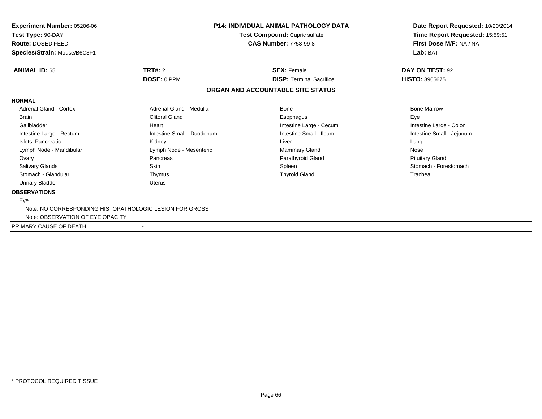| <b>Experiment Number: 05206-06</b><br>Test Type: 90-DAY<br>Route: DOSED FEED |                            | <b>P14: INDIVIDUAL ANIMAL PATHOLOGY DATA</b><br>Test Compound: Cupric sulfate<br><b>CAS Number: 7758-99-8</b> | Date Report Requested: 10/20/2014<br>Time Report Requested: 15:59:51<br>First Dose M/F: NA / NA |
|------------------------------------------------------------------------------|----------------------------|---------------------------------------------------------------------------------------------------------------|-------------------------------------------------------------------------------------------------|
| Species/Strain: Mouse/B6C3F1                                                 |                            |                                                                                                               | Lab: BAT                                                                                        |
| <b>ANIMAL ID: 65</b>                                                         | TRT#: 2                    | <b>SEX: Female</b>                                                                                            | DAY ON TEST: 92                                                                                 |
|                                                                              | DOSE: 0 PPM                | <b>DISP: Terminal Sacrifice</b>                                                                               | <b>HISTO: 8905675</b>                                                                           |
|                                                                              |                            | ORGAN AND ACCOUNTABLE SITE STATUS                                                                             |                                                                                                 |
| <b>NORMAL</b>                                                                |                            |                                                                                                               |                                                                                                 |
| <b>Adrenal Gland - Cortex</b>                                                | Adrenal Gland - Medulla    | Bone                                                                                                          | <b>Bone Marrow</b>                                                                              |
| <b>Brain</b>                                                                 | <b>Clitoral Gland</b>      | Esophagus                                                                                                     | Eye                                                                                             |
| Gallbladder                                                                  | Heart                      | Intestine Large - Cecum                                                                                       | Intestine Large - Colon                                                                         |
| Intestine Large - Rectum                                                     | Intestine Small - Duodenum | Intestine Small - Ileum                                                                                       | Intestine Small - Jejunum                                                                       |
| Islets, Pancreatic                                                           | Kidney                     | Liver                                                                                                         | Lung                                                                                            |
| Lymph Node - Mandibular                                                      | Lymph Node - Mesenteric    | <b>Mammary Gland</b>                                                                                          | Nose                                                                                            |
| Ovary                                                                        | Pancreas                   | Parathyroid Gland                                                                                             | <b>Pituitary Gland</b>                                                                          |
| Salivary Glands                                                              | <b>Skin</b>                | Spleen                                                                                                        | Stomach - Forestomach                                                                           |
| Stomach - Glandular                                                          | Thymus                     | <b>Thyroid Gland</b>                                                                                          | Trachea                                                                                         |
| <b>Urinary Bladder</b>                                                       | Uterus                     |                                                                                                               |                                                                                                 |
| <b>OBSERVATIONS</b>                                                          |                            |                                                                                                               |                                                                                                 |
| Eye                                                                          |                            |                                                                                                               |                                                                                                 |
| Note: NO CORRESPONDING HISTOPATHOLOGIC LESION FOR GROSS                      |                            |                                                                                                               |                                                                                                 |
| Note: OBSERVATION OF EYE OPACITY                                             |                            |                                                                                                               |                                                                                                 |
| PRIMARY CAUSE OF DEATH                                                       | $\overline{\phantom{a}}$   |                                                                                                               |                                                                                                 |
|                                                                              |                            |                                                                                                               |                                                                                                 |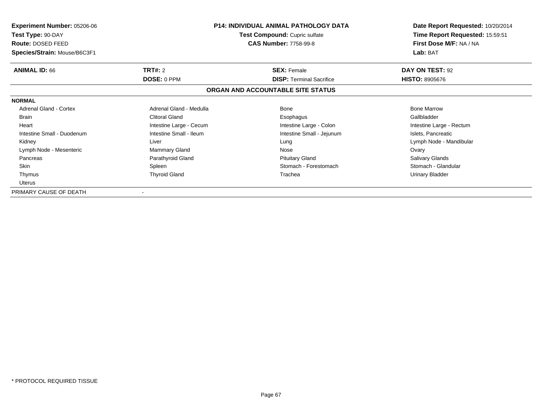| <b>Experiment Number: 05206-06</b> | <b>P14: INDIVIDUAL ANIMAL PATHOLOGY DATA</b><br><b>Test Compound: Cupric sulfate</b> |                                   | Date Report Requested: 10/20/2014 |
|------------------------------------|--------------------------------------------------------------------------------------|-----------------------------------|-----------------------------------|
| Test Type: 90-DAY                  |                                                                                      |                                   | Time Report Requested: 15:59:51   |
| Route: DOSED FEED                  |                                                                                      | <b>CAS Number: 7758-99-8</b>      | First Dose M/F: NA / NA           |
| Species/Strain: Mouse/B6C3F1       |                                                                                      |                                   | Lab: BAT                          |
| <b>ANIMAL ID: 66</b>               | <b>TRT#:</b> 2                                                                       | <b>SEX: Female</b>                | DAY ON TEST: 92                   |
|                                    | <b>DOSE: 0 PPM</b>                                                                   | <b>DISP: Terminal Sacrifice</b>   | <b>HISTO: 8905676</b>             |
|                                    |                                                                                      | ORGAN AND ACCOUNTABLE SITE STATUS |                                   |
| <b>NORMAL</b>                      |                                                                                      |                                   |                                   |
| <b>Adrenal Gland - Cortex</b>      | Adrenal Gland - Medulla                                                              | Bone                              | <b>Bone Marrow</b>                |
| <b>Brain</b>                       | <b>Clitoral Gland</b>                                                                | Esophagus                         | Gallbladder                       |
| Heart                              | Intestine Large - Cecum                                                              | Intestine Large - Colon           | Intestine Large - Rectum          |
| Intestine Small - Duodenum         | Intestine Small - Ileum                                                              | Intestine Small - Jejunum         | Islets, Pancreatic                |
| Kidney                             | Liver                                                                                | Lung                              | Lymph Node - Mandibular           |
| Lymph Node - Mesenteric            | <b>Mammary Gland</b>                                                                 | Nose                              | Ovary                             |
| Pancreas                           | Parathyroid Gland                                                                    | <b>Pituitary Gland</b>            | Salivary Glands                   |
| Skin                               | Spleen                                                                               | Stomach - Forestomach             | Stomach - Glandular               |
| Thymus                             | <b>Thyroid Gland</b>                                                                 | Trachea                           | Urinary Bladder                   |
| <b>Uterus</b>                      |                                                                                      |                                   |                                   |
| PRIMARY CAUSE OF DEATH             |                                                                                      |                                   |                                   |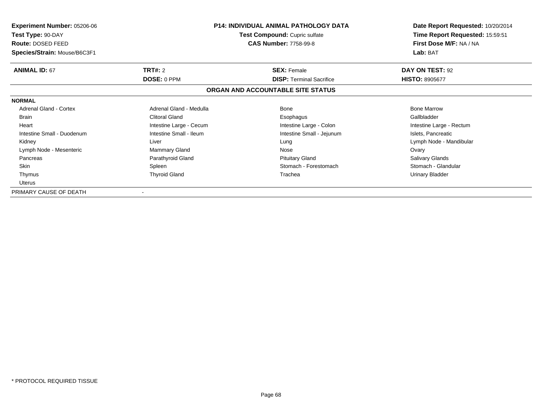| <b>Experiment Number: 05206-06</b> | <b>P14: INDIVIDUAL ANIMAL PATHOLOGY DATA</b><br><b>Test Compound: Cupric sulfate</b> |                                   | Date Report Requested: 10/20/2014 |
|------------------------------------|--------------------------------------------------------------------------------------|-----------------------------------|-----------------------------------|
| Test Type: 90-DAY                  |                                                                                      |                                   | Time Report Requested: 15:59:51   |
| Route: DOSED FEED                  |                                                                                      | <b>CAS Number: 7758-99-8</b>      | First Dose M/F: NA / NA           |
| Species/Strain: Mouse/B6C3F1       |                                                                                      |                                   | Lab: BAT                          |
| <b>ANIMAL ID: 67</b>               | <b>TRT#:</b> 2                                                                       | <b>SEX: Female</b>                | DAY ON TEST: 92                   |
|                                    | <b>DOSE: 0 PPM</b>                                                                   | <b>DISP: Terminal Sacrifice</b>   | <b>HISTO: 8905677</b>             |
|                                    |                                                                                      | ORGAN AND ACCOUNTABLE SITE STATUS |                                   |
| <b>NORMAL</b>                      |                                                                                      |                                   |                                   |
| <b>Adrenal Gland - Cortex</b>      | Adrenal Gland - Medulla                                                              | Bone                              | <b>Bone Marrow</b>                |
| <b>Brain</b>                       | <b>Clitoral Gland</b>                                                                | Esophagus                         | Gallbladder                       |
| Heart                              | Intestine Large - Cecum                                                              | Intestine Large - Colon           | Intestine Large - Rectum          |
| Intestine Small - Duodenum         | Intestine Small - Ileum                                                              | Intestine Small - Jejunum         | Islets, Pancreatic                |
| Kidney                             | Liver                                                                                | Lung                              | Lymph Node - Mandibular           |
| Lymph Node - Mesenteric            | <b>Mammary Gland</b>                                                                 | Nose                              | Ovary                             |
| Pancreas                           | Parathyroid Gland                                                                    | <b>Pituitary Gland</b>            | Salivary Glands                   |
| Skin                               | Spleen                                                                               | Stomach - Forestomach             | Stomach - Glandular               |
| Thymus                             | <b>Thyroid Gland</b>                                                                 | Trachea                           | Urinary Bladder                   |
| <b>Uterus</b>                      |                                                                                      |                                   |                                   |
| PRIMARY CAUSE OF DEATH             |                                                                                      |                                   |                                   |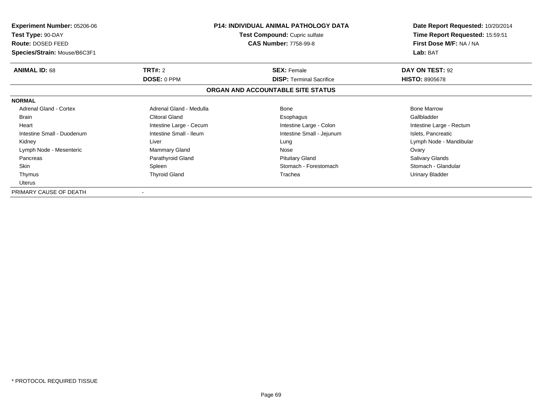| <b>Experiment Number: 05206-06</b> | <b>P14: INDIVIDUAL ANIMAL PATHOLOGY DATA</b><br><b>Test Compound: Cupric sulfate</b> |                                   | Date Report Requested: 10/20/2014 |
|------------------------------------|--------------------------------------------------------------------------------------|-----------------------------------|-----------------------------------|
| Test Type: 90-DAY                  |                                                                                      |                                   | Time Report Requested: 15:59:51   |
| Route: DOSED FEED                  |                                                                                      | <b>CAS Number: 7758-99-8</b>      | First Dose M/F: NA / NA           |
| Species/Strain: Mouse/B6C3F1       |                                                                                      |                                   | Lab: BAT                          |
| <b>ANIMAL ID: 68</b>               | <b>TRT#:</b> 2                                                                       | <b>SEX: Female</b>                | DAY ON TEST: 92                   |
|                                    | <b>DOSE: 0 PPM</b>                                                                   | <b>DISP: Terminal Sacrifice</b>   | <b>HISTO: 8905678</b>             |
|                                    |                                                                                      | ORGAN AND ACCOUNTABLE SITE STATUS |                                   |
| <b>NORMAL</b>                      |                                                                                      |                                   |                                   |
| <b>Adrenal Gland - Cortex</b>      | Adrenal Gland - Medulla                                                              | Bone                              | <b>Bone Marrow</b>                |
| <b>Brain</b>                       | <b>Clitoral Gland</b>                                                                | Esophagus                         | Gallbladder                       |
| Heart                              | Intestine Large - Cecum                                                              | Intestine Large - Colon           | Intestine Large - Rectum          |
| Intestine Small - Duodenum         | Intestine Small - Ileum                                                              | Intestine Small - Jejunum         | Islets, Pancreatic                |
| Kidney                             | Liver                                                                                | Lung                              | Lymph Node - Mandibular           |
| Lymph Node - Mesenteric            | <b>Mammary Gland</b>                                                                 | Nose                              | Ovary                             |
| Pancreas                           | Parathyroid Gland                                                                    | <b>Pituitary Gland</b>            | Salivary Glands                   |
| Skin                               | Spleen                                                                               | Stomach - Forestomach             | Stomach - Glandular               |
| Thymus                             | <b>Thyroid Gland</b>                                                                 | Trachea                           | Urinary Bladder                   |
| <b>Uterus</b>                      |                                                                                      |                                   |                                   |
| PRIMARY CAUSE OF DEATH             |                                                                                      |                                   |                                   |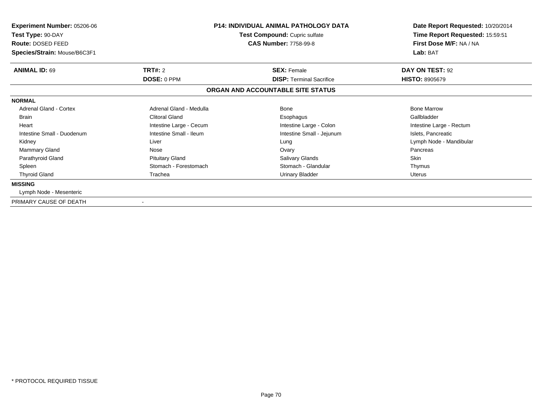| <b>Experiment Number: 05206-06</b><br>Test Type: 90-DAY<br>Route: DOSED FEED<br>Species/Strain: Mouse/B6C3F1 | <b>P14: INDIVIDUAL ANIMAL PATHOLOGY DATA</b><br>Test Compound: Cupric sulfate<br><b>CAS Number: 7758-99-8</b> |                                   | Date Report Requested: 10/20/2014<br>Time Report Requested: 15:59:51<br>First Dose M/F: NA / NA<br>Lab: BAT |
|--------------------------------------------------------------------------------------------------------------|---------------------------------------------------------------------------------------------------------------|-----------------------------------|-------------------------------------------------------------------------------------------------------------|
| <b>ANIMAL ID: 69</b>                                                                                         | <b>TRT#: 2</b>                                                                                                | <b>SEX: Female</b>                | DAY ON TEST: 92                                                                                             |
|                                                                                                              | DOSE: 0 PPM                                                                                                   | <b>DISP: Terminal Sacrifice</b>   | <b>HISTO: 8905679</b>                                                                                       |
|                                                                                                              |                                                                                                               | ORGAN AND ACCOUNTABLE SITE STATUS |                                                                                                             |
| <b>NORMAL</b>                                                                                                |                                                                                                               |                                   |                                                                                                             |
| Adrenal Gland - Cortex                                                                                       | Adrenal Gland - Medulla                                                                                       | <b>Bone</b>                       | <b>Bone Marrow</b>                                                                                          |
| <b>Brain</b>                                                                                                 | Clitoral Gland                                                                                                | Esophagus                         | Gallbladder                                                                                                 |
| Heart                                                                                                        | Intestine Large - Cecum                                                                                       | Intestine Large - Colon           | Intestine Large - Rectum                                                                                    |
| Intestine Small - Duodenum                                                                                   | Intestine Small - Ileum                                                                                       | Intestine Small - Jejunum         | Islets, Pancreatic                                                                                          |
| Kidney                                                                                                       | Liver                                                                                                         | Lung                              | Lymph Node - Mandibular                                                                                     |
| Mammary Gland                                                                                                | Nose                                                                                                          | Ovary                             | Pancreas                                                                                                    |
| Parathyroid Gland                                                                                            | <b>Pituitary Gland</b>                                                                                        | Salivary Glands                   | Skin                                                                                                        |
| Spleen                                                                                                       | Stomach - Forestomach                                                                                         | Stomach - Glandular               | Thymus                                                                                                      |
| <b>Thyroid Gland</b>                                                                                         | Trachea                                                                                                       | <b>Urinary Bladder</b>            | Uterus                                                                                                      |
| <b>MISSING</b>                                                                                               |                                                                                                               |                                   |                                                                                                             |
| Lymph Node - Mesenteric                                                                                      |                                                                                                               |                                   |                                                                                                             |
| PRIMARY CAUSE OF DEATH                                                                                       |                                                                                                               |                                   |                                                                                                             |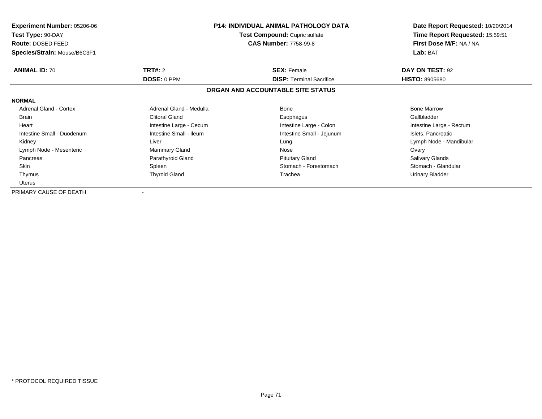| <b>Experiment Number: 05206-06</b> | <b>P14: INDIVIDUAL ANIMAL PATHOLOGY DATA</b><br><b>Test Compound: Cupric sulfate</b> |                                   | Date Report Requested: 10/20/2014 |
|------------------------------------|--------------------------------------------------------------------------------------|-----------------------------------|-----------------------------------|
| Test Type: 90-DAY                  |                                                                                      |                                   | Time Report Requested: 15:59:51   |
| Route: DOSED FEED                  |                                                                                      | <b>CAS Number: 7758-99-8</b>      | First Dose M/F: NA / NA           |
| Species/Strain: Mouse/B6C3F1       |                                                                                      |                                   | Lab: BAT                          |
| <b>ANIMAL ID: 70</b>               | <b>TRT#:</b> 2                                                                       | <b>SEX: Female</b>                | DAY ON TEST: 92                   |
|                                    | <b>DOSE: 0 PPM</b>                                                                   | <b>DISP: Terminal Sacrifice</b>   | <b>HISTO: 8905680</b>             |
|                                    |                                                                                      | ORGAN AND ACCOUNTABLE SITE STATUS |                                   |
| <b>NORMAL</b>                      |                                                                                      |                                   |                                   |
| <b>Adrenal Gland - Cortex</b>      | Adrenal Gland - Medulla                                                              | Bone                              | <b>Bone Marrow</b>                |
| <b>Brain</b>                       | <b>Clitoral Gland</b>                                                                | Esophagus                         | Gallbladder                       |
| Heart                              | Intestine Large - Cecum                                                              | Intestine Large - Colon           | Intestine Large - Rectum          |
| Intestine Small - Duodenum         | Intestine Small - Ileum                                                              | Intestine Small - Jejunum         | Islets, Pancreatic                |
| Kidney                             | Liver                                                                                | Lung                              | Lymph Node - Mandibular           |
| Lymph Node - Mesenteric            | <b>Mammary Gland</b>                                                                 | Nose                              | Ovary                             |
| Pancreas                           | Parathyroid Gland                                                                    | <b>Pituitary Gland</b>            | Salivary Glands                   |
| Skin                               | Spleen                                                                               | Stomach - Forestomach             | Stomach - Glandular               |
| Thymus                             | <b>Thyroid Gland</b>                                                                 | Trachea                           | Urinary Bladder                   |
| <b>Uterus</b>                      |                                                                                      |                                   |                                   |
| PRIMARY CAUSE OF DEATH             |                                                                                      |                                   |                                   |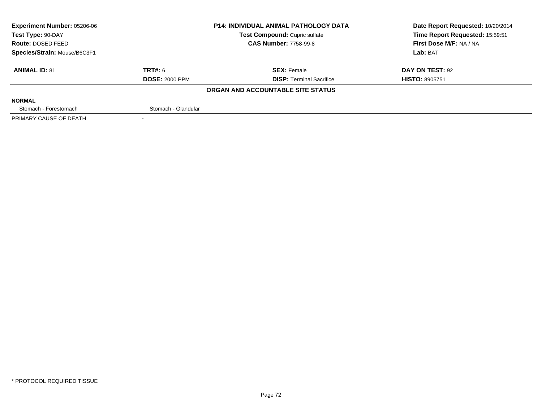| <b>Experiment Number: 05206-06</b> |                       | <b>P14: INDIVIDUAL ANIMAL PATHOLOGY DATA</b> | Date Report Requested: 10/20/2014 |  |
|------------------------------------|-----------------------|----------------------------------------------|-----------------------------------|--|
| Test Type: 90-DAY                  |                       | Test Compound: Cupric sulfate                | Time Report Requested: 15:59:51   |  |
| <b>Route: DOSED FEED</b>           |                       | <b>CAS Number: 7758-99-8</b>                 | First Dose M/F: NA / NA           |  |
| Species/Strain: Mouse/B6C3F1       |                       |                                              | Lab: BAT                          |  |
| <b>ANIMAL ID: 81</b>               | TRT#: 6               | <b>SEX: Female</b>                           | DAY ON TEST: 92                   |  |
|                                    | <b>DOSE: 2000 PPM</b> | <b>DISP: Terminal Sacrifice</b>              | <b>HISTO: 8905751</b>             |  |
|                                    |                       | ORGAN AND ACCOUNTABLE SITE STATUS            |                                   |  |
| <b>NORMAL</b>                      |                       |                                              |                                   |  |
| Stomach - Forestomach              | Stomach - Glandular   |                                              |                                   |  |
| PRIMARY CAUSE OF DEATH             |                       |                                              |                                   |  |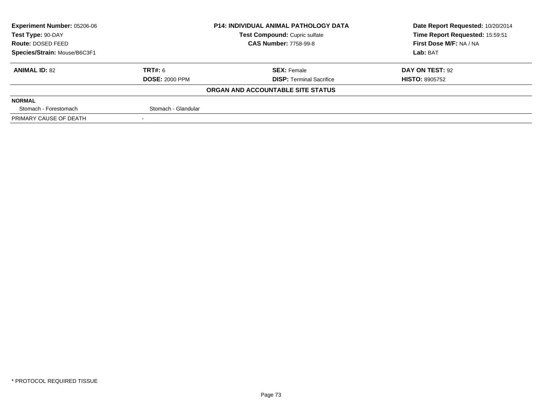| <b>Experiment Number: 05206-06</b>                 | <b>P14: INDIVIDUAL ANIMAL PATHOLOGY DATA</b> |                                   | Date Report Requested: 10/20/2014 |  |
|----------------------------------------------------|----------------------------------------------|-----------------------------------|-----------------------------------|--|
| Test Compound: Cupric sulfate<br>Test Type: 90-DAY |                                              | Time Report Requested: 15:59:51   |                                   |  |
| <b>Route: DOSED FEED</b>                           |                                              | <b>CAS Number: 7758-99-8</b>      | First Dose M/F: NA / NA           |  |
| Species/Strain: Mouse/B6C3F1                       |                                              |                                   | Lab: BAT                          |  |
| <b>ANIMAL ID: 82</b>                               | TRT#: 6                                      | <b>SEX: Female</b>                | DAY ON TEST: 92                   |  |
|                                                    | <b>DOSE: 2000 PPM</b>                        | <b>DISP: Terminal Sacrifice</b>   | <b>HISTO: 8905752</b>             |  |
|                                                    |                                              | ORGAN AND ACCOUNTABLE SITE STATUS |                                   |  |
| <b>NORMAL</b>                                      |                                              |                                   |                                   |  |
| Stomach - Forestomach                              | Stomach - Glandular                          |                                   |                                   |  |
| PRIMARY CAUSE OF DEATH                             |                                              |                                   |                                   |  |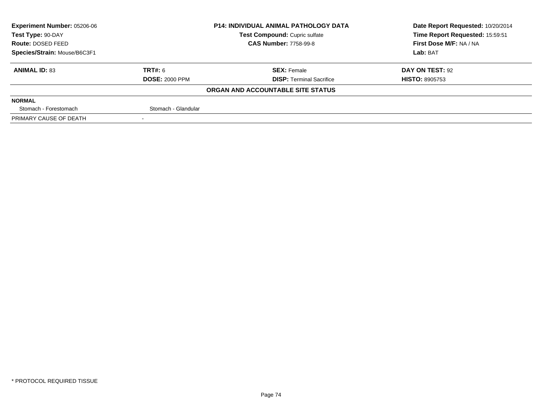| <b>Experiment Number: 05206-06</b> |                       | <b>P14: INDIVIDUAL ANIMAL PATHOLOGY DATA</b> | Date Report Requested: 10/20/2014 |
|------------------------------------|-----------------------|----------------------------------------------|-----------------------------------|
| Test Type: 90-DAY                  |                       | Test Compound: Cupric sulfate                | Time Report Requested: 15:59:51   |
| <b>Route: DOSED FEED</b>           |                       | <b>CAS Number: 7758-99-8</b>                 | First Dose M/F: NA / NA           |
| Species/Strain: Mouse/B6C3F1       |                       |                                              | Lab: BAT                          |
| <b>ANIMAL ID: 83</b>               | TRT#: 6               | <b>SEX: Female</b>                           | DAY ON TEST: 92                   |
|                                    | <b>DOSE: 2000 PPM</b> | <b>DISP: Terminal Sacrifice</b>              | <b>HISTO: 8905753</b>             |
|                                    |                       | ORGAN AND ACCOUNTABLE SITE STATUS            |                                   |
| <b>NORMAL</b>                      |                       |                                              |                                   |
| Stomach - Forestomach              | Stomach - Glandular   |                                              |                                   |
| PRIMARY CAUSE OF DEATH             |                       |                                              |                                   |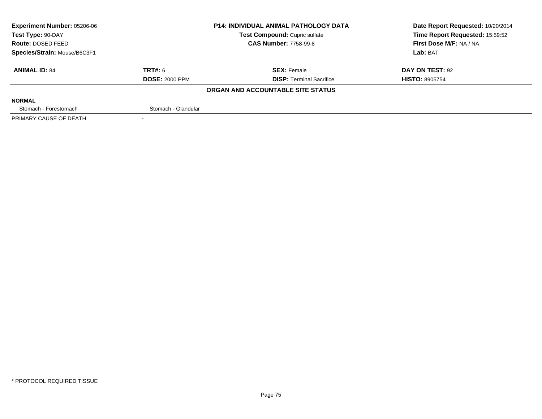| Experiment Number: 05206-06  |                       | <b>P14: INDIVIDUAL ANIMAL PATHOLOGY DATA</b> | Date Report Requested: 10/20/2014 |
|------------------------------|-----------------------|----------------------------------------------|-----------------------------------|
| Test Type: 90-DAY            |                       | Test Compound: Cupric sulfate                | Time Report Requested: 15:59:52   |
| Route: DOSED FEED            |                       | <b>CAS Number: 7758-99-8</b>                 | First Dose M/F: NA / NA           |
| Species/Strain: Mouse/B6C3F1 |                       |                                              | Lab: BAT                          |
| <b>ANIMAL ID: 84</b>         | TRT#: 6               | <b>SEX: Female</b>                           | DAY ON TEST: 92                   |
|                              | <b>DOSE: 2000 PPM</b> | <b>DISP: Terminal Sacrifice</b>              | <b>HISTO: 8905754</b>             |
|                              |                       | ORGAN AND ACCOUNTABLE SITE STATUS            |                                   |
| <b>NORMAL</b>                |                       |                                              |                                   |
| Stomach - Forestomach        | Stomach - Glandular   |                                              |                                   |
| PRIMARY CAUSE OF DEATH       |                       |                                              |                                   |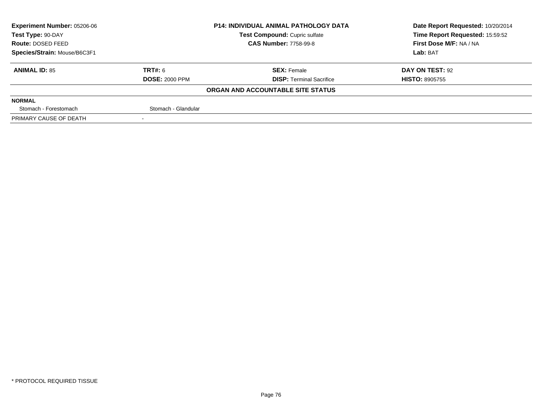| <b>Experiment Number: 05206-06</b>                 | <b>P14: INDIVIDUAL ANIMAL PATHOLOGY DATA</b> |                                   | Date Report Requested: 10/20/2014 |
|----------------------------------------------------|----------------------------------------------|-----------------------------------|-----------------------------------|
| Test Compound: Cupric sulfate<br>Test Type: 90-DAY |                                              |                                   | Time Report Requested: 15:59:52   |
| <b>Route: DOSED FEED</b>                           |                                              | <b>CAS Number: 7758-99-8</b>      | First Dose M/F: NA / NA           |
| Species/Strain: Mouse/B6C3F1                       |                                              |                                   | Lab: BAT                          |
| <b>ANIMAL ID: 85</b>                               | TRT#: 6                                      | <b>SEX: Female</b>                | DAY ON TEST: 92                   |
|                                                    | <b>DOSE: 2000 PPM</b>                        | <b>DISP: Terminal Sacrifice</b>   | <b>HISTO: 8905755</b>             |
|                                                    |                                              | ORGAN AND ACCOUNTABLE SITE STATUS |                                   |
| <b>NORMAL</b>                                      |                                              |                                   |                                   |
| Stomach - Forestomach                              | Stomach - Glandular                          |                                   |                                   |
| PRIMARY CAUSE OF DEATH                             |                                              |                                   |                                   |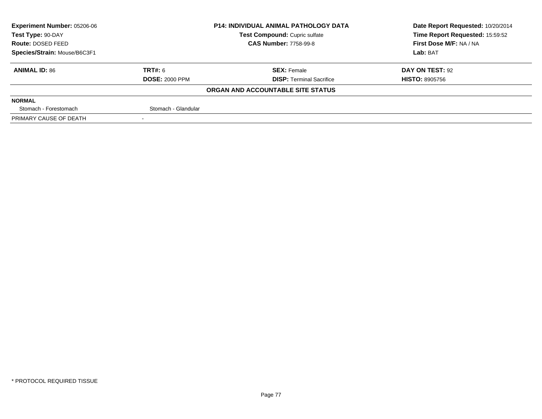| <b>Experiment Number: 05206-06</b>                 | <b>P14: INDIVIDUAL ANIMAL PATHOLOGY DATA</b> |                                   | Date Report Requested: 10/20/2014 |  |
|----------------------------------------------------|----------------------------------------------|-----------------------------------|-----------------------------------|--|
| Test Compound: Cupric sulfate<br>Test Type: 90-DAY |                                              | Time Report Requested: 15:59:52   |                                   |  |
| <b>Route: DOSED FEED</b>                           |                                              | <b>CAS Number: 7758-99-8</b>      | First Dose M/F: NA / NA           |  |
| Species/Strain: Mouse/B6C3F1                       |                                              |                                   | Lab: BAT                          |  |
| <b>ANIMAL ID: 86</b>                               | TRT#: 6                                      | <b>SEX: Female</b>                | DAY ON TEST: 92                   |  |
|                                                    | <b>DOSE: 2000 PPM</b>                        | <b>DISP: Terminal Sacrifice</b>   | <b>HISTO: 8905756</b>             |  |
|                                                    |                                              | ORGAN AND ACCOUNTABLE SITE STATUS |                                   |  |
| <b>NORMAL</b>                                      |                                              |                                   |                                   |  |
| Stomach - Forestomach                              | Stomach - Glandular                          |                                   |                                   |  |
| PRIMARY CAUSE OF DEATH                             |                                              |                                   |                                   |  |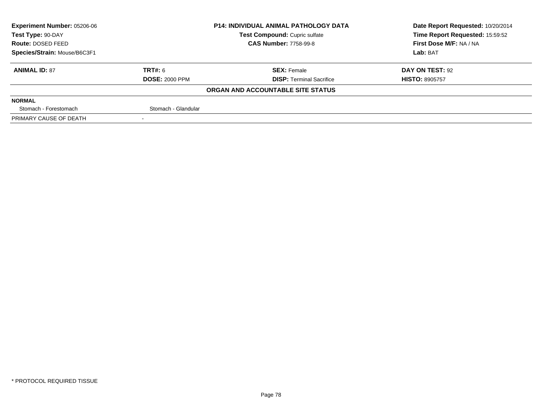| Experiment Number: 05206-06  |                       | <b>P14: INDIVIDUAL ANIMAL PATHOLOGY DATA</b> | Date Report Requested: 10/20/2014 |
|------------------------------|-----------------------|----------------------------------------------|-----------------------------------|
| Test Type: 90-DAY            |                       | Test Compound: Cupric sulfate                | Time Report Requested: 15:59:52   |
| Route: DOSED FEED            |                       | <b>CAS Number: 7758-99-8</b>                 | First Dose M/F: NA / NA           |
| Species/Strain: Mouse/B6C3F1 |                       |                                              | Lab: BAT                          |
| <b>ANIMAL ID: 87</b>         | TRT#: 6               | <b>SEX: Female</b>                           | DAY ON TEST: 92                   |
|                              | <b>DOSE: 2000 PPM</b> | <b>DISP: Terminal Sacrifice</b>              | <b>HISTO: 8905757</b>             |
|                              |                       | ORGAN AND ACCOUNTABLE SITE STATUS            |                                   |
| <b>NORMAL</b>                |                       |                                              |                                   |
| Stomach - Forestomach        | Stomach - Glandular   |                                              |                                   |
| PRIMARY CAUSE OF DEATH       |                       |                                              |                                   |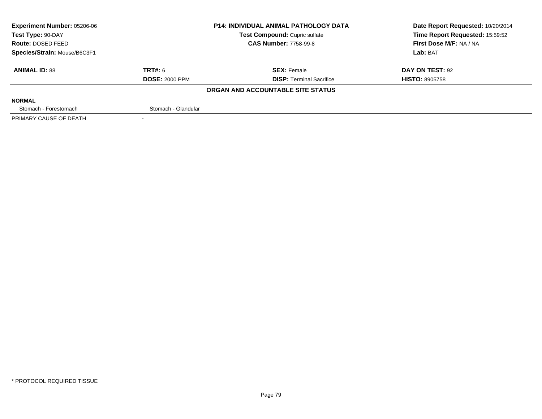| <b>Experiment Number: 05206-06</b> | <b>P14: INDIVIDUAL ANIMAL PATHOLOGY DATA</b> |                                   | Date Report Requested: 10/20/2014 |  |
|------------------------------------|----------------------------------------------|-----------------------------------|-----------------------------------|--|
| Test Type: 90-DAY                  |                                              | Test Compound: Cupric sulfate     | Time Report Requested: 15:59:52   |  |
| <b>Route: DOSED FEED</b>           |                                              | <b>CAS Number: 7758-99-8</b>      | First Dose M/F: NA / NA           |  |
| Species/Strain: Mouse/B6C3F1       |                                              |                                   | Lab: BAT                          |  |
| <b>ANIMAL ID: 88</b>               | TRT#: 6                                      | <b>SEX: Female</b>                | DAY ON TEST: 92                   |  |
|                                    | <b>DOSE: 2000 PPM</b>                        | <b>DISP: Terminal Sacrifice</b>   | <b>HISTO: 8905758</b>             |  |
|                                    |                                              | ORGAN AND ACCOUNTABLE SITE STATUS |                                   |  |
| <b>NORMAL</b>                      |                                              |                                   |                                   |  |
| Stomach - Forestomach              | Stomach - Glandular                          |                                   |                                   |  |
| PRIMARY CAUSE OF DEATH             |                                              |                                   |                                   |  |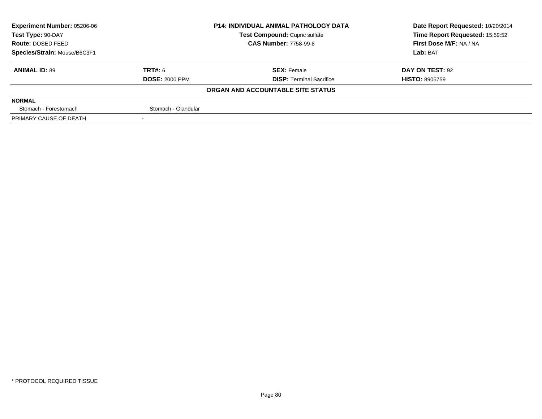| <b>Experiment Number: 05206-06</b> |                       | <b>P14: INDIVIDUAL ANIMAL PATHOLOGY DATA</b> | Date Report Requested: 10/20/2014 |
|------------------------------------|-----------------------|----------------------------------------------|-----------------------------------|
| Test Type: 90-DAY                  |                       | Test Compound: Cupric sulfate                | Time Report Requested: 15:59:52   |
| Route: DOSED FEED                  |                       | <b>CAS Number: 7758-99-8</b>                 | First Dose M/F: NA / NA           |
| Species/Strain: Mouse/B6C3F1       |                       |                                              | Lab: BAT                          |
| <b>ANIMAL ID: 89</b>               | TRT#: 6               | <b>SEX: Female</b>                           | DAY ON TEST: 92                   |
|                                    | <b>DOSE: 2000 PPM</b> | <b>DISP: Terminal Sacrifice</b>              | <b>HISTO: 8905759</b>             |
|                                    |                       | ORGAN AND ACCOUNTABLE SITE STATUS            |                                   |
| <b>NORMAL</b>                      |                       |                                              |                                   |
| Stomach - Forestomach              | Stomach - Glandular   |                                              |                                   |
| PRIMARY CAUSE OF DEATH             |                       |                                              |                                   |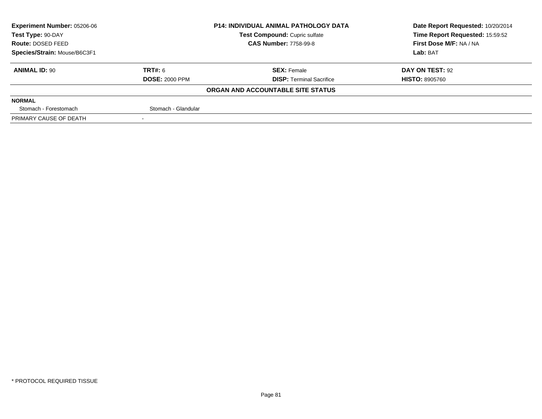| <b>Experiment Number: 05206-06</b> |                       | <b>P14: INDIVIDUAL ANIMAL PATHOLOGY DATA</b> | Date Report Requested: 10/20/2014 |
|------------------------------------|-----------------------|----------------------------------------------|-----------------------------------|
| Test Type: 90-DAY                  |                       | Test Compound: Cupric sulfate                | Time Report Requested: 15:59:52   |
| Route: DOSED FEED                  |                       | <b>CAS Number: 7758-99-8</b>                 | First Dose M/F: NA / NA           |
| Species/Strain: Mouse/B6C3F1       |                       |                                              | Lab: BAT                          |
| <b>ANIMAL ID: 90</b>               | TRT#: 6               | <b>SEX: Female</b>                           | DAY ON TEST: 92                   |
|                                    | <b>DOSE: 2000 PPM</b> | <b>DISP: Terminal Sacrifice</b>              | <b>HISTO: 8905760</b>             |
|                                    |                       | ORGAN AND ACCOUNTABLE SITE STATUS            |                                   |
| <b>NORMAL</b>                      |                       |                                              |                                   |
| Stomach - Forestomach              | Stomach - Glandular   |                                              |                                   |
| PRIMARY CAUSE OF DEATH             |                       |                                              |                                   |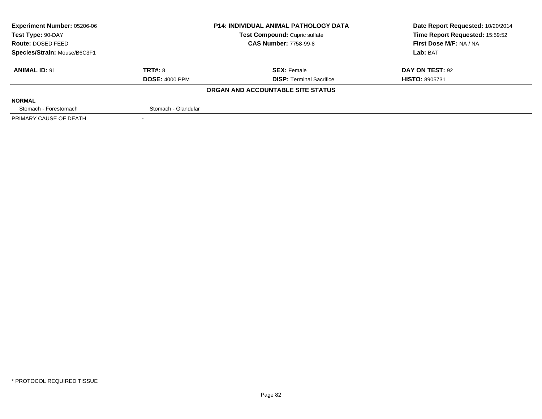| <b>Experiment Number: 05206-06</b>                 | <b>P14: INDIVIDUAL ANIMAL PATHOLOGY DATA</b> |                                   | Date Report Requested: 10/20/2014 |
|----------------------------------------------------|----------------------------------------------|-----------------------------------|-----------------------------------|
| Test Compound: Cupric sulfate<br>Test Type: 90-DAY |                                              | Time Report Requested: 15:59:52   |                                   |
| <b>Route: DOSED FEED</b>                           |                                              | <b>CAS Number: 7758-99-8</b>      | First Dose M/F: NA / NA           |
| Species/Strain: Mouse/B6C3F1                       |                                              |                                   | Lab: BAT                          |
| <b>ANIMAL ID: 91</b>                               | TRT#: 8                                      | <b>SEX: Female</b>                | DAY ON TEST: 92                   |
|                                                    | <b>DOSE: 4000 PPM</b>                        | <b>DISP: Terminal Sacrifice</b>   | <b>HISTO: 8905731</b>             |
|                                                    |                                              | ORGAN AND ACCOUNTABLE SITE STATUS |                                   |
| <b>NORMAL</b>                                      |                                              |                                   |                                   |
| Stomach - Forestomach                              | Stomach - Glandular                          |                                   |                                   |
| PRIMARY CAUSE OF DEATH                             |                                              |                                   |                                   |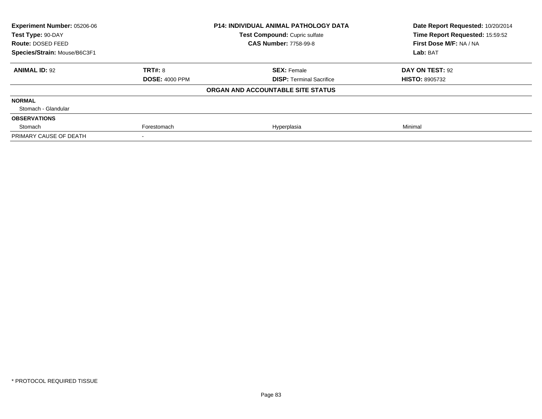| Experiment Number: 05206-06<br>Test Type: 90-DAY |                       | <b>P14: INDIVIDUAL ANIMAL PATHOLOGY DATA</b><br>Test Compound: Cupric sulfate | Date Report Requested: 10/20/2014<br>Time Report Requested: 15:59:52 |  |
|--------------------------------------------------|-----------------------|-------------------------------------------------------------------------------|----------------------------------------------------------------------|--|
| Route: DOSED FEED                                |                       | <b>CAS Number: 7758-99-8</b>                                                  | First Dose M/F: NA / NA                                              |  |
| Species/Strain: Mouse/B6C3F1                     |                       |                                                                               | Lab: BAT                                                             |  |
| <b>ANIMAL ID: 92</b>                             | <b>TRT#: 8</b>        | <b>SEX: Female</b>                                                            | DAY ON TEST: 92                                                      |  |
|                                                  | <b>DOSE: 4000 PPM</b> | <b>DISP: Terminal Sacrifice</b>                                               | <b>HISTO: 8905732</b>                                                |  |
|                                                  |                       | ORGAN AND ACCOUNTABLE SITE STATUS                                             |                                                                      |  |
| <b>NORMAL</b>                                    |                       |                                                                               |                                                                      |  |
| Stomach - Glandular                              |                       |                                                                               |                                                                      |  |
| <b>OBSERVATIONS</b>                              |                       |                                                                               |                                                                      |  |
| Stomach                                          | Forestomach           | Hyperplasia                                                                   | Minimal                                                              |  |
| PRIMARY CAUSE OF DEATH                           |                       |                                                                               |                                                                      |  |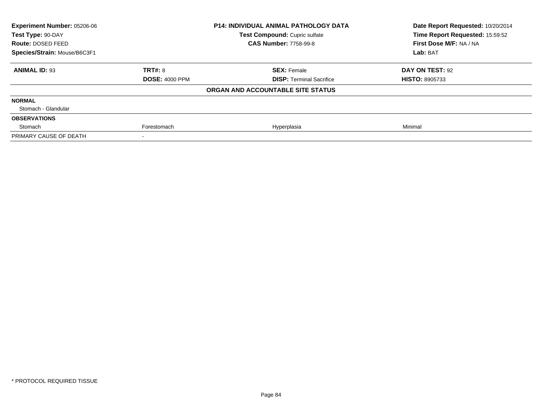| Experiment Number: 05206-06<br>Test Type: 90-DAY |                       | <b>P14: INDIVIDUAL ANIMAL PATHOLOGY DATA</b><br>Test Compound: Cupric sulfate | Date Report Requested: 10/20/2014<br>Time Report Requested: 15:59:52 |
|--------------------------------------------------|-----------------------|-------------------------------------------------------------------------------|----------------------------------------------------------------------|
| Route: DOSED FEED                                |                       | <b>CAS Number: 7758-99-8</b>                                                  | First Dose M/F: NA / NA                                              |
| Species/Strain: Mouse/B6C3F1                     |                       |                                                                               | Lab: BAT                                                             |
| <b>ANIMAL ID: 93</b>                             | <b>TRT#: 8</b>        | <b>SEX: Female</b>                                                            | DAY ON TEST: 92                                                      |
|                                                  | <b>DOSE: 4000 PPM</b> | <b>DISP: Terminal Sacrifice</b>                                               | <b>HISTO: 8905733</b>                                                |
|                                                  |                       | ORGAN AND ACCOUNTABLE SITE STATUS                                             |                                                                      |
| <b>NORMAL</b>                                    |                       |                                                                               |                                                                      |
| Stomach - Glandular                              |                       |                                                                               |                                                                      |
| <b>OBSERVATIONS</b>                              |                       |                                                                               |                                                                      |
| Stomach                                          | Forestomach           | Hyperplasia                                                                   | Minimal                                                              |
| PRIMARY CAUSE OF DEATH                           |                       |                                                                               |                                                                      |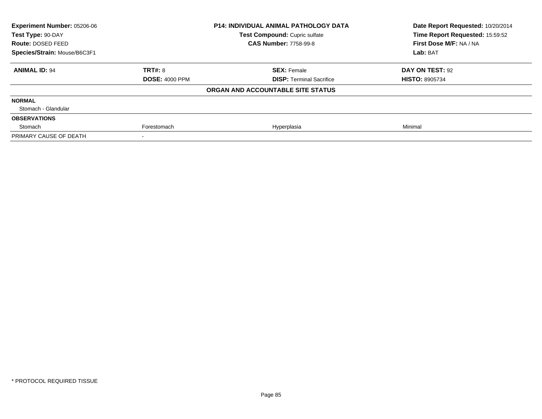| Experiment Number: 05206-06  |                       | <b>P14: INDIVIDUAL ANIMAL PATHOLOGY DATA</b> | Date Report Requested: 10/20/2014 |  |
|------------------------------|-----------------------|----------------------------------------------|-----------------------------------|--|
| Test Type: 90-DAY            |                       | Test Compound: Cupric sulfate                | Time Report Requested: 15:59:52   |  |
| Route: DOSED FEED            |                       | <b>CAS Number: 7758-99-8</b>                 | First Dose M/F: NA / NA           |  |
| Species/Strain: Mouse/B6C3F1 |                       |                                              | Lab: BAT                          |  |
| <b>ANIMAL ID: 94</b>         | TRT#: 8               | <b>SEX: Female</b>                           | DAY ON TEST: 92                   |  |
|                              | <b>DOSE: 4000 PPM</b> | <b>DISP: Terminal Sacrifice</b>              | <b>HISTO: 8905734</b>             |  |
|                              |                       | ORGAN AND ACCOUNTABLE SITE STATUS            |                                   |  |
| <b>NORMAL</b>                |                       |                                              |                                   |  |
| Stomach - Glandular          |                       |                                              |                                   |  |
| <b>OBSERVATIONS</b>          |                       |                                              |                                   |  |
| Stomach                      | Forestomach           | Hyperplasia                                  | Minimal                           |  |
| PRIMARY CAUSE OF DEATH       |                       |                                              |                                   |  |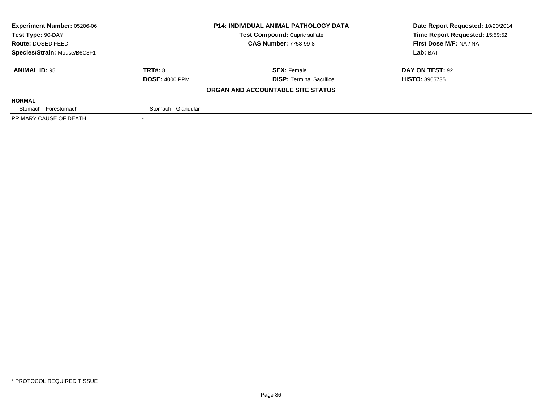| <b>Experiment Number: 05206-06</b> |                       | <b>P14: INDIVIDUAL ANIMAL PATHOLOGY DATA</b> | Date Report Requested: 10/20/2014 |
|------------------------------------|-----------------------|----------------------------------------------|-----------------------------------|
| Test Type: 90-DAY                  |                       | Test Compound: Cupric sulfate                | Time Report Requested: 15:59:52   |
| <b>Route: DOSED FEED</b>           |                       | <b>CAS Number: 7758-99-8</b>                 | First Dose M/F: NA / NA           |
| Species/Strain: Mouse/B6C3F1       |                       |                                              | Lab: BAT                          |
| <b>ANIMAL ID: 95</b>               | TRT#: 8               | <b>SEX: Female</b>                           | DAY ON TEST: 92                   |
|                                    | <b>DOSE: 4000 PPM</b> | <b>DISP: Terminal Sacrifice</b>              | <b>HISTO: 8905735</b>             |
|                                    |                       | ORGAN AND ACCOUNTABLE SITE STATUS            |                                   |
| <b>NORMAL</b>                      |                       |                                              |                                   |
| Stomach - Forestomach              | Stomach - Glandular   |                                              |                                   |
| PRIMARY CAUSE OF DEATH             |                       |                                              |                                   |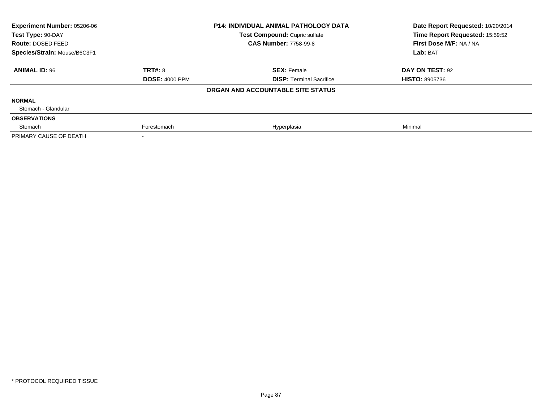| Experiment Number: 05206-06<br>Test Type: 90-DAY<br>Route: DOSED FEED<br>Species/Strain: Mouse/B6C3F1 |                       | <b>P14: INDIVIDUAL ANIMAL PATHOLOGY DATA</b><br>Test Compound: Cupric sulfate | Date Report Requested: 10/20/2014<br>Time Report Requested: 15:59:52<br>First Dose M/F: NA / NA<br>Lab: BAT |
|-------------------------------------------------------------------------------------------------------|-----------------------|-------------------------------------------------------------------------------|-------------------------------------------------------------------------------------------------------------|
|                                                                                                       |                       | <b>CAS Number: 7758-99-8</b>                                                  |                                                                                                             |
|                                                                                                       |                       |                                                                               |                                                                                                             |
| <b>ANIMAL ID: 96</b>                                                                                  | TRT#: 8               | <b>SEX: Female</b>                                                            | DAY ON TEST: 92                                                                                             |
|                                                                                                       | <b>DOSE: 4000 PPM</b> | <b>DISP: Terminal Sacrifice</b>                                               | <b>HISTO: 8905736</b>                                                                                       |
|                                                                                                       |                       | ORGAN AND ACCOUNTABLE SITE STATUS                                             |                                                                                                             |
| <b>NORMAL</b>                                                                                         |                       |                                                                               |                                                                                                             |
| Stomach - Glandular                                                                                   |                       |                                                                               |                                                                                                             |
| <b>OBSERVATIONS</b>                                                                                   |                       |                                                                               |                                                                                                             |
| Stomach                                                                                               | Forestomach           | Hyperplasia                                                                   | Minimal                                                                                                     |
| PRIMARY CAUSE OF DEATH                                                                                |                       |                                                                               |                                                                                                             |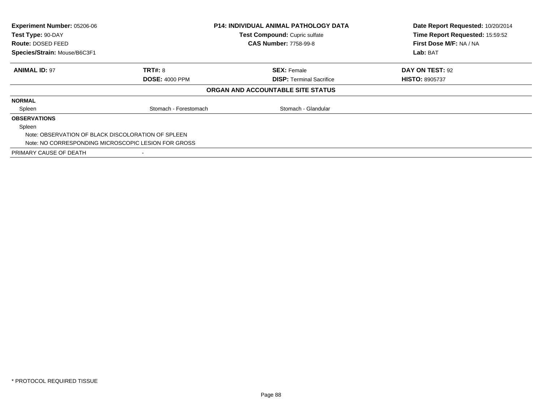| <b>Experiment Number: 05206-06</b><br>Test Type: 90-DAY |                                                     | <b>P14: INDIVIDUAL ANIMAL PATHOLOGY DATA</b> | Date Report Requested: 10/20/2014<br>Time Report Requested: 15:59:52 |
|---------------------------------------------------------|-----------------------------------------------------|----------------------------------------------|----------------------------------------------------------------------|
|                                                         |                                                     | Test Compound: Cupric sulfate                |                                                                      |
| <b>Route: DOSED FEED</b>                                |                                                     | <b>CAS Number: 7758-99-8</b>                 | First Dose M/F: NA / NA                                              |
| Species/Strain: Mouse/B6C3F1                            |                                                     |                                              | Lab: BAT                                                             |
| <b>ANIMAL ID: 97</b>                                    | <b>TRT#: 8</b>                                      | <b>SEX: Female</b>                           | DAY ON TEST: 92                                                      |
|                                                         | <b>DOSE: 4000 PPM</b>                               | <b>DISP:</b> Terminal Sacrifice              | <b>HISTO: 8905737</b>                                                |
|                                                         |                                                     | ORGAN AND ACCOUNTABLE SITE STATUS            |                                                                      |
| <b>NORMAL</b>                                           |                                                     |                                              |                                                                      |
| Spleen                                                  | Stomach - Forestomach                               | Stomach - Glandular                          |                                                                      |
| <b>OBSERVATIONS</b>                                     |                                                     |                                              |                                                                      |
| Spleen                                                  |                                                     |                                              |                                                                      |
|                                                         | Note: OBSERVATION OF BLACK DISCOLORATION OF SPLEEN  |                                              |                                                                      |
|                                                         | Note: NO CORRESPONDING MICROSCOPIC LESION FOR GROSS |                                              |                                                                      |
| PRIMARY CAUSE OF DEATH                                  |                                                     |                                              |                                                                      |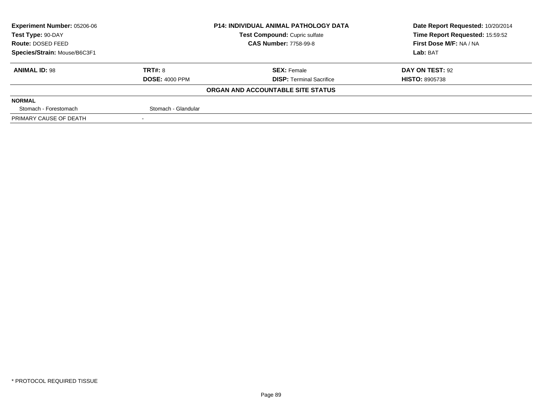| <b>Experiment Number: 05206-06</b> |                       | <b>P14: INDIVIDUAL ANIMAL PATHOLOGY DATA</b> | Date Report Requested: 10/20/2014 |
|------------------------------------|-----------------------|----------------------------------------------|-----------------------------------|
| Test Type: 90-DAY                  |                       | Test Compound: Cupric sulfate                | Time Report Requested: 15:59:52   |
| Route: DOSED FEED                  |                       | <b>CAS Number: 7758-99-8</b>                 | First Dose M/F: NA / NA           |
| Species/Strain: Mouse/B6C3F1       |                       |                                              | Lab: BAT                          |
| <b>ANIMAL ID: 98</b>               | TRT#: 8               | <b>SEX: Female</b>                           | DAY ON TEST: 92                   |
|                                    | <b>DOSE: 4000 PPM</b> | <b>DISP: Terminal Sacrifice</b>              | <b>HISTO: 8905738</b>             |
|                                    |                       | ORGAN AND ACCOUNTABLE SITE STATUS            |                                   |
| <b>NORMAL</b>                      |                       |                                              |                                   |
| Stomach - Forestomach              | Stomach - Glandular   |                                              |                                   |
| PRIMARY CAUSE OF DEATH             |                       |                                              |                                   |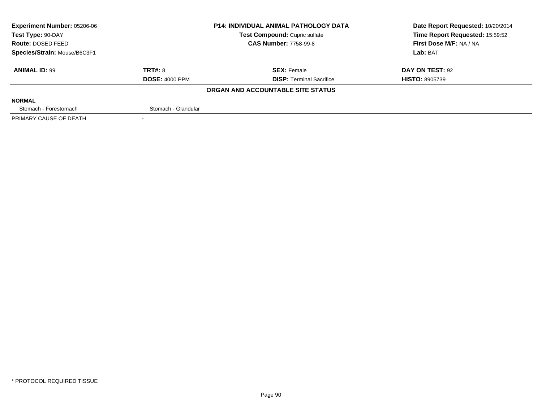| <b>Experiment Number: 05206-06</b> |                       | <b>P14: INDIVIDUAL ANIMAL PATHOLOGY DATA</b> | Date Report Requested: 10/20/2014 |
|------------------------------------|-----------------------|----------------------------------------------|-----------------------------------|
| Test Type: 90-DAY                  |                       | Test Compound: Cupric sulfate                | Time Report Requested: 15:59:52   |
| <b>Route: DOSED FEED</b>           |                       | <b>CAS Number: 7758-99-8</b>                 | First Dose M/F: NA / NA           |
| Species/Strain: Mouse/B6C3F1       |                       |                                              | Lab: BAT                          |
| <b>ANIMAL ID: 99</b>               | TRT#: 8               | <b>SEX: Female</b>                           | DAY ON TEST: 92                   |
|                                    | <b>DOSE: 4000 PPM</b> | <b>DISP: Terminal Sacrifice</b>              | <b>HISTO: 8905739</b>             |
|                                    |                       | ORGAN AND ACCOUNTABLE SITE STATUS            |                                   |
| <b>NORMAL</b>                      |                       |                                              |                                   |
| Stomach - Forestomach              | Stomach - Glandular   |                                              |                                   |
| PRIMARY CAUSE OF DEATH             |                       |                                              |                                   |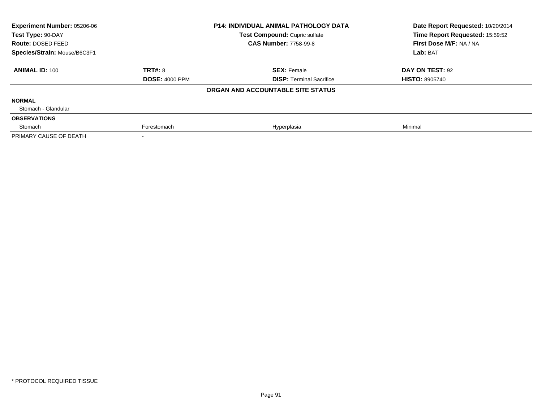| Experiment Number: 05206-06  |                       | <b>P14: INDIVIDUAL ANIMAL PATHOLOGY DATA</b> | Date Report Requested: 10/20/2014 |
|------------------------------|-----------------------|----------------------------------------------|-----------------------------------|
| Test Type: 90-DAY            |                       | <b>Test Compound: Cupric sulfate</b>         | Time Report Requested: 15:59:52   |
| <b>Route: DOSED FEED</b>     |                       | <b>CAS Number: 7758-99-8</b>                 | First Dose M/F: NA / NA           |
| Species/Strain: Mouse/B6C3F1 |                       |                                              | Lab: BAT                          |
| <b>ANIMAL ID: 100</b>        | <b>TRT#: 8</b>        | <b>SEX: Female</b>                           | DAY ON TEST: 92                   |
|                              | <b>DOSE: 4000 PPM</b> | <b>DISP:</b> Terminal Sacrifice              | <b>HISTO: 8905740</b>             |
|                              |                       | ORGAN AND ACCOUNTABLE SITE STATUS            |                                   |
| <b>NORMAL</b>                |                       |                                              |                                   |
| Stomach - Glandular          |                       |                                              |                                   |
| <b>OBSERVATIONS</b>          |                       |                                              |                                   |
| Stomach                      | Forestomach           | Hyperplasia                                  | Minimal                           |
| PRIMARY CAUSE OF DEATH       |                       |                                              |                                   |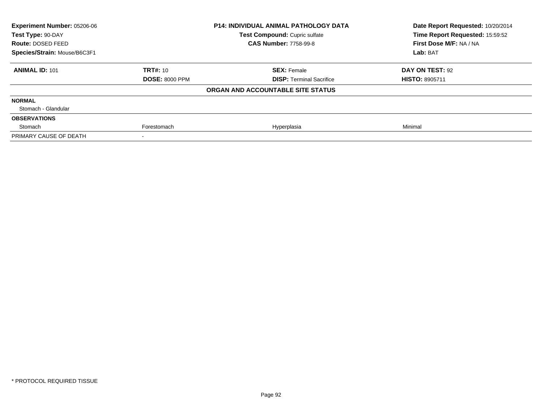| Experiment Number: 05206-06  |                       | <b>P14: INDIVIDUAL ANIMAL PATHOLOGY DATA</b> | Date Report Requested: 10/20/2014 |  |
|------------------------------|-----------------------|----------------------------------------------|-----------------------------------|--|
| Test Type: 90-DAY            |                       | Test Compound: Cupric sulfate                | Time Report Requested: 15:59:52   |  |
| Route: DOSED FEED            |                       | <b>CAS Number: 7758-99-8</b>                 | First Dose M/F: NA / NA           |  |
| Species/Strain: Mouse/B6C3F1 |                       |                                              | Lab: BAT                          |  |
| <b>ANIMAL ID: 101</b>        | <b>TRT#: 10</b>       | <b>SEX: Female</b>                           | DAY ON TEST: 92                   |  |
|                              | <b>DOSE: 8000 PPM</b> | <b>DISP: Terminal Sacrifice</b>              | <b>HISTO: 8905711</b>             |  |
|                              |                       | ORGAN AND ACCOUNTABLE SITE STATUS            |                                   |  |
| <b>NORMAL</b>                |                       |                                              |                                   |  |
| Stomach - Glandular          |                       |                                              |                                   |  |
| <b>OBSERVATIONS</b>          |                       |                                              |                                   |  |
| Stomach                      | Forestomach           | Hyperplasia                                  | Minimal                           |  |
| PRIMARY CAUSE OF DEATH       |                       |                                              |                                   |  |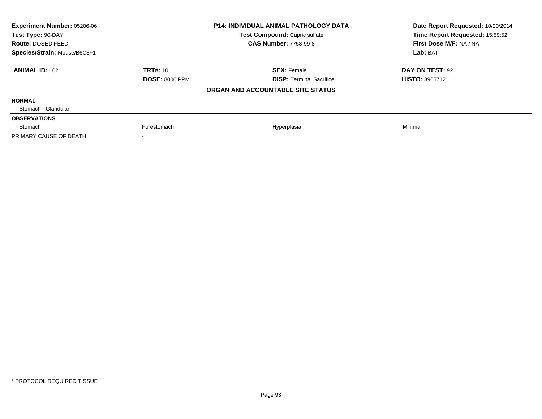| <b>Experiment Number: 05206-06</b><br>Test Type: 90-DAY |                       | <b>P14: INDIVIDUAL ANIMAL PATHOLOGY DATA</b> | Date Report Requested: 10/20/2014<br>Time Report Requested: 15:59:52 |
|---------------------------------------------------------|-----------------------|----------------------------------------------|----------------------------------------------------------------------|
|                                                         |                       | <b>Test Compound: Cupric sulfate</b>         |                                                                      |
| Route: DOSED FEED                                       |                       | <b>CAS Number: 7758-99-8</b>                 | First Dose M/F: NA / NA                                              |
| Species/Strain: Mouse/B6C3F1                            |                       |                                              | Lab: BAT                                                             |
| <b>ANIMAL ID: 102</b>                                   | <b>TRT#: 10</b>       | <b>SEX: Female</b>                           | DAY ON TEST: 92                                                      |
|                                                         | <b>DOSE: 8000 PPM</b> | <b>DISP:</b> Terminal Sacrifice              | <b>HISTO: 8905712</b>                                                |
|                                                         |                       | ORGAN AND ACCOUNTABLE SITE STATUS            |                                                                      |
| <b>NORMAL</b>                                           |                       |                                              |                                                                      |
| Stomach - Glandular                                     |                       |                                              |                                                                      |
| <b>OBSERVATIONS</b>                                     |                       |                                              |                                                                      |
| Stomach                                                 | Forestomach           | Hyperplasia                                  | Minimal                                                              |
| PRIMARY CAUSE OF DEATH                                  |                       |                                              |                                                                      |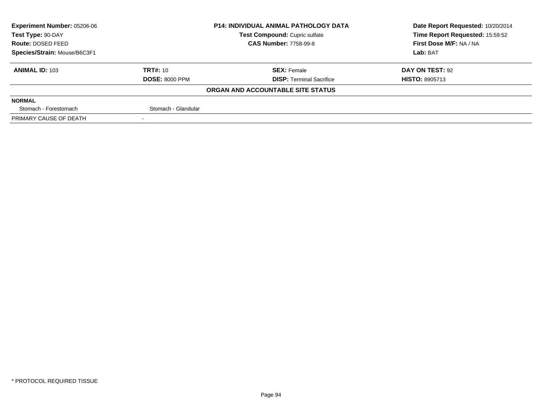| <b>Experiment Number: 05206-06</b> |                       | <b>P14: INDIVIDUAL ANIMAL PATHOLOGY DATA</b> | Date Report Requested: 10/20/2014 |
|------------------------------------|-----------------------|----------------------------------------------|-----------------------------------|
| Test Type: 90-DAY                  |                       | Test Compound: Cupric sulfate                | Time Report Requested: 15:59:52   |
| <b>Route: DOSED FEED</b>           |                       | <b>CAS Number: 7758-99-8</b>                 | First Dose M/F: NA / NA           |
| Species/Strain: Mouse/B6C3F1       |                       |                                              | Lab: BAT                          |
| <b>ANIMAL ID: 103</b>              | <b>TRT#: 10</b>       | <b>SEX: Female</b>                           | DAY ON TEST: 92                   |
|                                    | <b>DOSE: 8000 PPM</b> | <b>DISP: Terminal Sacrifice</b>              | <b>HISTO: 8905713</b>             |
|                                    |                       | ORGAN AND ACCOUNTABLE SITE STATUS            |                                   |
| <b>NORMAL</b>                      |                       |                                              |                                   |
| Stomach - Forestomach              | Stomach - Glandular   |                                              |                                   |
| PRIMARY CAUSE OF DEATH             |                       |                                              |                                   |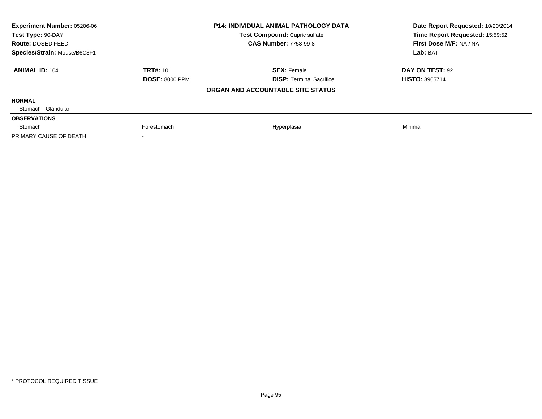| <b>Experiment Number: 05206-06</b><br>Test Type: 90-DAY |                       | <b>P14: INDIVIDUAL ANIMAL PATHOLOGY DATA</b> | Date Report Requested: 10/20/2014<br>Time Report Requested: 15:59:52 |
|---------------------------------------------------------|-----------------------|----------------------------------------------|----------------------------------------------------------------------|
|                                                         |                       | <b>Test Compound: Cupric sulfate</b>         |                                                                      |
| Route: DOSED FEED                                       |                       | <b>CAS Number: 7758-99-8</b>                 | First Dose M/F: NA / NA                                              |
| Species/Strain: Mouse/B6C3F1                            |                       |                                              | Lab: BAT                                                             |
| <b>ANIMAL ID: 104</b>                                   | <b>TRT#: 10</b>       | <b>SEX: Female</b>                           | DAY ON TEST: 92                                                      |
|                                                         | <b>DOSE: 8000 PPM</b> | <b>DISP:</b> Terminal Sacrifice              | <b>HISTO: 8905714</b>                                                |
|                                                         |                       | ORGAN AND ACCOUNTABLE SITE STATUS            |                                                                      |
| <b>NORMAL</b>                                           |                       |                                              |                                                                      |
| Stomach - Glandular                                     |                       |                                              |                                                                      |
| <b>OBSERVATIONS</b>                                     |                       |                                              |                                                                      |
| Stomach                                                 | Forestomach           | Hyperplasia                                  | Minimal                                                              |
| PRIMARY CAUSE OF DEATH                                  |                       |                                              |                                                                      |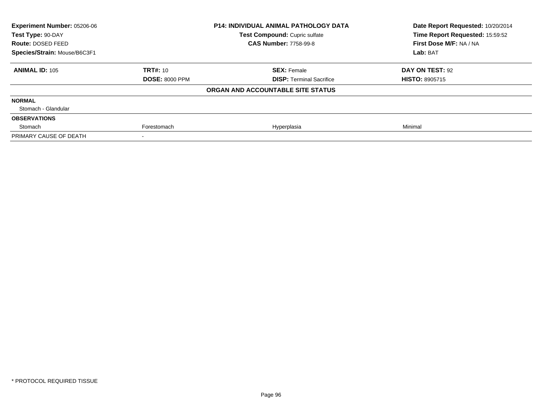| Experiment Number: 05206-06  |                       | <b>P14: INDIVIDUAL ANIMAL PATHOLOGY DATA</b> | Date Report Requested: 10/20/2014 |
|------------------------------|-----------------------|----------------------------------------------|-----------------------------------|
| Test Type: 90-DAY            |                       | Test Compound: Cupric sulfate                | Time Report Requested: 15:59:52   |
| Route: DOSED FEED            |                       | <b>CAS Number: 7758-99-8</b>                 | First Dose M/F: NA / NA           |
| Species/Strain: Mouse/B6C3F1 |                       |                                              | Lab: BAT                          |
| <b>ANIMAL ID: 105</b>        | <b>TRT#: 10</b>       | <b>SEX: Female</b>                           | DAY ON TEST: 92                   |
|                              | <b>DOSE: 8000 PPM</b> | <b>DISP: Terminal Sacrifice</b>              | <b>HISTO: 8905715</b>             |
|                              |                       | ORGAN AND ACCOUNTABLE SITE STATUS            |                                   |
| <b>NORMAL</b>                |                       |                                              |                                   |
| Stomach - Glandular          |                       |                                              |                                   |
| <b>OBSERVATIONS</b>          |                       |                                              |                                   |
| Stomach                      | Forestomach           | Hyperplasia                                  | Minimal                           |
| PRIMARY CAUSE OF DEATH       |                       |                                              |                                   |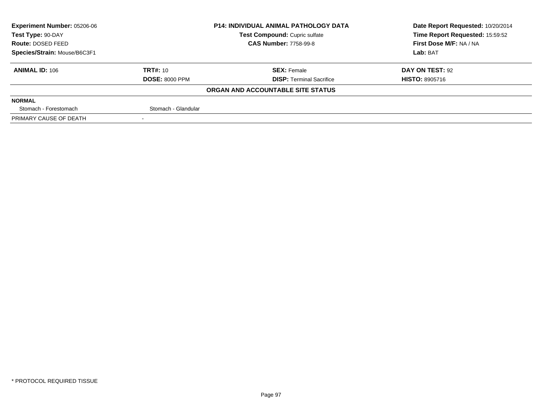| <b>Experiment Number: 05206-06</b> | <b>P14: INDIVIDUAL ANIMAL PATHOLOGY DATA</b> |                                   | Date Report Requested: 10/20/2014 |  |
|------------------------------------|----------------------------------------------|-----------------------------------|-----------------------------------|--|
| Test Type: 90-DAY                  |                                              | Test Compound: Cupric sulfate     | Time Report Requested: 15:59:52   |  |
| <b>Route: DOSED FEED</b>           |                                              | <b>CAS Number: 7758-99-8</b>      | First Dose M/F: NA / NA           |  |
| Species/Strain: Mouse/B6C3F1       |                                              |                                   | Lab: BAT                          |  |
| <b>ANIMAL ID: 106</b>              | <b>TRT#: 10</b>                              | <b>SEX: Female</b>                | DAY ON TEST: 92                   |  |
|                                    | <b>DOSE: 8000 PPM</b>                        | <b>DISP: Terminal Sacrifice</b>   | <b>HISTO: 8905716</b>             |  |
|                                    |                                              | ORGAN AND ACCOUNTABLE SITE STATUS |                                   |  |
| <b>NORMAL</b>                      |                                              |                                   |                                   |  |
| Stomach - Forestomach              | Stomach - Glandular                          |                                   |                                   |  |
| PRIMARY CAUSE OF DEATH             |                                              |                                   |                                   |  |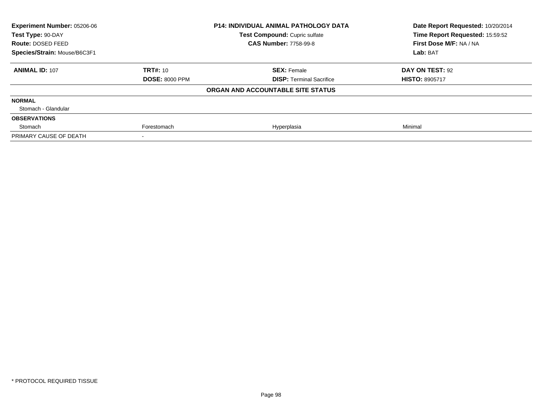| <b>Experiment Number: 05206-06</b><br>Test Type: 90-DAY |                       | <b>P14: INDIVIDUAL ANIMAL PATHOLOGY DATA</b> | Date Report Requested: 10/20/2014<br>Time Report Requested: 15:59:52 |
|---------------------------------------------------------|-----------------------|----------------------------------------------|----------------------------------------------------------------------|
|                                                         |                       | Test Compound: Cupric sulfate                |                                                                      |
| Route: DOSED FEED                                       |                       | <b>CAS Number: 7758-99-8</b>                 | First Dose M/F: NA / NA                                              |
| Species/Strain: Mouse/B6C3F1                            |                       |                                              | Lab: BAT                                                             |
| <b>ANIMAL ID: 107</b>                                   | <b>TRT#: 10</b>       | <b>SEX: Female</b>                           | DAY ON TEST: 92                                                      |
|                                                         | <b>DOSE: 8000 PPM</b> | <b>DISP:</b> Terminal Sacrifice              | <b>HISTO: 8905717</b>                                                |
|                                                         |                       | ORGAN AND ACCOUNTABLE SITE STATUS            |                                                                      |
| <b>NORMAL</b>                                           |                       |                                              |                                                                      |
| Stomach - Glandular                                     |                       |                                              |                                                                      |
| <b>OBSERVATIONS</b>                                     |                       |                                              |                                                                      |
| Stomach                                                 | Forestomach           | Hyperplasia                                  | Minimal                                                              |
| PRIMARY CAUSE OF DEATH                                  |                       |                                              |                                                                      |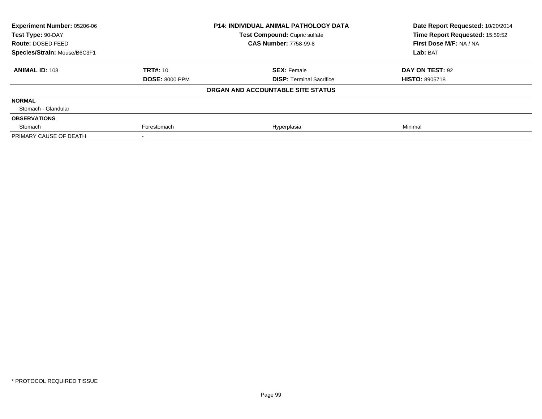| Experiment Number: 05206-06<br>Test Type: 90-DAY |                       | <b>P14: INDIVIDUAL ANIMAL PATHOLOGY DATA</b><br>Test Compound: Cupric sulfate | Date Report Requested: 10/20/2014<br>Time Report Requested: 15:59:52 |
|--------------------------------------------------|-----------------------|-------------------------------------------------------------------------------|----------------------------------------------------------------------|
| Route: DOSED FEED                                |                       | <b>CAS Number: 7758-99-8</b>                                                  | First Dose M/F: NA / NA                                              |
| Species/Strain: Mouse/B6C3F1                     |                       |                                                                               | Lab: BAT                                                             |
| <b>ANIMAL ID: 108</b>                            | <b>TRT#: 10</b>       | <b>SEX: Female</b>                                                            | DAY ON TEST: 92                                                      |
|                                                  | <b>DOSE: 8000 PPM</b> | <b>DISP: Terminal Sacrifice</b>                                               | <b>HISTO: 8905718</b>                                                |
|                                                  |                       | ORGAN AND ACCOUNTABLE SITE STATUS                                             |                                                                      |
| <b>NORMAL</b>                                    |                       |                                                                               |                                                                      |
| Stomach - Glandular                              |                       |                                                                               |                                                                      |
| <b>OBSERVATIONS</b>                              |                       |                                                                               |                                                                      |
| Stomach                                          | Forestomach           | Hyperplasia                                                                   | Minimal                                                              |
| PRIMARY CAUSE OF DEATH                           |                       |                                                                               |                                                                      |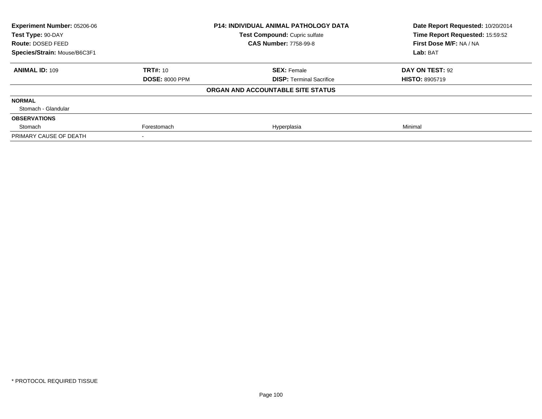| <b>Experiment Number: 05206-06</b><br>Test Type: 90-DAY |                       | <b>P14: INDIVIDUAL ANIMAL PATHOLOGY DATA</b> | Date Report Requested: 10/20/2014<br>Time Report Requested: 15:59:52 |
|---------------------------------------------------------|-----------------------|----------------------------------------------|----------------------------------------------------------------------|
|                                                         |                       | Test Compound: Cupric sulfate                |                                                                      |
| Route: DOSED FEED                                       |                       | <b>CAS Number: 7758-99-8</b>                 | First Dose M/F: NA / NA                                              |
| Species/Strain: Mouse/B6C3F1                            |                       |                                              | Lab: BAT                                                             |
| <b>ANIMAL ID: 109</b>                                   | <b>TRT#: 10</b>       | <b>SEX: Female</b>                           | DAY ON TEST: 92                                                      |
|                                                         | <b>DOSE: 8000 PPM</b> | <b>DISP:</b> Terminal Sacrifice              | <b>HISTO: 8905719</b>                                                |
|                                                         |                       | ORGAN AND ACCOUNTABLE SITE STATUS            |                                                                      |
| <b>NORMAL</b>                                           |                       |                                              |                                                                      |
| Stomach - Glandular                                     |                       |                                              |                                                                      |
| <b>OBSERVATIONS</b>                                     |                       |                                              |                                                                      |
| Stomach                                                 | Forestomach           | Hyperplasia                                  | Minimal                                                              |
| PRIMARY CAUSE OF DEATH                                  |                       |                                              |                                                                      |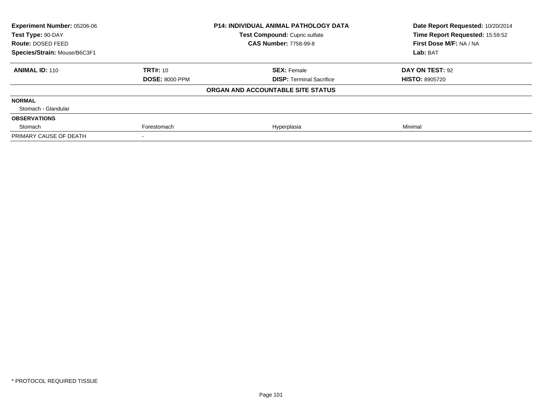| Experiment Number: 05206-06  |                       | <b>P14: INDIVIDUAL ANIMAL PATHOLOGY DATA</b> | Date Report Requested: 10/20/2014 |
|------------------------------|-----------------------|----------------------------------------------|-----------------------------------|
| Test Type: 90-DAY            |                       | Test Compound: Cupric sulfate                | Time Report Requested: 15:59:52   |
| Route: DOSED FEED            |                       | <b>CAS Number: 7758-99-8</b>                 | First Dose M/F: NA / NA           |
| Species/Strain: Mouse/B6C3F1 |                       |                                              | Lab: BAT                          |
| <b>ANIMAL ID: 110</b>        | <b>TRT#: 10</b>       | <b>SEX: Female</b>                           | DAY ON TEST: 92                   |
|                              | <b>DOSE: 8000 PPM</b> | <b>DISP: Terminal Sacrifice</b>              | <b>HISTO: 8905720</b>             |
|                              |                       | ORGAN AND ACCOUNTABLE SITE STATUS            |                                   |
| <b>NORMAL</b>                |                       |                                              |                                   |
| Stomach - Glandular          |                       |                                              |                                   |
| <b>OBSERVATIONS</b>          |                       |                                              |                                   |
| Stomach                      | Forestomach           | Hyperplasia                                  | Minimal                           |
| PRIMARY CAUSE OF DEATH       |                       |                                              |                                   |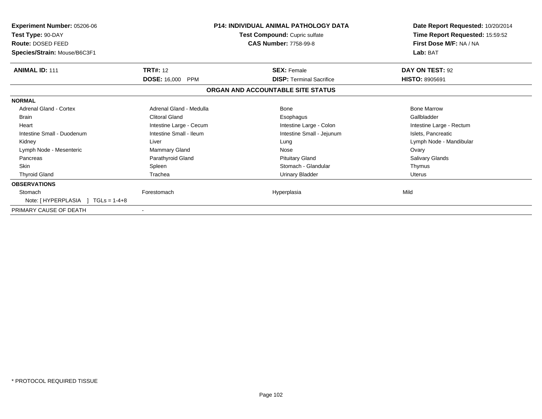| Experiment Number: 05206-06<br>Test Type: 90-DAY<br>Route: DOSED FEED<br>Species/Strain: Mouse/B6C3F1 | P14: INDIVIDUAL ANIMAL PATHOLOGY DATA<br>Test Compound: Cupric sulfate<br><b>CAS Number: 7758-99-8</b> |                                   | Date Report Requested: 10/20/2014<br>Time Report Requested: 15:59:52<br>First Dose M/F: NA / NA<br>Lab: BAT |  |
|-------------------------------------------------------------------------------------------------------|--------------------------------------------------------------------------------------------------------|-----------------------------------|-------------------------------------------------------------------------------------------------------------|--|
| <b>ANIMAL ID: 111</b>                                                                                 | <b>TRT#: 12</b>                                                                                        | <b>SEX: Female</b>                | DAY ON TEST: 92                                                                                             |  |
|                                                                                                       | <b>DOSE: 16,000 PPM</b>                                                                                | <b>DISP: Terminal Sacrifice</b>   | <b>HISTO: 8905691</b>                                                                                       |  |
|                                                                                                       |                                                                                                        | ORGAN AND ACCOUNTABLE SITE STATUS |                                                                                                             |  |
| <b>NORMAL</b>                                                                                         |                                                                                                        |                                   |                                                                                                             |  |
| <b>Adrenal Gland - Cortex</b>                                                                         | Adrenal Gland - Medulla                                                                                | Bone                              | <b>Bone Marrow</b>                                                                                          |  |
| <b>Brain</b>                                                                                          | <b>Clitoral Gland</b>                                                                                  | Esophagus                         | Gallbladder                                                                                                 |  |
| Heart                                                                                                 | Intestine Large - Cecum                                                                                | Intestine Large - Colon           | Intestine Large - Rectum                                                                                    |  |
| Intestine Small - Duodenum                                                                            | Intestine Small - Ileum                                                                                | Intestine Small - Jejunum         | Islets, Pancreatic                                                                                          |  |
| Kidney                                                                                                | Liver                                                                                                  | Lung                              | Lymph Node - Mandibular                                                                                     |  |
| Lymph Node - Mesenteric                                                                               | Mammary Gland                                                                                          | Nose                              | Ovary                                                                                                       |  |
| Pancreas                                                                                              | Parathyroid Gland                                                                                      | <b>Pituitary Gland</b>            | <b>Salivary Glands</b>                                                                                      |  |
| <b>Skin</b>                                                                                           | Spleen                                                                                                 | Stomach - Glandular               | Thymus                                                                                                      |  |
| <b>Thyroid Gland</b>                                                                                  | Trachea                                                                                                | <b>Urinary Bladder</b>            | <b>Uterus</b>                                                                                               |  |
| <b>OBSERVATIONS</b>                                                                                   |                                                                                                        |                                   |                                                                                                             |  |
| Stomach                                                                                               | Forestomach                                                                                            | Hyperplasia                       | Mild                                                                                                        |  |
| Note: $[HYPERPLASIA] TGLs = 1-4+8$                                                                    |                                                                                                        |                                   |                                                                                                             |  |
| PRIMARY CAUSE OF DEATH                                                                                |                                                                                                        |                                   |                                                                                                             |  |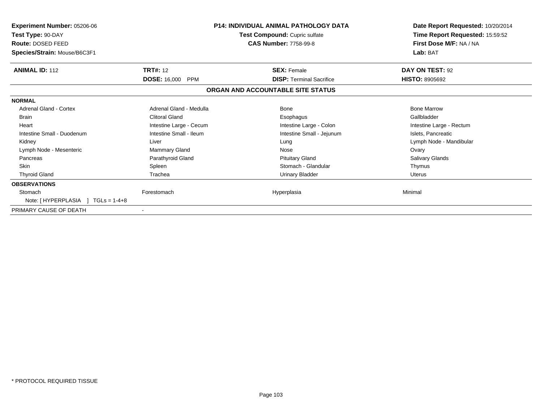| <b>Experiment Number: 05206-06</b><br>Test Type: 90-DAY<br><b>Route: DOSED FEED</b><br>Species/Strain: Mouse/B6C3F1 |                          | <b>P14: INDIVIDUAL ANIMAL PATHOLOGY DATA</b><br>Test Compound: Cupric sulfate<br><b>CAS Number: 7758-99-8</b> | Date Report Requested: 10/20/2014<br>Time Report Requested: 15:59:52<br>First Dose M/F: NA / NA<br>Lab: BAT |
|---------------------------------------------------------------------------------------------------------------------|--------------------------|---------------------------------------------------------------------------------------------------------------|-------------------------------------------------------------------------------------------------------------|
| <b>ANIMAL ID: 112</b>                                                                                               | <b>TRT#: 12</b>          | <b>SEX: Female</b>                                                                                            | DAY ON TEST: 92                                                                                             |
|                                                                                                                     | <b>DOSE: 16,000 PPM</b>  | <b>DISP: Terminal Sacrifice</b>                                                                               | <b>HISTO: 8905692</b>                                                                                       |
|                                                                                                                     |                          | ORGAN AND ACCOUNTABLE SITE STATUS                                                                             |                                                                                                             |
| <b>NORMAL</b>                                                                                                       |                          |                                                                                                               |                                                                                                             |
| <b>Adrenal Gland - Cortex</b>                                                                                       | Adrenal Gland - Medulla  | Bone                                                                                                          | <b>Bone Marrow</b>                                                                                          |
| <b>Brain</b>                                                                                                        | <b>Clitoral Gland</b>    | Esophagus                                                                                                     | Gallbladder                                                                                                 |
| Heart                                                                                                               | Intestine Large - Cecum  | Intestine Large - Colon                                                                                       | Intestine Large - Rectum                                                                                    |
| Intestine Small - Duodenum                                                                                          | Intestine Small - Ileum  | Intestine Small - Jejunum                                                                                     | Islets, Pancreatic                                                                                          |
| Kidney                                                                                                              | Liver                    | Lung                                                                                                          | Lymph Node - Mandibular                                                                                     |
| Lymph Node - Mesenteric                                                                                             | Mammary Gland            | Nose                                                                                                          | Ovary                                                                                                       |
| Pancreas                                                                                                            | Parathyroid Gland        | <b>Pituitary Gland</b>                                                                                        | <b>Salivary Glands</b>                                                                                      |
| <b>Skin</b>                                                                                                         | Spleen                   | Stomach - Glandular                                                                                           | Thymus                                                                                                      |
| <b>Thyroid Gland</b>                                                                                                | Trachea                  | <b>Urinary Bladder</b>                                                                                        | <b>Uterus</b>                                                                                               |
| <b>OBSERVATIONS</b>                                                                                                 |                          |                                                                                                               |                                                                                                             |
| Stomach<br>Note: $[HYPERPLASIA] TGLs = 1-4+8$                                                                       | Forestomach              | Hyperplasia                                                                                                   | Minimal                                                                                                     |
| PRIMARY CAUSE OF DEATH                                                                                              | $\overline{\phantom{a}}$ |                                                                                                               |                                                                                                             |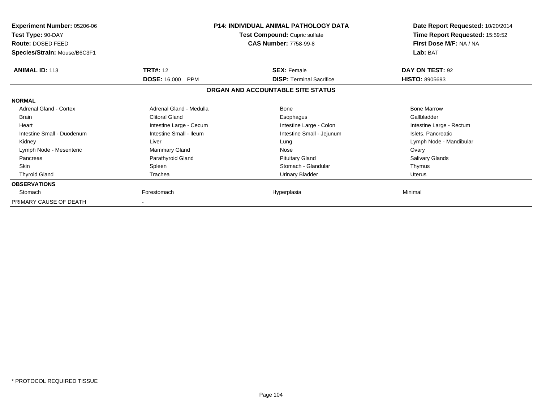| <b>Experiment Number: 05206-06</b><br>Test Type: 90-DAY<br>Route: DOSED FEED<br>Species/Strain: Mouse/B6C3F1 |                         | <b>P14: INDIVIDUAL ANIMAL PATHOLOGY DATA</b><br>Test Compound: Cupric sulfate<br><b>CAS Number: 7758-99-8</b> | Date Report Requested: 10/20/2014<br>Time Report Requested: 15:59:52<br>First Dose M/F: NA / NA<br>Lab: BAT |
|--------------------------------------------------------------------------------------------------------------|-------------------------|---------------------------------------------------------------------------------------------------------------|-------------------------------------------------------------------------------------------------------------|
| <b>ANIMAL ID: 113</b>                                                                                        | <b>TRT#: 12</b>         | <b>SEX: Female</b>                                                                                            | DAY ON TEST: 92                                                                                             |
|                                                                                                              | <b>DOSE: 16,000 PPM</b> | <b>DISP: Terminal Sacrifice</b>                                                                               | <b>HISTO: 8905693</b>                                                                                       |
|                                                                                                              |                         | ORGAN AND ACCOUNTABLE SITE STATUS                                                                             |                                                                                                             |
| <b>NORMAL</b>                                                                                                |                         |                                                                                                               |                                                                                                             |
| <b>Adrenal Gland - Cortex</b>                                                                                | Adrenal Gland - Medulla | Bone                                                                                                          | <b>Bone Marrow</b>                                                                                          |
| <b>Brain</b>                                                                                                 | <b>Clitoral Gland</b>   | Esophagus                                                                                                     | Gallbladder                                                                                                 |
| Heart                                                                                                        | Intestine Large - Cecum | Intestine Large - Colon                                                                                       | Intestine Large - Rectum                                                                                    |
| Intestine Small - Duodenum                                                                                   | Intestine Small - Ileum | Intestine Small - Jejunum                                                                                     | Islets, Pancreatic                                                                                          |
| Kidney                                                                                                       | Liver                   | Lung                                                                                                          | Lymph Node - Mandibular                                                                                     |
| Lymph Node - Mesenteric                                                                                      | Mammary Gland           | Nose                                                                                                          | Ovary                                                                                                       |
| Pancreas                                                                                                     | Parathyroid Gland       | <b>Pituitary Gland</b>                                                                                        | Salivary Glands                                                                                             |
| Skin                                                                                                         | Spleen                  | Stomach - Glandular                                                                                           | Thymus                                                                                                      |
| <b>Thyroid Gland</b>                                                                                         | Trachea                 | <b>Urinary Bladder</b>                                                                                        | <b>Uterus</b>                                                                                               |
| <b>OBSERVATIONS</b>                                                                                          |                         |                                                                                                               |                                                                                                             |
| Stomach                                                                                                      | Forestomach             | Hyperplasia                                                                                                   | Minimal                                                                                                     |
| PRIMARY CAUSE OF DEATH                                                                                       |                         |                                                                                                               |                                                                                                             |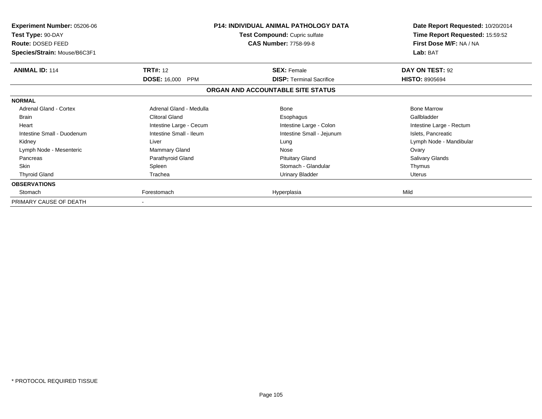| <b>Experiment Number: 05206-06</b><br>Test Type: 90-DAY<br>Route: DOSED FEED<br>Species/Strain: Mouse/B6C3F1 | <b>P14: INDIVIDUAL ANIMAL PATHOLOGY DATA</b><br>Test Compound: Cupric sulfate<br><b>CAS Number: 7758-99-8</b> |                                   | Date Report Requested: 10/20/2014<br>Time Report Requested: 15:59:52<br>First Dose M/F: NA / NA<br>Lab: BAT |
|--------------------------------------------------------------------------------------------------------------|---------------------------------------------------------------------------------------------------------------|-----------------------------------|-------------------------------------------------------------------------------------------------------------|
| <b>ANIMAL ID: 114</b>                                                                                        | <b>TRT#: 12</b>                                                                                               | <b>SEX: Female</b>                | DAY ON TEST: 92                                                                                             |
|                                                                                                              | <b>DOSE: 16,000</b><br>PPM                                                                                    | <b>DISP:</b> Terminal Sacrifice   | <b>HISTO: 8905694</b>                                                                                       |
|                                                                                                              |                                                                                                               | ORGAN AND ACCOUNTABLE SITE STATUS |                                                                                                             |
| <b>NORMAL</b>                                                                                                |                                                                                                               |                                   |                                                                                                             |
| <b>Adrenal Gland - Cortex</b>                                                                                | Adrenal Gland - Medulla                                                                                       | <b>Bone</b>                       | <b>Bone Marrow</b>                                                                                          |
| <b>Brain</b>                                                                                                 | Clitoral Gland                                                                                                | Esophagus                         | Gallbladder                                                                                                 |
| Heart                                                                                                        | Intestine Large - Cecum                                                                                       | Intestine Large - Colon           | Intestine Large - Rectum                                                                                    |
| Intestine Small - Duodenum                                                                                   | Intestine Small - Ileum                                                                                       | Intestine Small - Jejunum         | Islets, Pancreatic                                                                                          |
| Kidney                                                                                                       | Liver                                                                                                         | Lung                              | Lymph Node - Mandibular                                                                                     |
| Lymph Node - Mesenteric                                                                                      | Mammary Gland                                                                                                 | Nose                              | Ovary                                                                                                       |
| Pancreas                                                                                                     | Parathyroid Gland                                                                                             | <b>Pituitary Gland</b>            | Salivary Glands                                                                                             |
| <b>Skin</b>                                                                                                  | Spleen                                                                                                        | Stomach - Glandular               | Thymus                                                                                                      |
| <b>Thyroid Gland</b>                                                                                         | Trachea                                                                                                       | <b>Urinary Bladder</b>            | <b>Uterus</b>                                                                                               |
| <b>OBSERVATIONS</b>                                                                                          |                                                                                                               |                                   |                                                                                                             |
| Stomach                                                                                                      | Forestomach                                                                                                   | Hyperplasia                       | Mild                                                                                                        |
| PRIMARY CAUSE OF DEATH                                                                                       |                                                                                                               |                                   |                                                                                                             |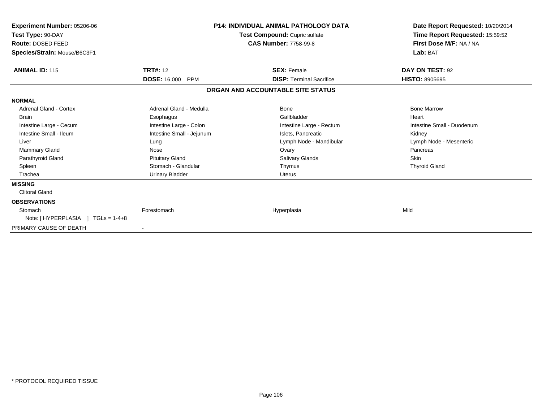| Experiment Number: 05206-06<br>Test Type: 90-DAY<br>Route: DOSED FEED<br>Species/Strain: Mouse/B6C3F1 |                                   | <b>P14: INDIVIDUAL ANIMAL PATHOLOGY DATA</b><br>Test Compound: Cupric sulfate<br><b>CAS Number: 7758-99-8</b> | Date Report Requested: 10/20/2014<br>Time Report Requested: 15:59:52<br>First Dose M/F: NA / NA<br>Lab: BAT |
|-------------------------------------------------------------------------------------------------------|-----------------------------------|---------------------------------------------------------------------------------------------------------------|-------------------------------------------------------------------------------------------------------------|
| <b>ANIMAL ID: 115</b>                                                                                 | <b>TRT#: 12</b>                   | <b>SEX: Female</b>                                                                                            | DAY ON TEST: 92                                                                                             |
|                                                                                                       | <b>DOSE: 16,000</b><br><b>PPM</b> | <b>DISP: Terminal Sacrifice</b>                                                                               | <b>HISTO: 8905695</b>                                                                                       |
|                                                                                                       |                                   | ORGAN AND ACCOUNTABLE SITE STATUS                                                                             |                                                                                                             |
| <b>NORMAL</b>                                                                                         |                                   |                                                                                                               |                                                                                                             |
| <b>Adrenal Gland - Cortex</b>                                                                         | Adrenal Gland - Medulla           | <b>Bone</b>                                                                                                   | <b>Bone Marrow</b>                                                                                          |
| <b>Brain</b>                                                                                          | Esophagus                         | Gallbladder                                                                                                   | Heart                                                                                                       |
| Intestine Large - Cecum                                                                               | Intestine Large - Colon           | Intestine Large - Rectum                                                                                      | Intestine Small - Duodenum                                                                                  |
| Intestine Small - Ileum                                                                               | Intestine Small - Jejunum         | Islets, Pancreatic                                                                                            | Kidney                                                                                                      |
| Liver                                                                                                 | Lung                              | Lymph Node - Mandibular                                                                                       | Lymph Node - Mesenteric                                                                                     |
| <b>Mammary Gland</b>                                                                                  | Nose                              | Ovary                                                                                                         | Pancreas                                                                                                    |
| Parathyroid Gland                                                                                     | <b>Pituitary Gland</b>            | Salivary Glands                                                                                               | Skin                                                                                                        |
| Spleen                                                                                                | Stomach - Glandular               | Thymus                                                                                                        | <b>Thyroid Gland</b>                                                                                        |
| Trachea                                                                                               | <b>Urinary Bladder</b>            | <b>Uterus</b>                                                                                                 |                                                                                                             |
| <b>MISSING</b>                                                                                        |                                   |                                                                                                               |                                                                                                             |
| <b>Clitoral Gland</b>                                                                                 |                                   |                                                                                                               |                                                                                                             |
| <b>OBSERVATIONS</b>                                                                                   |                                   |                                                                                                               |                                                                                                             |
| Stomach                                                                                               | Forestomach                       | Hyperplasia                                                                                                   | Mild                                                                                                        |
| Note: [HYPERPLASIA ]<br>$TGLs = 1-4+8$                                                                |                                   |                                                                                                               |                                                                                                             |
| PRIMARY CAUSE OF DEATH                                                                                |                                   |                                                                                                               |                                                                                                             |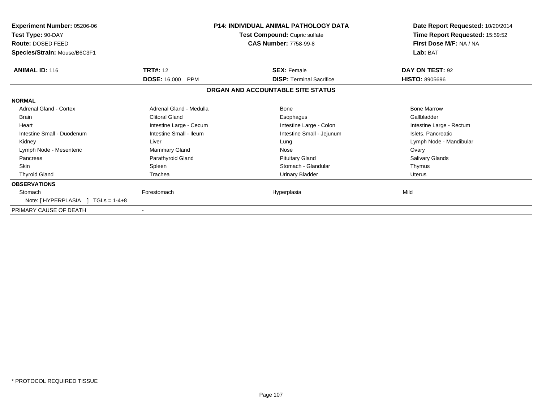| <b>Experiment Number: 05206-06</b><br>Test Type: 90-DAY<br><b>Route: DOSED FEED</b><br>Species/Strain: Mouse/B6C3F1 |                         | <b>P14: INDIVIDUAL ANIMAL PATHOLOGY DATA</b><br>Test Compound: Cupric sulfate<br><b>CAS Number: 7758-99-8</b> | Date Report Requested: 10/20/2014<br>Time Report Requested: 15:59:52<br>First Dose M/F: NA / NA<br>Lab: BAT |
|---------------------------------------------------------------------------------------------------------------------|-------------------------|---------------------------------------------------------------------------------------------------------------|-------------------------------------------------------------------------------------------------------------|
| <b>ANIMAL ID: 116</b>                                                                                               | <b>TRT#: 12</b>         | <b>SEX: Female</b>                                                                                            | DAY ON TEST: 92                                                                                             |
|                                                                                                                     | <b>DOSE: 16,000 PPM</b> | <b>DISP: Terminal Sacrifice</b>                                                                               | <b>HISTO: 8905696</b>                                                                                       |
|                                                                                                                     |                         | ORGAN AND ACCOUNTABLE SITE STATUS                                                                             |                                                                                                             |
| <b>NORMAL</b>                                                                                                       |                         |                                                                                                               |                                                                                                             |
| <b>Adrenal Gland - Cortex</b>                                                                                       | Adrenal Gland - Medulla | Bone                                                                                                          | <b>Bone Marrow</b>                                                                                          |
| <b>Brain</b>                                                                                                        | <b>Clitoral Gland</b>   | Esophagus                                                                                                     | Gallbladder                                                                                                 |
| Heart                                                                                                               | Intestine Large - Cecum | Intestine Large - Colon                                                                                       | Intestine Large - Rectum                                                                                    |
| Intestine Small - Duodenum                                                                                          | Intestine Small - Ileum | Intestine Small - Jejunum                                                                                     | Islets, Pancreatic                                                                                          |
| Kidney                                                                                                              | Liver                   | Lung                                                                                                          | Lymph Node - Mandibular                                                                                     |
| Lymph Node - Mesenteric                                                                                             | Mammary Gland           | Nose                                                                                                          | Ovary                                                                                                       |
| Pancreas                                                                                                            | Parathyroid Gland       | <b>Pituitary Gland</b>                                                                                        | <b>Salivary Glands</b>                                                                                      |
| <b>Skin</b>                                                                                                         | Spleen                  | Stomach - Glandular                                                                                           | Thymus                                                                                                      |
| <b>Thyroid Gland</b>                                                                                                | Trachea                 | <b>Urinary Bladder</b>                                                                                        | <b>Uterus</b>                                                                                               |
| <b>OBSERVATIONS</b>                                                                                                 |                         |                                                                                                               |                                                                                                             |
| Stomach                                                                                                             | Forestomach             | Hyperplasia                                                                                                   | Mild                                                                                                        |
| Note: $[HYPERPLASIA] TGLs = 1-4+8$                                                                                  |                         |                                                                                                               |                                                                                                             |
| PRIMARY CAUSE OF DEATH                                                                                              |                         |                                                                                                               |                                                                                                             |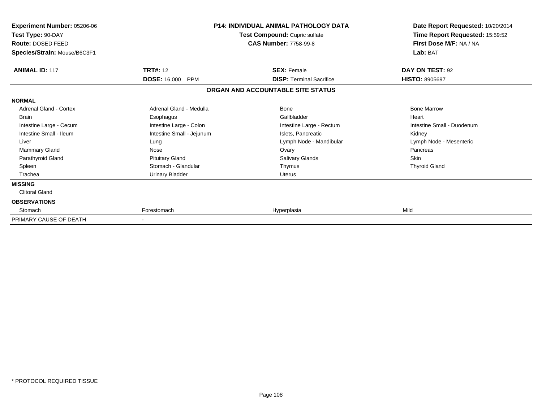| Experiment Number: 05206-06<br>Test Type: 90-DAY<br>Route: DOSED FEED<br>Species/Strain: Mouse/B6C3F1 |                                   | <b>P14: INDIVIDUAL ANIMAL PATHOLOGY DATA</b><br>Test Compound: Cupric sulfate<br><b>CAS Number: 7758-99-8</b> | Date Report Requested: 10/20/2014<br>Time Report Requested: 15:59:52<br>First Dose M/F: NA / NA<br>Lab: BAT |
|-------------------------------------------------------------------------------------------------------|-----------------------------------|---------------------------------------------------------------------------------------------------------------|-------------------------------------------------------------------------------------------------------------|
| <b>ANIMAL ID: 117</b>                                                                                 | <b>TRT#: 12</b>                   | <b>SEX: Female</b>                                                                                            | DAY ON TEST: 92                                                                                             |
|                                                                                                       | <b>DOSE: 16,000</b><br><b>PPM</b> | <b>DISP: Terminal Sacrifice</b>                                                                               | <b>HISTO: 8905697</b>                                                                                       |
|                                                                                                       |                                   | ORGAN AND ACCOUNTABLE SITE STATUS                                                                             |                                                                                                             |
| <b>NORMAL</b>                                                                                         |                                   |                                                                                                               |                                                                                                             |
| Adrenal Gland - Cortex                                                                                | Adrenal Gland - Medulla           | <b>Bone</b>                                                                                                   | <b>Bone Marrow</b>                                                                                          |
| <b>Brain</b>                                                                                          | Esophagus                         | Gallbladder                                                                                                   | Heart                                                                                                       |
| Intestine Large - Cecum                                                                               | Intestine Large - Colon           | Intestine Large - Rectum                                                                                      | Intestine Small - Duodenum                                                                                  |
| Intestine Small - Ileum                                                                               | Intestine Small - Jejunum         | Islets, Pancreatic                                                                                            | Kidney                                                                                                      |
| Liver                                                                                                 | Lung                              | Lymph Node - Mandibular                                                                                       | Lymph Node - Mesenteric                                                                                     |
| <b>Mammary Gland</b>                                                                                  | Nose                              | Ovary                                                                                                         | Pancreas                                                                                                    |
| Parathyroid Gland                                                                                     | <b>Pituitary Gland</b>            | <b>Salivary Glands</b>                                                                                        | <b>Skin</b>                                                                                                 |
| Spleen                                                                                                | Stomach - Glandular               | Thymus                                                                                                        | <b>Thyroid Gland</b>                                                                                        |
| Trachea                                                                                               | <b>Urinary Bladder</b>            | <b>Uterus</b>                                                                                                 |                                                                                                             |
| <b>MISSING</b>                                                                                        |                                   |                                                                                                               |                                                                                                             |
| <b>Clitoral Gland</b>                                                                                 |                                   |                                                                                                               |                                                                                                             |
| <b>OBSERVATIONS</b>                                                                                   |                                   |                                                                                                               |                                                                                                             |
| Stomach                                                                                               | Forestomach                       | Hyperplasia                                                                                                   | Mild                                                                                                        |
| PRIMARY CAUSE OF DEATH                                                                                |                                   |                                                                                                               |                                                                                                             |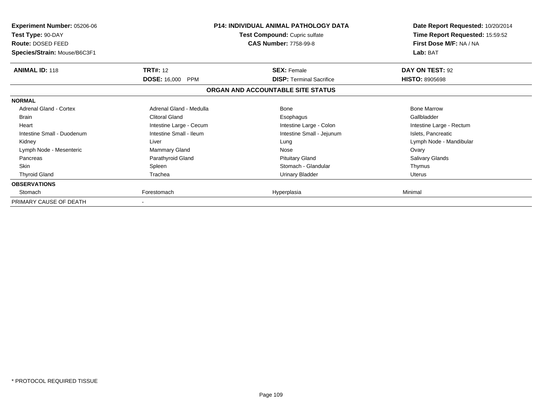| <b>Experiment Number: 05206-06</b><br>Test Type: 90-DAY<br>Route: DOSED FEED<br>Species/Strain: Mouse/B6C3F1 | <b>P14: INDIVIDUAL ANIMAL PATHOLOGY DATA</b><br>Test Compound: Cupric sulfate<br><b>CAS Number: 7758-99-8</b> |                                   | Date Report Requested: 10/20/2014<br>Time Report Requested: 15:59:52<br>First Dose M/F: NA / NA<br>Lab: BAT |
|--------------------------------------------------------------------------------------------------------------|---------------------------------------------------------------------------------------------------------------|-----------------------------------|-------------------------------------------------------------------------------------------------------------|
| <b>ANIMAL ID: 118</b>                                                                                        | <b>TRT#: 12</b>                                                                                               | <b>SEX: Female</b>                | DAY ON TEST: 92                                                                                             |
|                                                                                                              | <b>DOSE: 16,000</b><br>PPM                                                                                    | <b>DISP:</b> Terminal Sacrifice   | <b>HISTO: 8905698</b>                                                                                       |
|                                                                                                              |                                                                                                               | ORGAN AND ACCOUNTABLE SITE STATUS |                                                                                                             |
| <b>NORMAL</b>                                                                                                |                                                                                                               |                                   |                                                                                                             |
| <b>Adrenal Gland - Cortex</b>                                                                                | Adrenal Gland - Medulla                                                                                       | <b>Bone</b>                       | <b>Bone Marrow</b>                                                                                          |
| <b>Brain</b>                                                                                                 | Clitoral Gland                                                                                                | Esophagus                         | Gallbladder                                                                                                 |
| Heart                                                                                                        | Intestine Large - Cecum                                                                                       | Intestine Large - Colon           | Intestine Large - Rectum                                                                                    |
| Intestine Small - Duodenum                                                                                   | Intestine Small - Ileum                                                                                       | Intestine Small - Jejunum         | Islets, Pancreatic                                                                                          |
| Kidney                                                                                                       | Liver                                                                                                         | Lung                              | Lymph Node - Mandibular                                                                                     |
| Lymph Node - Mesenteric                                                                                      | Mammary Gland                                                                                                 | Nose                              | Ovary                                                                                                       |
| Pancreas                                                                                                     | Parathyroid Gland                                                                                             | <b>Pituitary Gland</b>            | Salivary Glands                                                                                             |
| <b>Skin</b>                                                                                                  | Spleen                                                                                                        | Stomach - Glandular               | Thymus                                                                                                      |
| <b>Thyroid Gland</b>                                                                                         | Trachea                                                                                                       | <b>Urinary Bladder</b>            | <b>Uterus</b>                                                                                               |
| <b>OBSERVATIONS</b>                                                                                          |                                                                                                               |                                   |                                                                                                             |
| Stomach                                                                                                      | Forestomach                                                                                                   | Hyperplasia                       | Minimal                                                                                                     |
| PRIMARY CAUSE OF DEATH                                                                                       |                                                                                                               |                                   |                                                                                                             |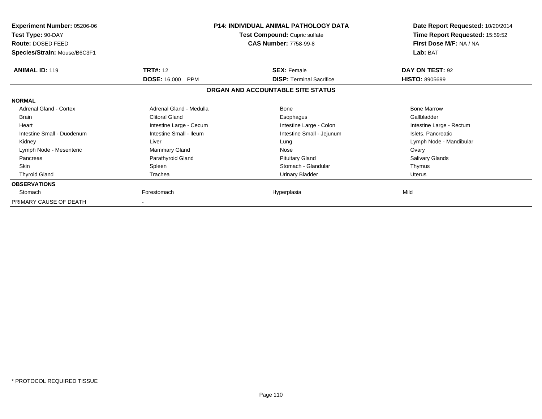| Experiment Number: 05206-06<br>Test Type: 90-DAY<br>Route: DOSED FEED<br>Species/Strain: Mouse/B6C3F1 | <b>P14: INDIVIDUAL ANIMAL PATHOLOGY DATA</b><br>Test Compound: Cupric sulfate<br><b>CAS Number: 7758-99-8</b> |                                   | Date Report Requested: 10/20/2014<br>Time Report Requested: 15:59:52<br>First Dose M/F: NA / NA<br>Lab: BAT |
|-------------------------------------------------------------------------------------------------------|---------------------------------------------------------------------------------------------------------------|-----------------------------------|-------------------------------------------------------------------------------------------------------------|
| <b>ANIMAL ID: 119</b>                                                                                 | <b>TRT#: 12</b>                                                                                               | <b>SEX: Female</b>                | DAY ON TEST: 92                                                                                             |
|                                                                                                       | <b>DOSE: 16,000 PPM</b>                                                                                       | <b>DISP:</b> Terminal Sacrifice   | <b>HISTO: 8905699</b>                                                                                       |
|                                                                                                       |                                                                                                               | ORGAN AND ACCOUNTABLE SITE STATUS |                                                                                                             |
| <b>NORMAL</b>                                                                                         |                                                                                                               |                                   |                                                                                                             |
| <b>Adrenal Gland - Cortex</b>                                                                         | Adrenal Gland - Medulla                                                                                       | <b>Bone</b>                       | <b>Bone Marrow</b>                                                                                          |
| <b>Brain</b>                                                                                          | <b>Clitoral Gland</b>                                                                                         | Esophagus                         | Gallbladder                                                                                                 |
| Heart                                                                                                 | Intestine Large - Cecum                                                                                       | Intestine Large - Colon           | Intestine Large - Rectum                                                                                    |
| Intestine Small - Duodenum                                                                            | Intestine Small - Ileum                                                                                       | Intestine Small - Jejunum         | Islets, Pancreatic                                                                                          |
| Kidney                                                                                                | Liver                                                                                                         | Lung                              | Lymph Node - Mandibular                                                                                     |
| Lymph Node - Mesenteric                                                                               | Mammary Gland                                                                                                 | Nose                              | Ovary                                                                                                       |
| Pancreas                                                                                              | Parathyroid Gland                                                                                             | <b>Pituitary Gland</b>            | Salivary Glands                                                                                             |
| <b>Skin</b>                                                                                           | Spleen                                                                                                        | Stomach - Glandular               | Thymus                                                                                                      |
| <b>Thyroid Gland</b>                                                                                  | Trachea                                                                                                       | <b>Urinary Bladder</b>            | <b>Uterus</b>                                                                                               |
| <b>OBSERVATIONS</b>                                                                                   |                                                                                                               |                                   |                                                                                                             |
| Stomach                                                                                               | Forestomach                                                                                                   | Hyperplasia                       | Mild                                                                                                        |
| PRIMARY CAUSE OF DEATH                                                                                |                                                                                                               |                                   |                                                                                                             |